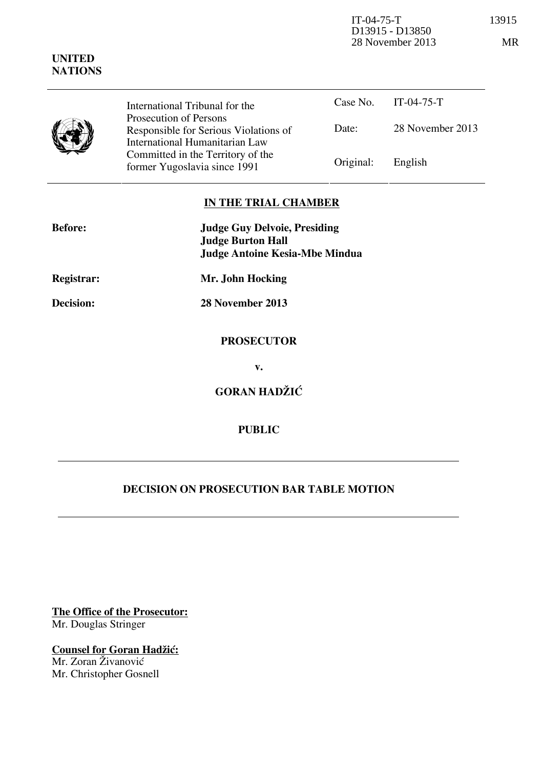| <b>UNITED</b><br><b>NATIONS</b> | D13915 - D13850<br>28 November 2013                                                               |           |                  |
|---------------------------------|---------------------------------------------------------------------------------------------------|-----------|------------------|
|                                 | International Tribunal for the                                                                    | Case No.  | $IT-04-75-T$     |
|                                 | Prosecution of Persons<br>Responsible for Serious Violations of<br>International Humanitarian Law | Date:     | 28 November 2013 |
|                                 | Committed in the Territory of the<br>former Yugoslavia since 1991                                 | Original: | English          |

## **IN THE TRIAL CHAMBER**

| <b>Before:</b> | <b>Judge Guy Delvoie, Presiding</b><br><b>Judge Burton Hall</b><br>Judge Antoine Kesia-Mbe Mindua |  |
|----------------|---------------------------------------------------------------------------------------------------|--|
| Registrar:     | Mr. John Hocking                                                                                  |  |
| Decision:      | 28 November 2013                                                                                  |  |
|                | <b>PROSECUTOR</b>                                                                                 |  |
|                | v.                                                                                                |  |
|                | <b>GORAN HADŽIĆ</b>                                                                               |  |
|                |                                                                                                   |  |

## **PUBLIC**

# **DECISION ON PROSECUTION BAR TABLE MOTION**

**The Office of the Prosecutor:** Mr. Douglas Stringer

**Counsel for Goran Hadžić:** Mr. Zoran Živanović Mr. Christopher Gosnell

IT-04-75-T 13915

 $MR$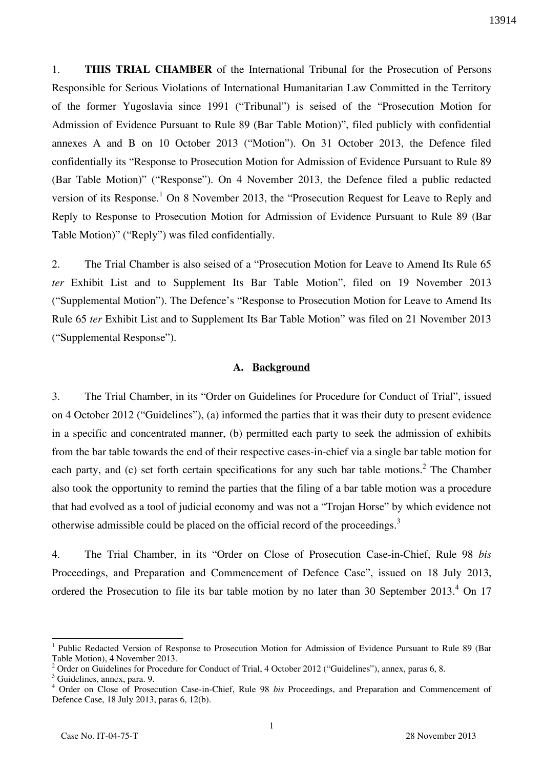1. **THIS TRIAL CHAMBER** of the International Tribunal for the Prosecution of Persons Responsible for Serious Violations of International Humanitarian Law Committed in the Territory of the former Yugoslavia since 1991 ("Tribunal") is seised of the "Prosecution Motion for Admission of Evidence Pursuant to Rule 89 (Bar Table Motion)", filed publicly with confidential annexes A and B on 10 October 2013 ("Motion"). On 31 October 2013, the Defence filed confidentially its "Response to Prosecution Motion for Admission of Evidence Pursuant to Rule 89 (Bar Table Motion)" ("Response"). On 4 November 2013, the Defence filed a public redacted version of its Response.<sup>1</sup> On 8 November 2013, the "Prosecution Request for Leave to Reply and Reply to Response to Prosecution Motion for Admission of Evidence Pursuant to Rule 89 (Bar Table Motion)" ("Reply") was filed confidentially.

2. The Trial Chamber is also seised of a "Prosecution Motion for Leave to Amend Its Rule 65 *ter* Exhibit List and to Supplement Its Bar Table Motion", filed on 19 November 2013 ("Supplemental Motion"). The Defence's "Response to Prosecution Motion for Leave to Amend Its Rule 65 *ter* Exhibit List and to Supplement Its Bar Table Motion" was filed on 21 November 2013 ("Supplemental Response").

#### **A. Background**

3. The Trial Chamber, in its "Order on Guidelines for Procedure for Conduct of Trial", issued on 4 October 2012 ("Guidelines"), (a) informed the parties that it was their duty to present evidence in a specific and concentrated manner, (b) permitted each party to seek the admission of exhibits from the bar table towards the end of their respective cases-in-chief via a single bar table motion for each party, and (c) set forth certain specifications for any such bar table motions.<sup>2</sup> The Chamber also took the opportunity to remind the parties that the filing of a bar table motion was a procedure that had evolved as a tool of judicial economy and was not a "Trojan Horse" by which evidence not otherwise admissible could be placed on the official record of the proceedings.<sup>3</sup>

4. The Trial Chamber, in its "Order on Close of Prosecution Case-in-Chief, Rule 98 *bis* Proceedings, and Preparation and Commencement of Defence Case", issued on 18 July 2013, ordered the Prosecution to file its bar table motion by no later than 30 September  $2013.<sup>4</sup>$  On 17

<sup>1</sup> Public Redacted Version of Response to Prosecution Motion for Admission of Evidence Pursuant to Rule 89 (Bar Table Motion), 4 November 2013.

<sup>2</sup> Order on Guidelines for Procedure for Conduct of Trial, 4 October 2012 ("Guidelines"), annex, paras 6, 8.

<sup>&</sup>lt;sup>3</sup> Guidelines, annex, para. 9.

<sup>4</sup> Order on Close of Prosecution Case-in-Chief, Rule 98 *bis* Proceedings, and Preparation and Commencement of Defence Case, 18 July 2013, paras 6, 12(b).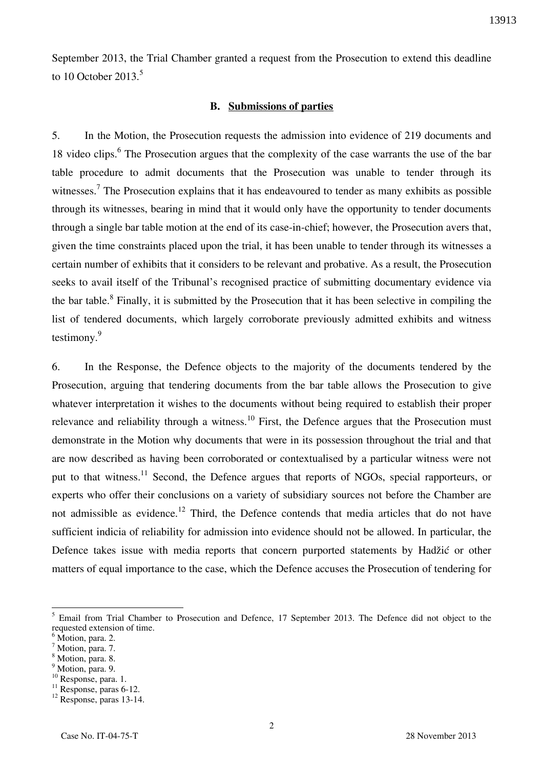September 2013, the Trial Chamber granted a request from the Prosecution to extend this deadline to 10 October 2013.<sup>5</sup>

#### **B. Submissions of parties**

5. In the Motion, the Prosecution requests the admission into evidence of 219 documents and 18 video clips.<sup>6</sup> The Prosecution argues that the complexity of the case warrants the use of the bar table procedure to admit documents that the Prosecution was unable to tender through its witnesses.<sup>7</sup> The Prosecution explains that it has endeavoured to tender as many exhibits as possible through its witnesses, bearing in mind that it would only have the opportunity to tender documents through a single bar table motion at the end of its case-in-chief; however, the Prosecution avers that, given the time constraints placed upon the trial, it has been unable to tender through its witnesses a certain number of exhibits that it considers to be relevant and probative. As a result, the Prosecution seeks to avail itself of the Tribunal's recognised practice of submitting documentary evidence via the bar table.<sup>8</sup> Finally, it is submitted by the Prosecution that it has been selective in compiling the list of tendered documents, which largely corroborate previously admitted exhibits and witness testimony.<sup>9</sup>

6. In the Response, the Defence objects to the majority of the documents tendered by the Prosecution, arguing that tendering documents from the bar table allows the Prosecution to give whatever interpretation it wishes to the documents without being required to establish their proper relevance and reliability through a witness.<sup>10</sup> First, the Defence argues that the Prosecution must demonstrate in the Motion why documents that were in its possession throughout the trial and that are now described as having been corroborated or contextualised by a particular witness were not put to that witness.<sup>11</sup> Second, the Defence argues that reports of NGOs, special rapporteurs, or experts who offer their conclusions on a variety of subsidiary sources not before the Chamber are not admissible as evidence.<sup>12</sup> Third, the Defence contends that media articles that do not have sufficient indicia of reliability for admission into evidence should not be allowed. In particular, the Defence takes issue with media reports that concern purported statements by Hadžić or other matters of equal importance to the case, which the Defence accuses the Prosecution of tendering for

 $\overline{a}$ 

<sup>10</sup> Response, para. 1.

<sup>&</sup>lt;sup>5</sup> Email from Trial Chamber to Prosecution and Defence, 17 September 2013. The Defence did not object to the requested extension of time.

<sup>&</sup>lt;sup>6</sup> Motion, para. 2.

<sup>&</sup>lt;sup>7</sup> Motion, para. 7.

<sup>8</sup> Motion, para. 8.

<sup>&</sup>lt;sup>9</sup> Motion, para. 9.

 $11$  Response, paras 6-12.

<sup>&</sup>lt;sup>12</sup> Response, paras 13-14.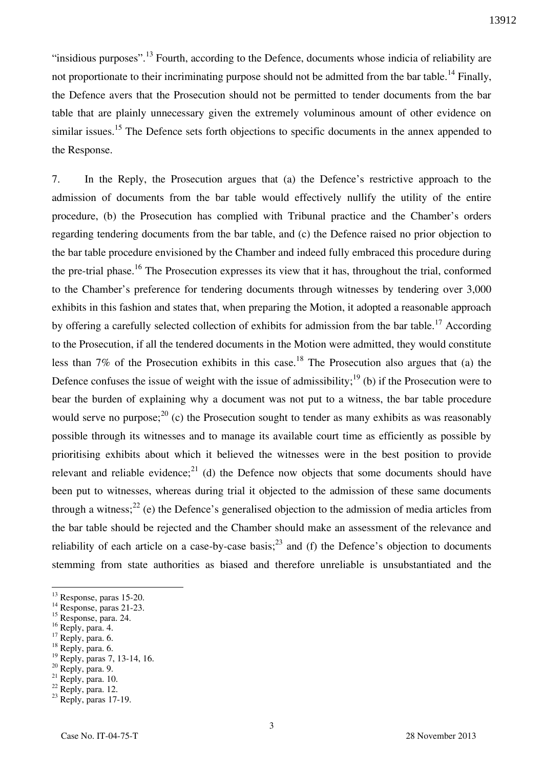"insidious purposes".<sup>13</sup> Fourth, according to the Defence, documents whose indicia of reliability are not proportionate to their incriminating purpose should not be admitted from the bar table.<sup>14</sup> Finally, the Defence avers that the Prosecution should not be permitted to tender documents from the bar table that are plainly unnecessary given the extremely voluminous amount of other evidence on similar issues.<sup>15</sup> The Defence sets forth objections to specific documents in the annex appended to the Response.

7. In the Reply, the Prosecution argues that (a) the Defence's restrictive approach to the admission of documents from the bar table would effectively nullify the utility of the entire procedure, (b) the Prosecution has complied with Tribunal practice and the Chamber's orders regarding tendering documents from the bar table, and (c) the Defence raised no prior objection to the bar table procedure envisioned by the Chamber and indeed fully embraced this procedure during the pre-trial phase.<sup>16</sup> The Prosecution expresses its view that it has, throughout the trial, conformed to the Chamber's preference for tendering documents through witnesses by tendering over 3,000 exhibits in this fashion and states that, when preparing the Motion, it adopted a reasonable approach by offering a carefully selected collection of exhibits for admission from the bar table.<sup>17</sup> According to the Prosecution, if all the tendered documents in the Motion were admitted, they would constitute less than 7% of the Prosecution exhibits in this case.<sup>18</sup> The Prosecution also argues that (a) the Defence confuses the issue of weight with the issue of admissibility;<sup>19</sup> (b) if the Prosecution were to bear the burden of explaining why a document was not put to a witness, the bar table procedure would serve no purpose;  $^{20}$  (c) the Prosecution sought to tender as many exhibits as was reasonably possible through its witnesses and to manage its available court time as efficiently as possible by prioritising exhibits about which it believed the witnesses were in the best position to provide relevant and reliable evidence;<sup>21</sup> (d) the Defence now objects that some documents should have been put to witnesses, whereas during trial it objected to the admission of these same documents through a witness;<sup>22</sup> (e) the Defence's generalised objection to the admission of media articles from the bar table should be rejected and the Chamber should make an assessment of the relevance and reliability of each article on a case-by-case basis;<sup>23</sup> and (f) the Defence's objection to documents stemming from state authorities as biased and therefore unreliable is unsubstantiated and the

<sup>16</sup> Reply, para. 4.

- $17$  Reply, para. 6.
- <sup>18</sup> Reply, para. 6.

- <sup>20</sup> Reply, para. 9.
- $21$  Reply, para. 10.

<sup>13</sup> Response, paras 15-20.

<sup>&</sup>lt;sup>14</sup> Response, paras 21-23.

<sup>15</sup> Response, para. 24.

<sup>&</sup>lt;sup>19</sup> Reply, paras 7, 13-14, 16.

 $22$  Reply, para. 12.

 $23$  Reply, paras 17-19.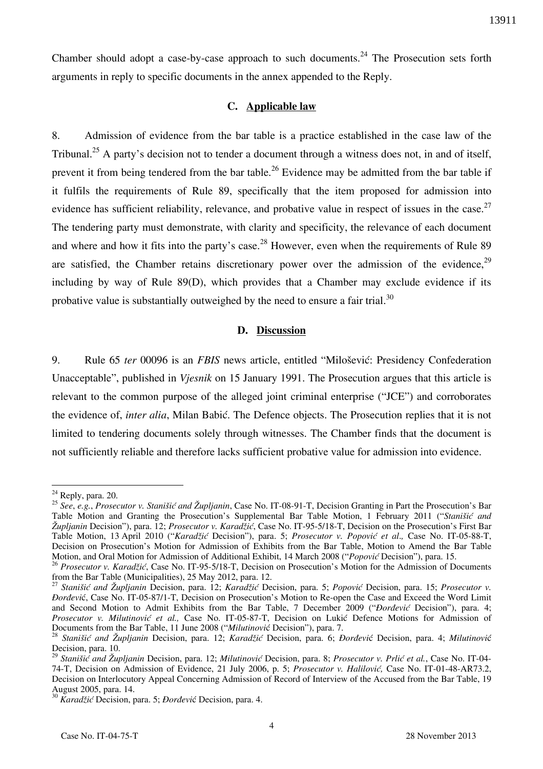Chamber should adopt a case-by-case approach to such documents.<sup>24</sup> The Prosecution sets forth arguments in reply to specific documents in the annex appended to the Reply.

### **C. Applicable law**

8. Admission of evidence from the bar table is a practice established in the case law of the Tribunal.<sup>25</sup> A party's decision not to tender a document through a witness does not, in and of itself, prevent it from being tendered from the bar table.<sup>26</sup> Evidence may be admitted from the bar table if it fulfils the requirements of Rule 89, specifically that the item proposed for admission into evidence has sufficient reliability, relevance, and probative value in respect of issues in the case.  $27$ The tendering party must demonstrate, with clarity and specificity, the relevance of each document and where and how it fits into the party's case.<sup>28</sup> However, even when the requirements of Rule 89 are satisfied, the Chamber retains discretionary power over the admission of the evidence.<sup>29</sup> including by way of Rule 89(D), which provides that a Chamber may exclude evidence if its probative value is substantially outweighed by the need to ensure a fair trial.<sup>30</sup>

### **D. Discussion**

9. Rule 65 *ter* 00096 is an *FBIS* news article, entitled "Milošević: Presidency Confederation Unacceptable", published in *Vjesnik* on 15 January 1991. The Prosecution argues that this article is relevant to the common purpose of the alleged joint criminal enterprise ("JCE") and corroborates the evidence of, *inter alia*, Milan Babić. The Defence objects. The Prosecution replies that it is not limited to tendering documents solely through witnesses. The Chamber finds that the document is not sufficiently reliable and therefore lacks sufficient probative value for admission into evidence.

 $24$  Reply, para. 20.

<sup>25</sup> *See*, *e.g.*, *Prosecutor v. Stanišić and Župljanin*, Case No. IT-08-91-T, Decision Granting in Part the Prosecution's Bar Table Motion and Granting the Prosecution's Supplemental Bar Table Motion, 1 February 2011 ("*Stanišić and Župljanin* Decision"), para. 12; *Prosecutor v. Karad`i}*, Case No. IT-95-5/18-T, Decision on the Prosecution's First Bar Table Motion, 13 April 2010 ("Karadžić Decision"), para. 5; Prosecutor v. Popović et al., Case No. IT-05-88-T, Decision on Prosecution's Motion for Admission of Exhibits from the Bar Table, Motion to Amend the Bar Table Motion, and Oral Motion for Admission of Additional Exhibit, 14 March 2008 ("*Popović* Decision"), para. 15.

<sup>&</sup>lt;sup>26</sup> *Prosecutor v. Karadžić*, Case No. IT-95-5/18-T, Decision on Prosecution's Motion for the Admission of Documents from the Bar Table (Municipalities), 25 May 2012, para. 12.

<sup>&</sup>lt;sup>27</sup> Stanišić and Župljanin Decision, para. 12; Karadžić Decision, para. 5; Popović Decision, para. 15; Prosecutor v. *Dordević*, Case No. IT-05-87/1-T, Decision on Prosecution's Motion to Re-open the Case and Exceed the Word Limit and Second Motion to Admit Exhibits from the Bar Table, 7 December 2009 ("*Dordević* Decision"), para. 4; *Prosecutor v. Milutinović et al., Case No. IT-05-87-T, Decision on Lukić Defence Motions for Admission of* Documents from the Bar Table, 11 June 2008 ("*Milutinovi*ć Decision"), para. 7.

<sup>&</sup>lt;sup>28</sup> Stanišić and Župljanin Decision, para. 12; Karadžić Decision, para. 6; *Đorđević Decision, para. 4; Milutinović* Decision, para. 10.

<sup>29</sup> *Stanišić and Župljanin* Decision, para. 12; *Milutinović* Decision, para. 8; *Prosecutor v. Prlić et al.*, Case No. IT-04- 74-T, Decision on Admission of Evidence, 21 July 2006, p. 5; *Prosecutor v. Halilović,* Case No. IT-01-48-AR73.2, Decision on Interlocutory Appeal Concerning Admission of Record of Interview of the Accused from the Bar Table, 19 August 2005, para. 14.

<sup>&</sup>lt;sup>30</sup> Karadžić Decision, para. 5; *Dorđević* Decision, para. 4.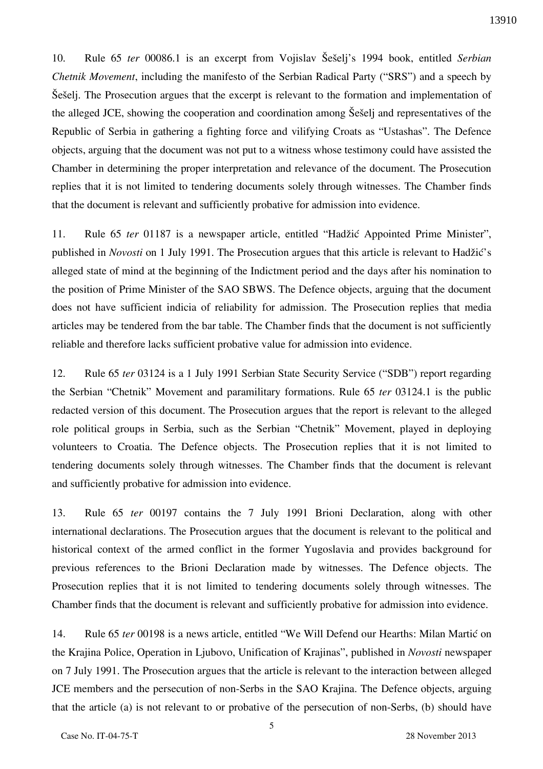10. Rule 65 *ter* 00086.1 is an excerpt from Vojislav Šešelj's 1994 book, entitled *Serbian Chetnik Movement*, including the manifesto of the Serbian Radical Party ("SRS") and a speech by Šešelj. The Prosecution argues that the excerpt is relevant to the formation and implementation of the alleged JCE, showing the cooperation and coordination among Šešelj and representatives of the Republic of Serbia in gathering a fighting force and vilifying Croats as "Ustashas". The Defence objects, arguing that the document was not put to a witness whose testimony could have assisted the Chamber in determining the proper interpretation and relevance of the document. The Prosecution replies that it is not limited to tendering documents solely through witnesses. The Chamber finds that the document is relevant and sufficiently probative for admission into evidence.

11. Rule 65 *ter* 01187 is a newspaper article, entitled "Hadžić Appointed Prime Minister", published in *Novosti* on 1 July 1991. The Prosecution argues that this article is relevant to Hadžić's alleged state of mind at the beginning of the Indictment period and the days after his nomination to the position of Prime Minister of the SAO SBWS. The Defence objects, arguing that the document does not have sufficient indicia of reliability for admission. The Prosecution replies that media articles may be tendered from the bar table. The Chamber finds that the document is not sufficiently reliable and therefore lacks sufficient probative value for admission into evidence.

12. Rule 65 *ter* 03124 is a 1 July 1991 Serbian State Security Service ("SDB") report regarding the Serbian "Chetnik" Movement and paramilitary formations. Rule 65 *ter* 03124.1 is the public redacted version of this document. The Prosecution argues that the report is relevant to the alleged role political groups in Serbia, such as the Serbian "Chetnik" Movement, played in deploying volunteers to Croatia. The Defence objects. The Prosecution replies that it is not limited to tendering documents solely through witnesses. The Chamber finds that the document is relevant and sufficiently probative for admission into evidence.

13. Rule 65 *ter* 00197 contains the 7 July 1991 Brioni Declaration, along with other international declarations. The Prosecution argues that the document is relevant to the political and historical context of the armed conflict in the former Yugoslavia and provides background for previous references to the Brioni Declaration made by witnesses. The Defence objects. The Prosecution replies that it is not limited to tendering documents solely through witnesses. The Chamber finds that the document is relevant and sufficiently probative for admission into evidence.

14. Rule 65 *ter* 00198 is a news article, entitled "We Will Defend our Hearths: Milan Martić on the Krajina Police, Operation in Ljubovo, Unification of Krajinas", published in *Novosti* newspaper on 7 July 1991. The Prosecution argues that the article is relevant to the interaction between alleged JCE members and the persecution of non-Serbs in the SAO Krajina. The Defence objects, arguing that the article (a) is not relevant to or probative of the persecution of non-Serbs, (b) should have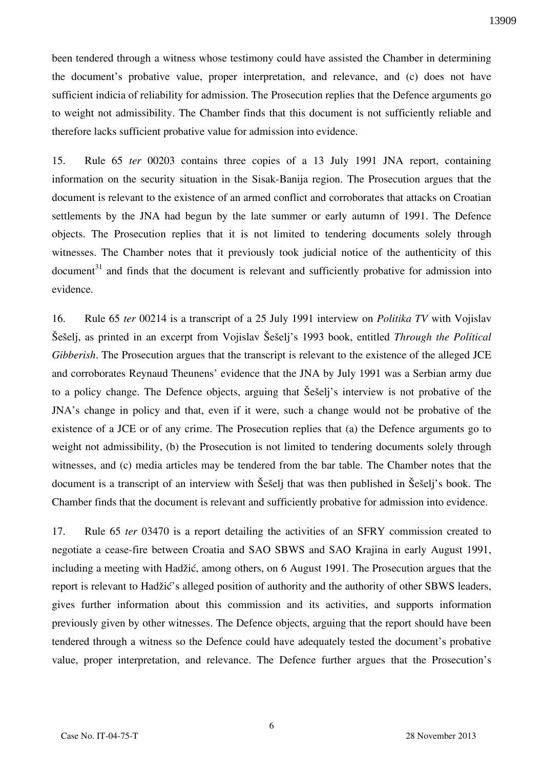been tendered through a witness whose testimony could have assisted the Chamber in determining the document's probative value, proper interpretation, and relevance, and (c) does not have sufficient indicia of reliability for admission. The Prosecution replies that the Defence arguments go to weight not admissibility. The Chamber finds that this document is not sufficiently reliable and therefore lacks sufficient probative value for admission into evidence.

15. Rule 65 *ter* 00203 contains three copies of a 13 July 1991 JNA report, containing information on the security situation in the Sisak-Banija region. The Prosecution argues that the document is relevant to the existence of an armed conflict and corroborates that attacks on Croatian settlements by the JNA had begun by the late summer or early autumn of 1991. The Defence objects. The Prosecution replies that it is not limited to tendering documents solely through witnesses. The Chamber notes that it previously took judicial notice of the authenticity of this  $\alpha$  document<sup>31</sup> and finds that the document is relevant and sufficiently probative for admission into evidence.

16. Rule 65 *ter* 00214 is a transcript of a 25 July 1991 interview on *Politika TV* with Vojislav Šešelj, as printed in an excerpt from Vojislav Šešelj's 1993 book, entitled *Through the Political Gibberish*. The Prosecution argues that the transcript is relevant to the existence of the alleged JCE and corroborates Reynaud Theunens' evidence that the JNA by July 1991 was a Serbian army due to a policy change. The Defence objects, arguing that Seseli's interview is not probative of the JNA's change in policy and that, even if it were, such a change would not be probative of the existence of a JCE or of any crime. The Prosecution replies that (a) the Defence arguments go to weight not admissibility, (b) the Prosecution is not limited to tendering documents solely through witnesses, and (c) media articles may be tendered from the bar table. The Chamber notes that the document is a transcript of an interview with Seselj that was then published in Seselj's book. The Chamber finds that the document is relevant and sufficiently probative for admission into evidence.

17. Rule 65 *ter* 03470 is a report detailing the activities of an SFRY commission created to negotiate a cease-fire between Croatia and SAO SBWS and SAO Krajina in early August 1991, including a meeting with Hadžić, among others, on 6 August 1991. The Prosecution argues that the report is relevant to Hadžić's alleged position of authority and the authority of other SBWS leaders, gives further information about this commission and its activities, and supports information previously given by other witnesses. The Defence objects, arguing that the report should have been tendered through a witness so the Defence could have adequately tested the document's probative value, proper interpretation, and relevance. The Defence further argues that the Prosecution's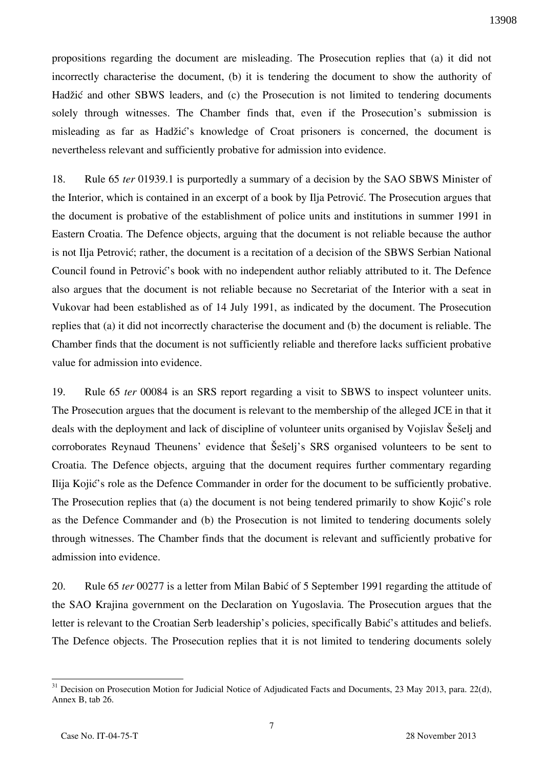propositions regarding the document are misleading. The Prosecution replies that (a) it did not incorrectly characterise the document, (b) it is tendering the document to show the authority of Hadžić and other SBWS leaders, and (c) the Prosecution is not limited to tendering documents solely through witnesses. The Chamber finds that, even if the Prosecution's submission is misleading as far as Hadžić's knowledge of Croat prisoners is concerned, the document is nevertheless relevant and sufficiently probative for admission into evidence.

18. Rule 65 *ter* 01939.1 is purportedly a summary of a decision by the SAO SBWS Minister of the Interior, which is contained in an excerpt of a book by Ilja Petrović. The Prosecution argues that the document is probative of the establishment of police units and institutions in summer 1991 in Eastern Croatia. The Defence objects, arguing that the document is not reliable because the author is not Ilja Petrović; rather, the document is a recitation of a decision of the SBWS Serbian National Council found in Petrović's book with no independent author reliably attributed to it. The Defence also argues that the document is not reliable because no Secretariat of the Interior with a seat in Vukovar had been established as of 14 July 1991, as indicated by the document. The Prosecution replies that (a) it did not incorrectly characterise the document and (b) the document is reliable. The Chamber finds that the document is not sufficiently reliable and therefore lacks sufficient probative value for admission into evidence.

19. Rule 65 *ter* 00084 is an SRS report regarding a visit to SBWS to inspect volunteer units. The Prosecution argues that the document is relevant to the membership of the alleged JCE in that it deals with the deployment and lack of discipline of volunteer units organised by Vojislav Šešelj and corroborates Reynaud Theunens' evidence that Seseli's SRS organised volunteers to be sent to Croatia. The Defence objects, arguing that the document requires further commentary regarding Ilija Kojić's role as the Defence Commander in order for the document to be sufficiently probative. The Prosecution replies that (a) the document is not being tendered primarily to show Kojić's role as the Defence Commander and (b) the Prosecution is not limited to tendering documents solely through witnesses. The Chamber finds that the document is relevant and sufficiently probative for admission into evidence.

20. Rule 65 *ter* 00277 is a letter from Milan Babić of 5 September 1991 regarding the attitude of the SAO Krajina government on the Declaration on Yugoslavia. The Prosecution argues that the letter is relevant to the Croatian Serb leadership's policies, specifically Babić's attitudes and beliefs. The Defence objects. The Prosecution replies that it is not limited to tendering documents solely

 $\overline{a}$ <sup>31</sup> Decision on Prosecution Motion for Judicial Notice of Adjudicated Facts and Documents, 23 May 2013, para. 22(d), Annex B, tab 26.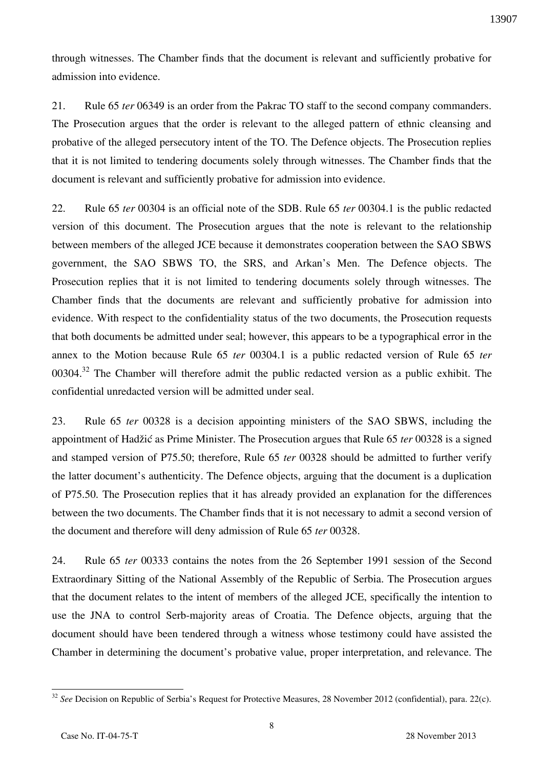through witnesses. The Chamber finds that the document is relevant and sufficiently probative for admission into evidence.

21. Rule 65 *ter* 06349 is an order from the Pakrac TO staff to the second company commanders. The Prosecution argues that the order is relevant to the alleged pattern of ethnic cleansing and probative of the alleged persecutory intent of the TO. The Defence objects. The Prosecution replies that it is not limited to tendering documents solely through witnesses. The Chamber finds that the document is relevant and sufficiently probative for admission into evidence.

22. Rule 65 *ter* 00304 is an official note of the SDB. Rule 65 *ter* 00304.1 is the public redacted version of this document. The Prosecution argues that the note is relevant to the relationship between members of the alleged JCE because it demonstrates cooperation between the SAO SBWS government, the SAO SBWS TO, the SRS, and Arkan's Men. The Defence objects. The Prosecution replies that it is not limited to tendering documents solely through witnesses. The Chamber finds that the documents are relevant and sufficiently probative for admission into evidence. With respect to the confidentiality status of the two documents, the Prosecution requests that both documents be admitted under seal; however, this appears to be a typographical error in the annex to the Motion because Rule 65 *ter* 00304.1 is a public redacted version of Rule 65 *ter* 00304.<sup>32</sup> The Chamber will therefore admit the public redacted version as a public exhibit. The confidential unredacted version will be admitted under seal.

23. Rule 65 *ter* 00328 is a decision appointing ministers of the SAO SBWS, including the appointment of Hadžić as Prime Minister. The Prosecution argues that Rule 65 *ter* 00328 is a signed and stamped version of P75.50; therefore, Rule 65 *ter* 00328 should be admitted to further verify the latter document's authenticity. The Defence objects, arguing that the document is a duplication of P75.50. The Prosecution replies that it has already provided an explanation for the differences between the two documents. The Chamber finds that it is not necessary to admit a second version of the document and therefore will deny admission of Rule 65 *ter* 00328.

24. Rule 65 *ter* 00333 contains the notes from the 26 September 1991 session of the Second Extraordinary Sitting of the National Assembly of the Republic of Serbia. The Prosecution argues that the document relates to the intent of members of the alleged JCE, specifically the intention to use the JNA to control Serb-majority areas of Croatia. The Defence objects, arguing that the document should have been tendered through a witness whose testimony could have assisted the Chamber in determining the document's probative value, proper interpretation, and relevance. The

1

<sup>&</sup>lt;sup>32</sup> See Decision on Republic of Serbia's Request for Protective Measures, 28 November 2012 (confidential), para. 22(c).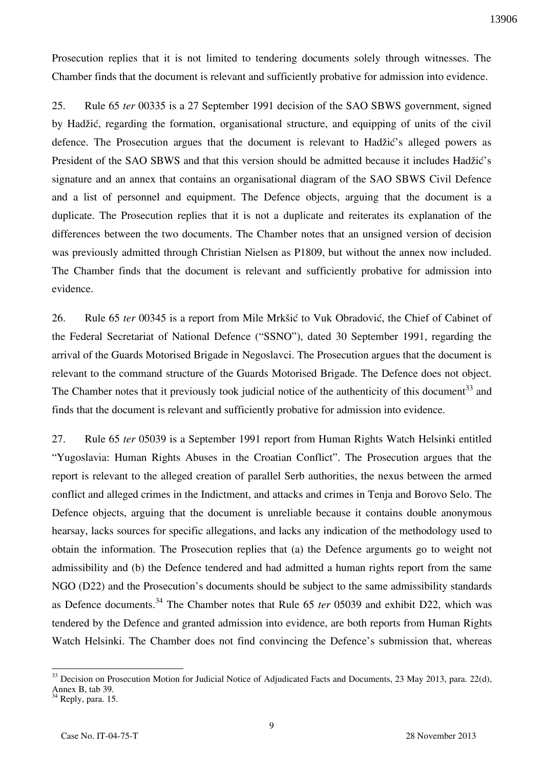Prosecution replies that it is not limited to tendering documents solely through witnesses. The Chamber finds that the document is relevant and sufficiently probative for admission into evidence.

25. Rule 65 *ter* 00335 is a 27 September 1991 decision of the SAO SBWS government, signed by Hadžić, regarding the formation, organisational structure, and equipping of units of the civil defence. The Prosecution argues that the document is relevant to Hadžić's alleged powers as President of the SAO SBWS and that this version should be admitted because it includes Hadžić's signature and an annex that contains an organisational diagram of the SAO SBWS Civil Defence and a list of personnel and equipment. The Defence objects, arguing that the document is a duplicate. The Prosecution replies that it is not a duplicate and reiterates its explanation of the differences between the two documents. The Chamber notes that an unsigned version of decision was previously admitted through Christian Nielsen as P1809, but without the annex now included. The Chamber finds that the document is relevant and sufficiently probative for admission into evidence.

26. Rule 65 *ter* 00345 is a report from Mile Mrkšić to Vuk Obradović, the Chief of Cabinet of the Federal Secretariat of National Defence ("SSNO"), dated 30 September 1991, regarding the arrival of the Guards Motorised Brigade in Negoslavci. The Prosecution argues that the document is relevant to the command structure of the Guards Motorised Brigade. The Defence does not object. The Chamber notes that it previously took judicial notice of the authenticity of this document<sup>33</sup> and finds that the document is relevant and sufficiently probative for admission into evidence.

27. Rule 65 *ter* 05039 is a September 1991 report from Human Rights Watch Helsinki entitled "Yugoslavia: Human Rights Abuses in the Croatian Conflict". The Prosecution argues that the report is relevant to the alleged creation of parallel Serb authorities, the nexus between the armed conflict and alleged crimes in the Indictment, and attacks and crimes in Tenja and Borovo Selo. The Defence objects, arguing that the document is unreliable because it contains double anonymous hearsay, lacks sources for specific allegations, and lacks any indication of the methodology used to obtain the information. The Prosecution replies that (a) the Defence arguments go to weight not admissibility and (b) the Defence tendered and had admitted a human rights report from the same NGO (D22) and the Prosecution's documents should be subject to the same admissibility standards as Defence documents.<sup>34</sup> The Chamber notes that Rule 65 *ter* 05039 and exhibit D22, which was tendered by the Defence and granted admission into evidence, are both reports from Human Rights Watch Helsinki. The Chamber does not find convincing the Defence's submission that, whereas

<u>.</u>

 $33$  Decision on Prosecution Motion for Judicial Notice of Adjudicated Facts and Documents, 23 May 2013, para. 22(d), Annex B, tab 39.

<sup>&</sup>lt;sup>34</sup> Reply, para. 15.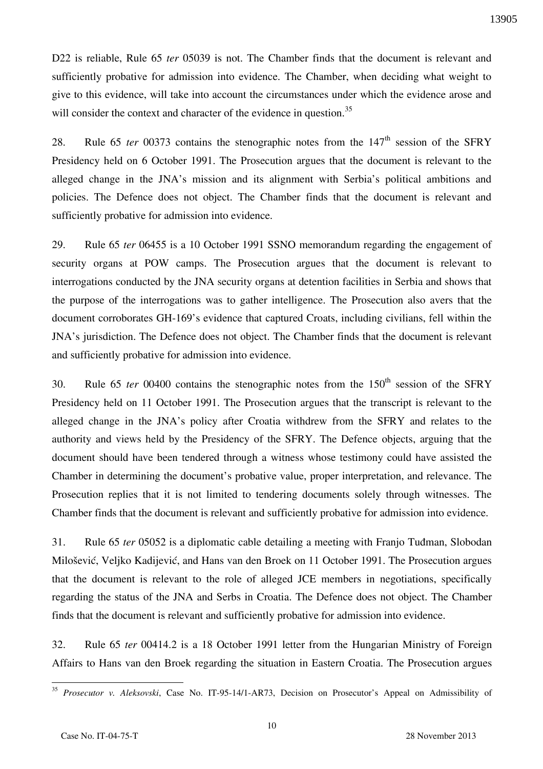D22 is reliable, Rule 65 *ter* 05039 is not. The Chamber finds that the document is relevant and sufficiently probative for admission into evidence. The Chamber, when deciding what weight to give to this evidence, will take into account the circumstances under which the evidence arose and will consider the context and character of the evidence in question.<sup>35</sup>

28. Rule 65 *ter* 00373 contains the stenographic notes from the 147<sup>th</sup> session of the SFRY Presidency held on 6 October 1991. The Prosecution argues that the document is relevant to the alleged change in the JNA's mission and its alignment with Serbia's political ambitions and policies. The Defence does not object. The Chamber finds that the document is relevant and sufficiently probative for admission into evidence.

29. Rule 65 *ter* 06455 is a 10 October 1991 SSNO memorandum regarding the engagement of security organs at POW camps. The Prosecution argues that the document is relevant to interrogations conducted by the JNA security organs at detention facilities in Serbia and shows that the purpose of the interrogations was to gather intelligence. The Prosecution also avers that the document corroborates GH-169's evidence that captured Croats, including civilians, fell within the JNA's jurisdiction. The Defence does not object. The Chamber finds that the document is relevant and sufficiently probative for admission into evidence.

30. Rule 65 *ter* 00400 contains the stenographic notes from the  $150<sup>th</sup>$  session of the SFRY Presidency held on 11 October 1991. The Prosecution argues that the transcript is relevant to the alleged change in the JNA's policy after Croatia withdrew from the SFRY and relates to the authority and views held by the Presidency of the SFRY. The Defence objects, arguing that the document should have been tendered through a witness whose testimony could have assisted the Chamber in determining the document's probative value, proper interpretation, and relevance. The Prosecution replies that it is not limited to tendering documents solely through witnesses. The Chamber finds that the document is relevant and sufficiently probative for admission into evidence.

31. Rule 65 *ter* 05052 is a diplomatic cable detailing a meeting with Franjo Tudman, Slobodan Milošević, Veljko Kadijević, and Hans van den Broek on 11 October 1991. The Prosecution argues that the document is relevant to the role of alleged JCE members in negotiations, specifically regarding the status of the JNA and Serbs in Croatia. The Defence does not object. The Chamber finds that the document is relevant and sufficiently probative for admission into evidence.

32. Rule 65 *ter* 00414.2 is a 18 October 1991 letter from the Hungarian Ministry of Foreign Affairs to Hans van den Broek regarding the situation in Eastern Croatia. The Prosecution argues

1

<sup>35</sup> *Prosecutor v. Aleksovski*, Case No. IT-95-14/1-AR73, Decision on Prosecutor's Appeal on Admissibility of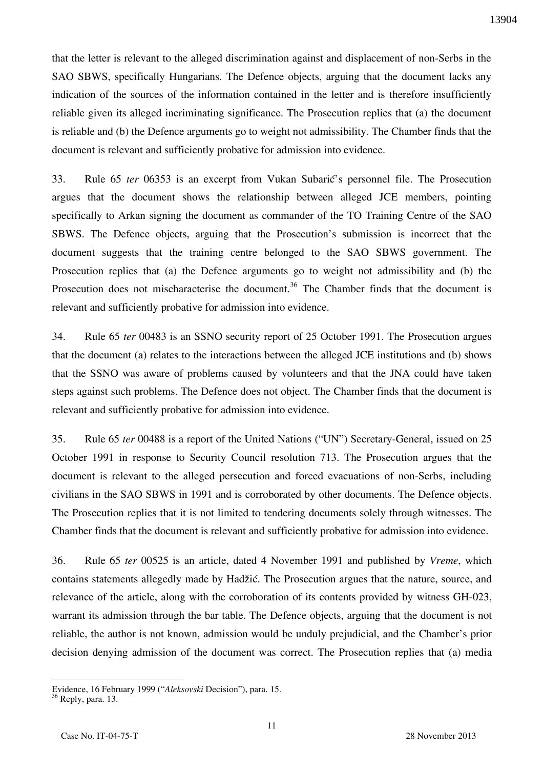that the letter is relevant to the alleged discrimination against and displacement of non-Serbs in the SAO SBWS, specifically Hungarians. The Defence objects, arguing that the document lacks any indication of the sources of the information contained in the letter and is therefore insufficiently reliable given its alleged incriminating significance. The Prosecution replies that (a) the document is reliable and (b) the Defence arguments go to weight not admissibility. The Chamber finds that the document is relevant and sufficiently probative for admission into evidence.

33. Rule 65 *ter* 06353 is an excerpt from Vukan Subarić's personnel file. The Prosecution argues that the document shows the relationship between alleged JCE members, pointing specifically to Arkan signing the document as commander of the TO Training Centre of the SAO SBWS. The Defence objects, arguing that the Prosecution's submission is incorrect that the document suggests that the training centre belonged to the SAO SBWS government. The Prosecution replies that (a) the Defence arguments go to weight not admissibility and (b) the Prosecution does not mischaracterise the document.<sup>36</sup> The Chamber finds that the document is relevant and sufficiently probative for admission into evidence.

34. Rule 65 *ter* 00483 is an SSNO security report of 25 October 1991. The Prosecution argues that the document (a) relates to the interactions between the alleged JCE institutions and (b) shows that the SSNO was aware of problems caused by volunteers and that the JNA could have taken steps against such problems. The Defence does not object. The Chamber finds that the document is relevant and sufficiently probative for admission into evidence.

35. Rule 65 *ter* 00488 is a report of the United Nations ("UN") Secretary-General, issued on 25 October 1991 in response to Security Council resolution 713. The Prosecution argues that the document is relevant to the alleged persecution and forced evacuations of non-Serbs, including civilians in the SAO SBWS in 1991 and is corroborated by other documents. The Defence objects. The Prosecution replies that it is not limited to tendering documents solely through witnesses. The Chamber finds that the document is relevant and sufficiently probative for admission into evidence.

36. Rule 65 *ter* 00525 is an article, dated 4 November 1991 and published by *Vreme*, which contains statements allegedly made by Hadžić. The Prosecution argues that the nature, source, and relevance of the article, along with the corroboration of its contents provided by witness GH-023, warrant its admission through the bar table. The Defence objects, arguing that the document is not reliable, the author is not known, admission would be unduly prejudicial, and the Chamber's prior decision denying admission of the document was correct. The Prosecution replies that (a) media

<u>.</u>

Evidence, 16 February 1999 ("*Aleksovski* Decision"), para. 15.

 $36$  Reply, para. 13.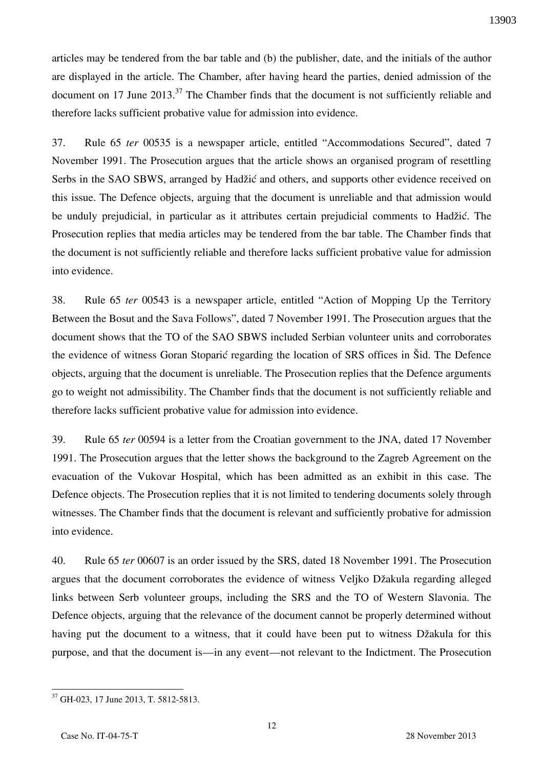articles may be tendered from the bar table and (b) the publisher, date, and the initials of the author are displayed in the article. The Chamber, after having heard the parties, denied admission of the document on 17 June 2013.<sup>37</sup> The Chamber finds that the document is not sufficiently reliable and therefore lacks sufficient probative value for admission into evidence.

37. Rule 65 *ter* 00535 is a newspaper article, entitled "Accommodations Secured", dated 7 November 1991. The Prosecution argues that the article shows an organised program of resettling Serbs in the SAO SBWS, arranged by Hadžić and others, and supports other evidence received on this issue. The Defence objects, arguing that the document is unreliable and that admission would be unduly prejudicial, in particular as it attributes certain prejudicial comments to Hadžić. The Prosecution replies that media articles may be tendered from the bar table. The Chamber finds that the document is not sufficiently reliable and therefore lacks sufficient probative value for admission into evidence.

38. Rule 65 *ter* 00543 is a newspaper article, entitled "Action of Mopping Up the Territory Between the Bosut and the Sava Follows", dated 7 November 1991. The Prosecution argues that the document shows that the TO of the SAO SBWS included Serbian volunteer units and corroborates the evidence of witness Goran Stoparić regarding the location of SRS offices in Šid. The Defence objects, arguing that the document is unreliable. The Prosecution replies that the Defence arguments go to weight not admissibility. The Chamber finds that the document is not sufficiently reliable and therefore lacks sufficient probative value for admission into evidence.

39. Rule 65 *ter* 00594 is a letter from the Croatian government to the JNA, dated 17 November 1991. The Prosecution argues that the letter shows the background to the Zagreb Agreement on the evacuation of the Vukovar Hospital, which has been admitted as an exhibit in this case. The Defence objects. The Prosecution replies that it is not limited to tendering documents solely through witnesses. The Chamber finds that the document is relevant and sufficiently probative for admission into evidence.

40. Rule 65 *ter* 00607 is an order issued by the SRS, dated 18 November 1991. The Prosecution argues that the document corroborates the evidence of witness Veljko Džakula regarding alleged links between Serb volunteer groups, including the SRS and the TO of Western Slavonia. The Defence objects, arguing that the relevance of the document cannot be properly determined without having put the document to a witness, that it could have been put to witness Džakula for this purpose, and that the document is—in any event—not relevant to the Indictment. The Prosecution

<sup>37</sup> GH-023, 17 June 2013, T. 5812-5813.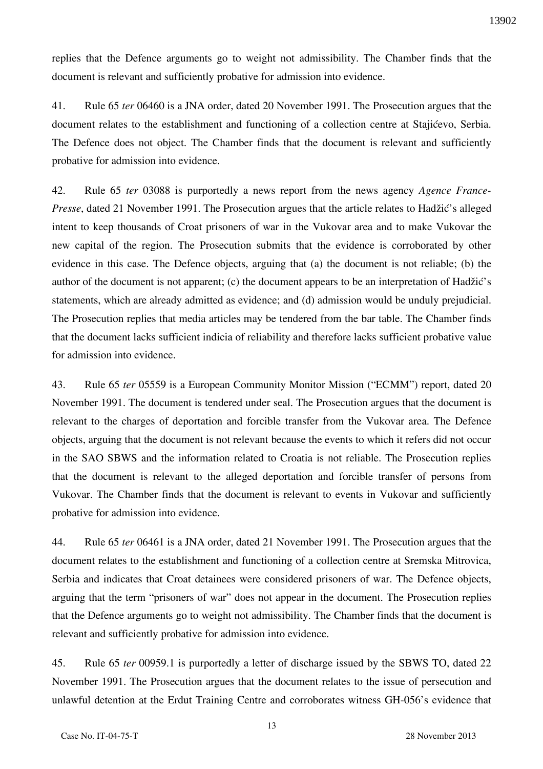replies that the Defence arguments go to weight not admissibility. The Chamber finds that the document is relevant and sufficiently probative for admission into evidence.

41. Rule 65 *ter* 06460 is a JNA order, dated 20 November 1991. The Prosecution argues that the document relates to the establishment and functioning of a collection centre at Stajićevo, Serbia. The Defence does not object. The Chamber finds that the document is relevant and sufficiently probative for admission into evidence.

42. Rule 65 *ter* 03088 is purportedly a news report from the news agency *Agence France-Presse*, dated 21 November 1991. The Prosecution argues that the article relates to Hadžić's alleged intent to keep thousands of Croat prisoners of war in the Vukovar area and to make Vukovar the new capital of the region. The Prosecution submits that the evidence is corroborated by other evidence in this case. The Defence objects, arguing that (a) the document is not reliable; (b) the author of the document is not apparent; (c) the document appears to be an interpretation of Hadžić's statements, which are already admitted as evidence; and (d) admission would be unduly prejudicial. The Prosecution replies that media articles may be tendered from the bar table. The Chamber finds that the document lacks sufficient indicia of reliability and therefore lacks sufficient probative value for admission into evidence.

43. Rule 65 *ter* 05559 is a European Community Monitor Mission ("ECMM") report, dated 20 November 1991. The document is tendered under seal. The Prosecution argues that the document is relevant to the charges of deportation and forcible transfer from the Vukovar area. The Defence objects, arguing that the document is not relevant because the events to which it refers did not occur in the SAO SBWS and the information related to Croatia is not reliable. The Prosecution replies that the document is relevant to the alleged deportation and forcible transfer of persons from Vukovar. The Chamber finds that the document is relevant to events in Vukovar and sufficiently probative for admission into evidence.

44. Rule 65 *ter* 06461 is a JNA order, dated 21 November 1991. The Prosecution argues that the document relates to the establishment and functioning of a collection centre at Sremska Mitrovica, Serbia and indicates that Croat detainees were considered prisoners of war. The Defence objects, arguing that the term "prisoners of war" does not appear in the document. The Prosecution replies that the Defence arguments go to weight not admissibility. The Chamber finds that the document is relevant and sufficiently probative for admission into evidence.

45. Rule 65 *ter* 00959.1 is purportedly a letter of discharge issued by the SBWS TO, dated 22 November 1991. The Prosecution argues that the document relates to the issue of persecution and unlawful detention at the Erdut Training Centre and corroborates witness GH-056's evidence that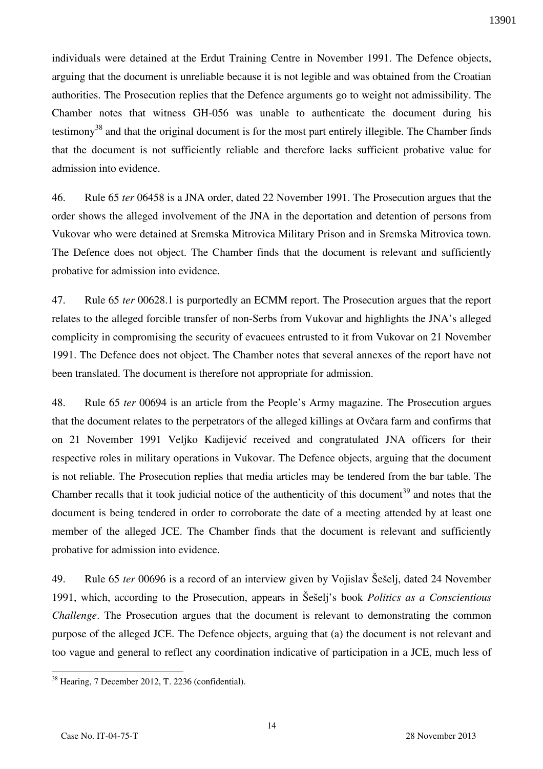individuals were detained at the Erdut Training Centre in November 1991. The Defence objects, arguing that the document is unreliable because it is not legible and was obtained from the Croatian authorities. The Prosecution replies that the Defence arguments go to weight not admissibility. The Chamber notes that witness GH-056 was unable to authenticate the document during his testimony<sup>38</sup> and that the original document is for the most part entirely illegible. The Chamber finds that the document is not sufficiently reliable and therefore lacks sufficient probative value for admission into evidence.

46. Rule 65 *ter* 06458 is a JNA order, dated 22 November 1991. The Prosecution argues that the order shows the alleged involvement of the JNA in the deportation and detention of persons from Vukovar who were detained at Sremska Mitrovica Military Prison and in Sremska Mitrovica town. The Defence does not object. The Chamber finds that the document is relevant and sufficiently probative for admission into evidence.

47. Rule 65 *ter* 00628.1 is purportedly an ECMM report. The Prosecution argues that the report relates to the alleged forcible transfer of non-Serbs from Vukovar and highlights the JNA's alleged complicity in compromising the security of evacuees entrusted to it from Vukovar on 21 November 1991. The Defence does not object. The Chamber notes that several annexes of the report have not been translated. The document is therefore not appropriate for admission.

48. Rule 65 *ter* 00694 is an article from the People's Army magazine. The Prosecution argues that the document relates to the perpetrators of the alleged killings at Ovčara farm and confirms that on 21 November 1991 Veljko Kadijević received and congratulated JNA officers for their respective roles in military operations in Vukovar. The Defence objects, arguing that the document is not reliable. The Prosecution replies that media articles may be tendered from the bar table. The Chamber recalls that it took judicial notice of the authenticity of this document<sup>39</sup> and notes that the document is being tendered in order to corroborate the date of a meeting attended by at least one member of the alleged JCE. The Chamber finds that the document is relevant and sufficiently probative for admission into evidence.

49. Rule 65 *ter* 00696 is a record of an interview given by Vojislav Šešelj, dated 24 November 1991, which, according to the Prosecution, appears in Šešelj's book *Politics as a Conscientious Challenge*. The Prosecution argues that the document is relevant to demonstrating the common purpose of the alleged JCE. The Defence objects, arguing that (a) the document is not relevant and too vague and general to reflect any coordination indicative of participation in a JCE, much less of

 $\overline{a}$ <sup>38</sup> Hearing, 7 December 2012, T. 2236 (confidential).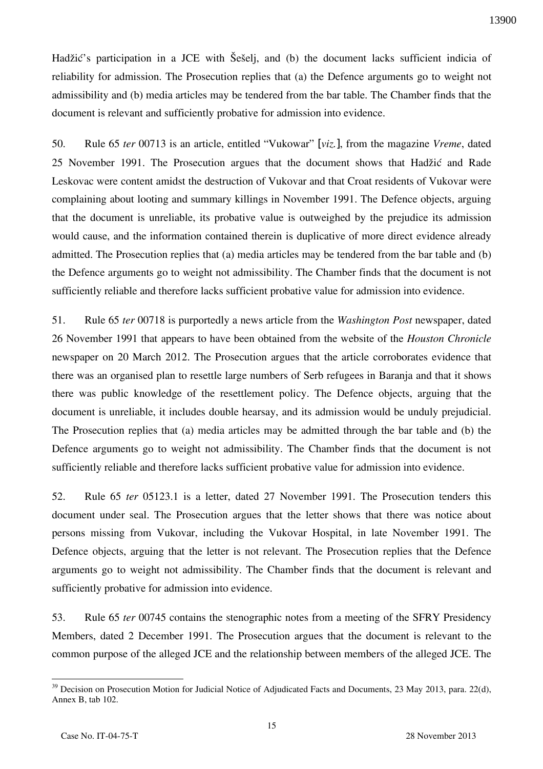Hadžić's participation in a JCE with Šešelj, and (b) the document lacks sufficient indicia of reliability for admission. The Prosecution replies that (a) the Defence arguments go to weight not admissibility and (b) media articles may be tendered from the bar table. The Chamber finds that the document is relevant and sufficiently probative for admission into evidence.

50. Rule 65 *ter* 00713 is an article, entitled "Vukowar" [*viz.*], from the magazine *Vreme*, dated 25 November 1991. The Prosecution argues that the document shows that Hadžić and Rade Leskovac were content amidst the destruction of Vukovar and that Croat residents of Vukovar were complaining about looting and summary killings in November 1991. The Defence objects, arguing that the document is unreliable, its probative value is outweighed by the prejudice its admission would cause, and the information contained therein is duplicative of more direct evidence already admitted. The Prosecution replies that (a) media articles may be tendered from the bar table and (b) the Defence arguments go to weight not admissibility. The Chamber finds that the document is not sufficiently reliable and therefore lacks sufficient probative value for admission into evidence.

51. Rule 65 *ter* 00718 is purportedly a news article from the *Washington Post* newspaper, dated 26 November 1991 that appears to have been obtained from the website of the *Houston Chronicle* newspaper on 20 March 2012. The Prosecution argues that the article corroborates evidence that there was an organised plan to resettle large numbers of Serb refugees in Baranja and that it shows there was public knowledge of the resettlement policy. The Defence objects, arguing that the document is unreliable, it includes double hearsay, and its admission would be unduly prejudicial. The Prosecution replies that (a) media articles may be admitted through the bar table and (b) the Defence arguments go to weight not admissibility. The Chamber finds that the document is not sufficiently reliable and therefore lacks sufficient probative value for admission into evidence.

52. Rule 65 *ter* 05123.1 is a letter, dated 27 November 1991. The Prosecution tenders this document under seal. The Prosecution argues that the letter shows that there was notice about persons missing from Vukovar, including the Vukovar Hospital, in late November 1991. The Defence objects, arguing that the letter is not relevant. The Prosecution replies that the Defence arguments go to weight not admissibility. The Chamber finds that the document is relevant and sufficiently probative for admission into evidence.

53. Rule 65 *ter* 00745 contains the stenographic notes from a meeting of the SFRY Presidency Members, dated 2 December 1991. The Prosecution argues that the document is relevant to the common purpose of the alleged JCE and the relationship between members of the alleged JCE. The

 $\overline{a}$  $39$  Decision on Prosecution Motion for Judicial Notice of Adjudicated Facts and Documents, 23 May 2013, para. 22(d), Annex B, tab 102.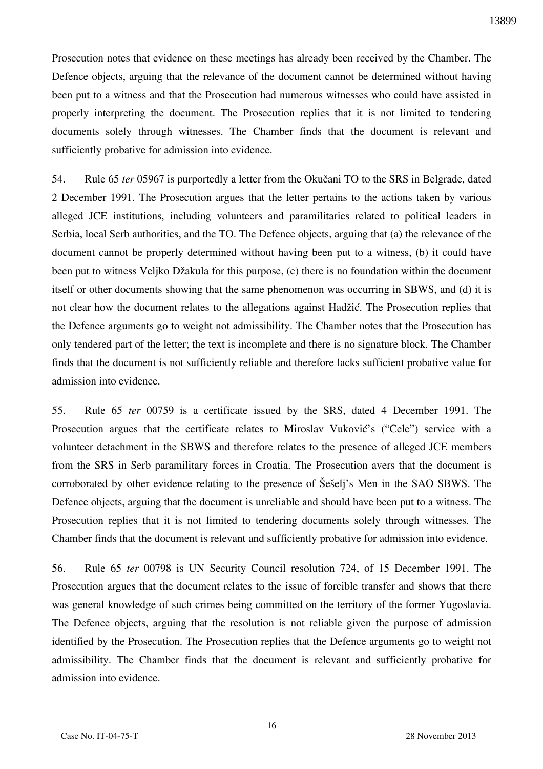Prosecution notes that evidence on these meetings has already been received by the Chamber. The Defence objects, arguing that the relevance of the document cannot be determined without having been put to a witness and that the Prosecution had numerous witnesses who could have assisted in properly interpreting the document. The Prosecution replies that it is not limited to tendering documents solely through witnesses. The Chamber finds that the document is relevant and sufficiently probative for admission into evidence.

54. Rule 65 *ter* 05967 is purportedly a letter from the Okučani TO to the SRS in Belgrade, dated 2 December 1991. The Prosecution argues that the letter pertains to the actions taken by various alleged JCE institutions, including volunteers and paramilitaries related to political leaders in Serbia, local Serb authorities, and the TO. The Defence objects, arguing that (a) the relevance of the document cannot be properly determined without having been put to a witness, (b) it could have been put to witness Veljko Džakula for this purpose, (c) there is no foundation within the document itself or other documents showing that the same phenomenon was occurring in SBWS, and (d) it is not clear how the document relates to the allegations against Hadžić. The Prosecution replies that the Defence arguments go to weight not admissibility. The Chamber notes that the Prosecution has only tendered part of the letter; the text is incomplete and there is no signature block. The Chamber finds that the document is not sufficiently reliable and therefore lacks sufficient probative value for admission into evidence.

55. Rule 65 *ter* 00759 is a certificate issued by the SRS, dated 4 December 1991. The Prosecution argues that the certificate relates to Miroslav Vuković's ("Cele") service with a volunteer detachment in the SBWS and therefore relates to the presence of alleged JCE members from the SRS in Serb paramilitary forces in Croatia. The Prosecution avers that the document is corroborated by other evidence relating to the presence of Šešelj's Men in the SAO SBWS. The Defence objects, arguing that the document is unreliable and should have been put to a witness. The Prosecution replies that it is not limited to tendering documents solely through witnesses. The Chamber finds that the document is relevant and sufficiently probative for admission into evidence.

56. Rule 65 *ter* 00798 is UN Security Council resolution 724, of 15 December 1991. The Prosecution argues that the document relates to the issue of forcible transfer and shows that there was general knowledge of such crimes being committed on the territory of the former Yugoslavia. The Defence objects, arguing that the resolution is not reliable given the purpose of admission identified by the Prosecution. The Prosecution replies that the Defence arguments go to weight not admissibility. The Chamber finds that the document is relevant and sufficiently probative for admission into evidence.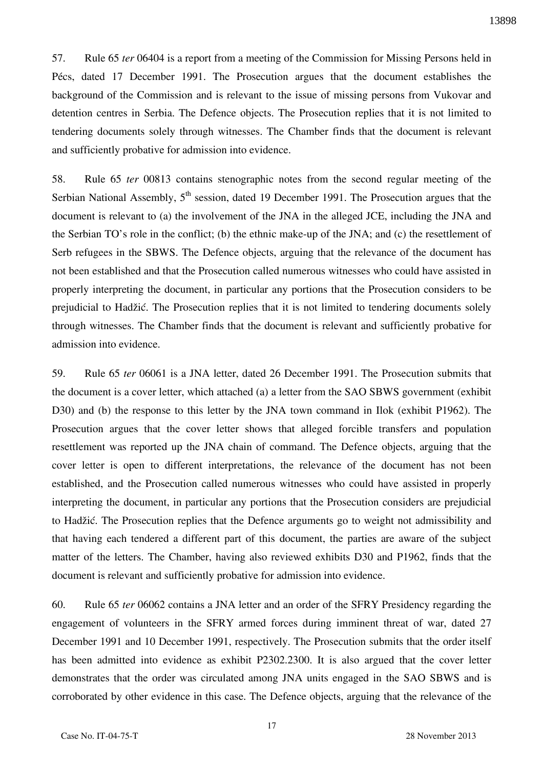57. Rule 65 *ter* 06404 is a report from a meeting of the Commission for Missing Persons held in Pécs, dated 17 December 1991. The Prosecution argues that the document establishes the background of the Commission and is relevant to the issue of missing persons from Vukovar and detention centres in Serbia. The Defence objects. The Prosecution replies that it is not limited to tendering documents solely through witnesses. The Chamber finds that the document is relevant and sufficiently probative for admission into evidence.

58. Rule 65 *ter* 00813 contains stenographic notes from the second regular meeting of the Serbian National Assembly,  $5<sup>th</sup>$  session, dated 19 December 1991. The Prosecution argues that the document is relevant to (a) the involvement of the JNA in the alleged JCE, including the JNA and the Serbian TO's role in the conflict; (b) the ethnic make-up of the JNA; and (c) the resettlement of Serb refugees in the SBWS. The Defence objects, arguing that the relevance of the document has not been established and that the Prosecution called numerous witnesses who could have assisted in properly interpreting the document, in particular any portions that the Prosecution considers to be prejudicial to Hadžić. The Prosecution replies that it is not limited to tendering documents solely through witnesses. The Chamber finds that the document is relevant and sufficiently probative for admission into evidence.

59. Rule 65 *ter* 06061 is a JNA letter, dated 26 December 1991. The Prosecution submits that the document is a cover letter, which attached (a) a letter from the SAO SBWS government (exhibit D30) and (b) the response to this letter by the JNA town command in Ilok (exhibit P1962). The Prosecution argues that the cover letter shows that alleged forcible transfers and population resettlement was reported up the JNA chain of command. The Defence objects, arguing that the cover letter is open to different interpretations, the relevance of the document has not been established, and the Prosecution called numerous witnesses who could have assisted in properly interpreting the document, in particular any portions that the Prosecution considers are prejudicial to Hadžić. The Prosecution replies that the Defence arguments go to weight not admissibility and that having each tendered a different part of this document, the parties are aware of the subject matter of the letters. The Chamber, having also reviewed exhibits D30 and P1962, finds that the document is relevant and sufficiently probative for admission into evidence.

60. Rule 65 *ter* 06062 contains a JNA letter and an order of the SFRY Presidency regarding the engagement of volunteers in the SFRY armed forces during imminent threat of war, dated 27 December 1991 and 10 December 1991, respectively. The Prosecution submits that the order itself has been admitted into evidence as exhibit P2302.2300. It is also argued that the cover letter demonstrates that the order was circulated among JNA units engaged in the SAO SBWS and is corroborated by other evidence in this case. The Defence objects, arguing that the relevance of the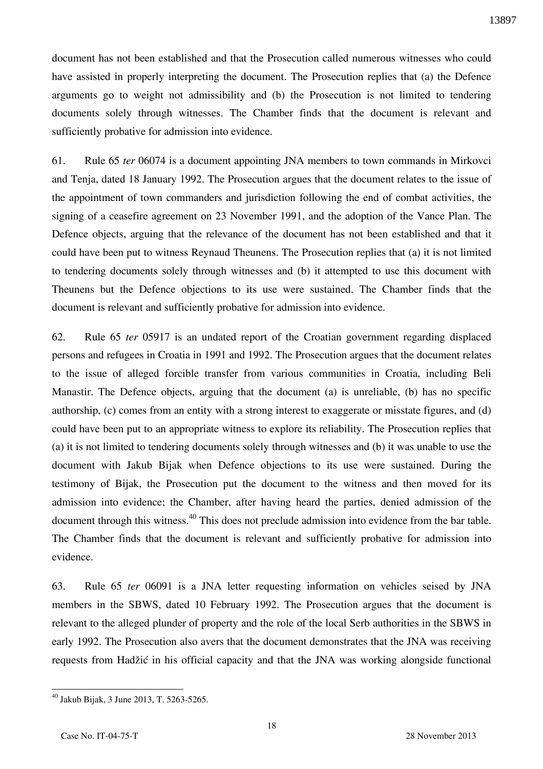document has not been established and that the Prosecution called numerous witnesses who could have assisted in properly interpreting the document. The Prosecution replies that (a) the Defence arguments go to weight not admissibility and (b) the Prosecution is not limited to tendering documents solely through witnesses. The Chamber finds that the document is relevant and sufficiently probative for admission into evidence.

61. Rule 65 *ter* 06074 is a document appointing JNA members to town commands in Mirkovci and Tenja, dated 18 January 1992. The Prosecution argues that the document relates to the issue of the appointment of town commanders and jurisdiction following the end of combat activities, the signing of a ceasefire agreement on 23 November 1991, and the adoption of the Vance Plan. The Defence objects, arguing that the relevance of the document has not been established and that it could have been put to witness Reynaud Theunens. The Prosecution replies that (a) it is not limited to tendering documents solely through witnesses and (b) it attempted to use this document with Theunens but the Defence objections to its use were sustained. The Chamber finds that the document is relevant and sufficiently probative for admission into evidence.

62. Rule 65 *ter* 05917 is an undated report of the Croatian government regarding displaced persons and refugees in Croatia in 1991 and 1992. The Prosecution argues that the document relates to the issue of alleged forcible transfer from various communities in Croatia, including Beli Manastir. The Defence objects, arguing that the document (a) is unreliable, (b) has no specific authorship, (c) comes from an entity with a strong interest to exaggerate or misstate figures, and (d) could have been put to an appropriate witness to explore its reliability. The Prosecution replies that (a) it is not limited to tendering documents solely through witnesses and (b) it was unable to use the document with Jakub Bijak when Defence objections to its use were sustained. During the testimony of Bijak, the Prosecution put the document to the witness and then moved for its admission into evidence; the Chamber, after having heard the parties, denied admission of the document through this witness.<sup>40</sup> This does not preclude admission into evidence from the bar table. The Chamber finds that the document is relevant and sufficiently probative for admission into evidence.

63. Rule 65 *ter* 06091 is a JNA letter requesting information on vehicles seised by JNA members in the SBWS, dated 10 February 1992. The Prosecution argues that the document is relevant to the alleged plunder of property and the role of the local Serb authorities in the SBWS in early 1992. The Prosecution also avers that the document demonstrates that the JNA was receiving requests from Hadžić in his official capacity and that the JNA was working alongside functional

 $40$  Jakub Bijak, 3 June 2013, T. 5263-5265.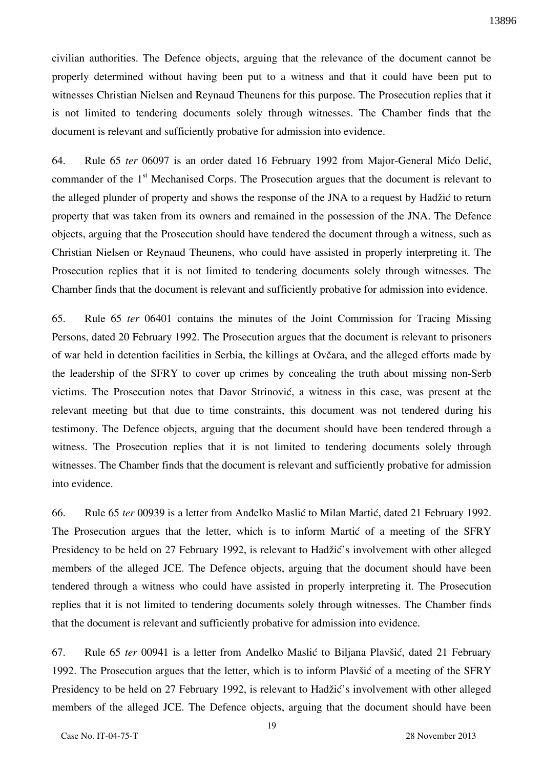civilian authorities. The Defence objects, arguing that the relevance of the document cannot be properly determined without having been put to a witness and that it could have been put to witnesses Christian Nielsen and Reynaud Theunens for this purpose. The Prosecution replies that it is not limited to tendering documents solely through witnesses. The Chamber finds that the document is relevant and sufficiently probative for admission into evidence.

64. Rule 65 *ter* 06097 is an order dated 16 February 1992 from Major-General Mićo Delić, commander of the  $1<sup>st</sup>$  Mechanised Corps. The Prosecution argues that the document is relevant to the alleged plunder of property and shows the response of the JNA to a request by Hadžić to return property that was taken from its owners and remained in the possession of the JNA. The Defence objects, arguing that the Prosecution should have tendered the document through a witness, such as Christian Nielsen or Reynaud Theunens, who could have assisted in properly interpreting it. The Prosecution replies that it is not limited to tendering documents solely through witnesses. The Chamber finds that the document is relevant and sufficiently probative for admission into evidence.

65. Rule 65 *ter* 06401 contains the minutes of the Joint Commission for Tracing Missing Persons, dated 20 February 1992. The Prosecution argues that the document is relevant to prisoners of war held in detention facilities in Serbia, the killings at Ovčara, and the alleged efforts made by the leadership of the SFRY to cover up crimes by concealing the truth about missing non-Serb victims. The Prosecution notes that Davor Strinović, a witness in this case, was present at the relevant meeting but that due to time constraints, this document was not tendered during his testimony. The Defence objects, arguing that the document should have been tendered through a witness. The Prosecution replies that it is not limited to tendering documents solely through witnesses. The Chamber finds that the document is relevant and sufficiently probative for admission into evidence.

66. Rule 65 *ter* 00939 is a letter from Anđelko Maslić to Milan Martić, dated 21 February 1992. The Prosecution argues that the letter, which is to inform Martić of a meeting of the SFRY Presidency to be held on 27 February 1992, is relevant to Hadžić's involvement with other alleged members of the alleged JCE. The Defence objects, arguing that the document should have been tendered through a witness who could have assisted in properly interpreting it. The Prosecution replies that it is not limited to tendering documents solely through witnesses. The Chamber finds that the document is relevant and sufficiently probative for admission into evidence.

67. Rule 65 *ter* 00941 is a letter from Anđelko Maslić to Biljana Plavšić, dated 21 February 1992. The Prosecution argues that the letter, which is to inform Plavšić of a meeting of the SFRY Presidency to be held on 27 February 1992, is relevant to Hadžić's involvement with other alleged members of the alleged JCE. The Defence objects, arguing that the document should have been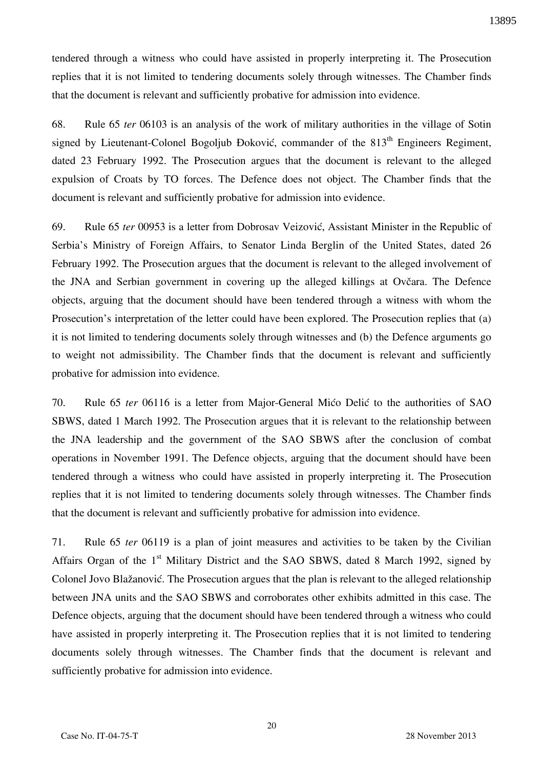tendered through a witness who could have assisted in properly interpreting it. The Prosecution replies that it is not limited to tendering documents solely through witnesses. The Chamber finds that the document is relevant and sufficiently probative for admission into evidence.

68. Rule 65 *ter* 06103 is an analysis of the work of military authorities in the village of Sotin signed by Lieutenant-Colonel Bogoljub Đoković, commander of the  $813<sup>th</sup>$  Engineers Regiment, dated 23 February 1992. The Prosecution argues that the document is relevant to the alleged expulsion of Croats by TO forces. The Defence does not object. The Chamber finds that the document is relevant and sufficiently probative for admission into evidence.

69. Rule 65 *ter* 00953 is a letter from Dobrosav Veizović, Assistant Minister in the Republic of Serbia's Ministry of Foreign Affairs, to Senator Linda Berglin of the United States, dated 26 February 1992. The Prosecution argues that the document is relevant to the alleged involvement of the JNA and Serbian government in covering up the alleged killings at Ovčara. The Defence objects, arguing that the document should have been tendered through a witness with whom the Prosecution's interpretation of the letter could have been explored. The Prosecution replies that (a) it is not limited to tendering documents solely through witnesses and (b) the Defence arguments go to weight not admissibility. The Chamber finds that the document is relevant and sufficiently probative for admission into evidence.

70. Rule 65 *ter* 06116 is a letter from Major-General Mićo Delić to the authorities of SAO SBWS, dated 1 March 1992. The Prosecution argues that it is relevant to the relationship between the JNA leadership and the government of the SAO SBWS after the conclusion of combat operations in November 1991. The Defence objects, arguing that the document should have been tendered through a witness who could have assisted in properly interpreting it. The Prosecution replies that it is not limited to tendering documents solely through witnesses. The Chamber finds that the document is relevant and sufficiently probative for admission into evidence.

71. Rule 65 *ter* 06119 is a plan of joint measures and activities to be taken by the Civilian Affairs Organ of the  $1<sup>st</sup>$  Military District and the SAO SBWS, dated 8 March 1992, signed by Colonel Jovo Blažanović. The Prosecution argues that the plan is relevant to the alleged relationship between JNA units and the SAO SBWS and corroborates other exhibits admitted in this case. The Defence objects, arguing that the document should have been tendered through a witness who could have assisted in properly interpreting it. The Prosecution replies that it is not limited to tendering documents solely through witnesses. The Chamber finds that the document is relevant and sufficiently probative for admission into evidence.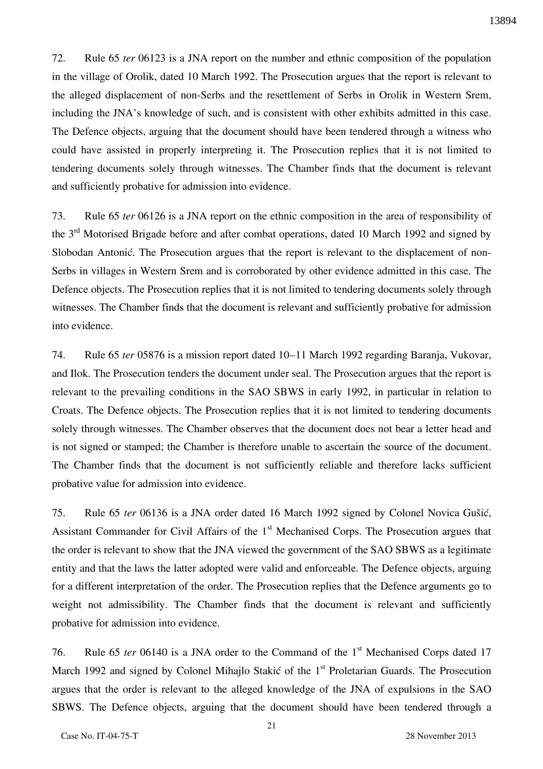72. Rule 65 *ter* 06123 is a JNA report on the number and ethnic composition of the population in the village of Orolik, dated 10 March 1992. The Prosecution argues that the report is relevant to the alleged displacement of non-Serbs and the resettlement of Serbs in Orolik in Western Srem, including the JNA's knowledge of such, and is consistent with other exhibits admitted in this case. The Defence objects, arguing that the document should have been tendered through a witness who could have assisted in properly interpreting it. The Prosecution replies that it is not limited to tendering documents solely through witnesses. The Chamber finds that the document is relevant and sufficiently probative for admission into evidence.

73. Rule 65 *ter* 06126 is a JNA report on the ethnic composition in the area of responsibility of the 3<sup>rd</sup> Motorised Brigade before and after combat operations, dated 10 March 1992 and signed by Slobodan Antonić. The Prosecution argues that the report is relevant to the displacement of non-Serbs in villages in Western Srem and is corroborated by other evidence admitted in this case. The Defence objects. The Prosecution replies that it is not limited to tendering documents solely through witnesses. The Chamber finds that the document is relevant and sufficiently probative for admission into evidence.

74. Rule 65 *ter* 05876 is a mission report dated 10–11 March 1992 regarding Baranja, Vukovar, and Ilok. The Prosecution tenders the document under seal. The Prosecution argues that the report is relevant to the prevailing conditions in the SAO SBWS in early 1992, in particular in relation to Croats. The Defence objects. The Prosecution replies that it is not limited to tendering documents solely through witnesses. The Chamber observes that the document does not bear a letter head and is not signed or stamped; the Chamber is therefore unable to ascertain the source of the document. The Chamber finds that the document is not sufficiently reliable and therefore lacks sufficient probative value for admission into evidence.

75. Rule 65 *ter* 06136 is a JNA order dated 16 March 1992 signed by Colonel Novica Gušić, Assistant Commander for Civil Affairs of the  $1<sup>st</sup>$  Mechanised Corps. The Prosecution argues that the order is relevant to show that the JNA viewed the government of the SAO SBWS as a legitimate entity and that the laws the latter adopted were valid and enforceable. The Defence objects, arguing for a different interpretation of the order. The Prosecution replies that the Defence arguments go to weight not admissibility. The Chamber finds that the document is relevant and sufficiently probative for admission into evidence.

76. Rule 65 *ter* 06140 is a JNA order to the Command of the 1<sup>st</sup> Mechanised Corps dated 17 March 1992 and signed by Colonel Mihajlo Stakić of the  $1<sup>st</sup>$  Proletarian Guards. The Prosecution argues that the order is relevant to the alleged knowledge of the JNA of expulsions in the SAO SBWS. The Defence objects, arguing that the document should have been tendered through a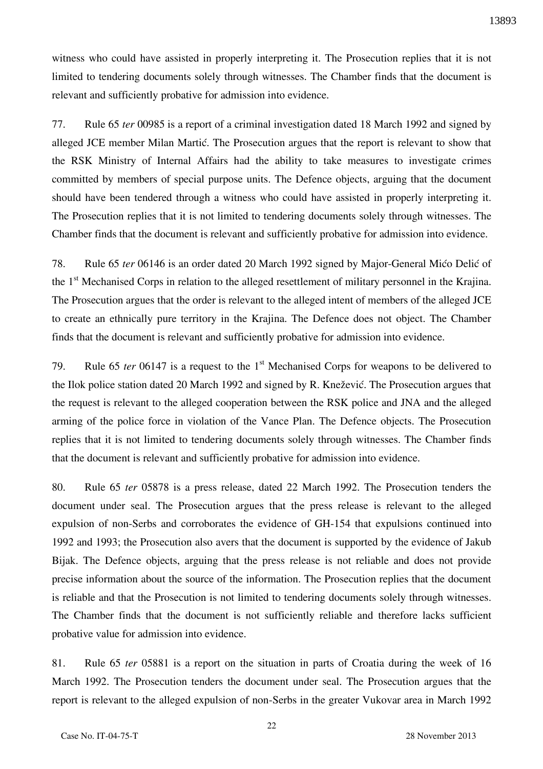witness who could have assisted in properly interpreting it. The Prosecution replies that it is not limited to tendering documents solely through witnesses. The Chamber finds that the document is relevant and sufficiently probative for admission into evidence.

77. Rule 65 *ter* 00985 is a report of a criminal investigation dated 18 March 1992 and signed by alleged JCE member Milan Martić. The Prosecution argues that the report is relevant to show that the RSK Ministry of Internal Affairs had the ability to take measures to investigate crimes committed by members of special purpose units. The Defence objects, arguing that the document should have been tendered through a witness who could have assisted in properly interpreting it. The Prosecution replies that it is not limited to tendering documents solely through witnesses. The Chamber finds that the document is relevant and sufficiently probative for admission into evidence.

78. Rule 65 *ter* 06146 is an order dated 20 March 1992 signed by Major-General Mićo Delić of the 1<sup>st</sup> Mechanised Corps in relation to the alleged resettlement of military personnel in the Krajina. The Prosecution argues that the order is relevant to the alleged intent of members of the alleged JCE to create an ethnically pure territory in the Krajina. The Defence does not object. The Chamber finds that the document is relevant and sufficiently probative for admission into evidence.

79. Rule 65 *ter* 06147 is a request to the 1<sup>st</sup> Mechanised Corps for weapons to be delivered to the Ilok police station dated 20 March 1992 and signed by R. Knežević. The Prosecution argues that the request is relevant to the alleged cooperation between the RSK police and JNA and the alleged arming of the police force in violation of the Vance Plan. The Defence objects. The Prosecution replies that it is not limited to tendering documents solely through witnesses. The Chamber finds that the document is relevant and sufficiently probative for admission into evidence.

80. Rule 65 *ter* 05878 is a press release, dated 22 March 1992. The Prosecution tenders the document under seal. The Prosecution argues that the press release is relevant to the alleged expulsion of non-Serbs and corroborates the evidence of GH-154 that expulsions continued into 1992 and 1993; the Prosecution also avers that the document is supported by the evidence of Jakub Bijak. The Defence objects, arguing that the press release is not reliable and does not provide precise information about the source of the information. The Prosecution replies that the document is reliable and that the Prosecution is not limited to tendering documents solely through witnesses. The Chamber finds that the document is not sufficiently reliable and therefore lacks sufficient probative value for admission into evidence.

81. Rule 65 *ter* 05881 is a report on the situation in parts of Croatia during the week of 16 March 1992. The Prosecution tenders the document under seal. The Prosecution argues that the report is relevant to the alleged expulsion of non-Serbs in the greater Vukovar area in March 1992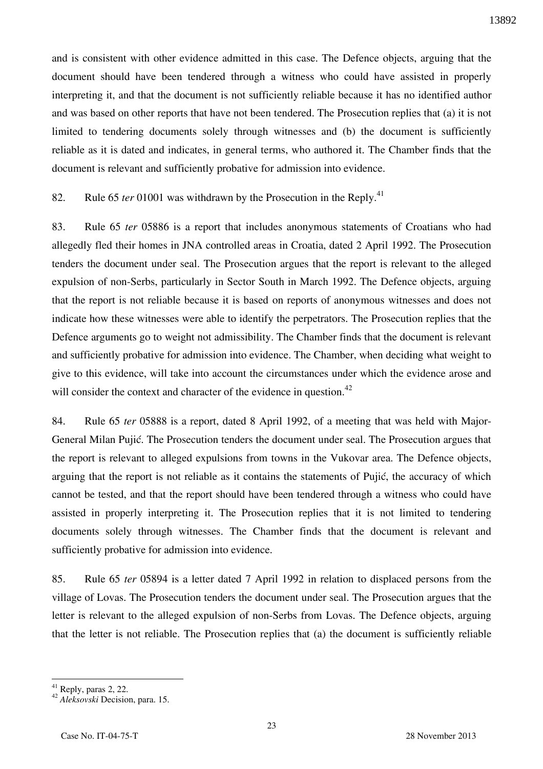and is consistent with other evidence admitted in this case. The Defence objects, arguing that the document should have been tendered through a witness who could have assisted in properly interpreting it, and that the document is not sufficiently reliable because it has no identified author and was based on other reports that have not been tendered. The Prosecution replies that (a) it is not limited to tendering documents solely through witnesses and (b) the document is sufficiently reliable as it is dated and indicates, in general terms, who authored it. The Chamber finds that the document is relevant and sufficiently probative for admission into evidence.

82. Rule 65 *ter* 01001 was withdrawn by the Prosecution in the Reply.<sup>41</sup>

83. Rule 65 *ter* 05886 is a report that includes anonymous statements of Croatians who had allegedly fled their homes in JNA controlled areas in Croatia, dated 2 April 1992. The Prosecution tenders the document under seal. The Prosecution argues that the report is relevant to the alleged expulsion of non-Serbs, particularly in Sector South in March 1992. The Defence objects, arguing that the report is not reliable because it is based on reports of anonymous witnesses and does not indicate how these witnesses were able to identify the perpetrators. The Prosecution replies that the Defence arguments go to weight not admissibility. The Chamber finds that the document is relevant and sufficiently probative for admission into evidence. The Chamber, when deciding what weight to give to this evidence, will take into account the circumstances under which the evidence arose and will consider the context and character of the evidence in question.<sup>42</sup>

84. Rule 65 *ter* 05888 is a report, dated 8 April 1992, of a meeting that was held with Major-General Milan Pujić. The Prosecution tenders the document under seal. The Prosecution argues that the report is relevant to alleged expulsions from towns in the Vukovar area. The Defence objects, arguing that the report is not reliable as it contains the statements of Pujić, the accuracy of which cannot be tested, and that the report should have been tendered through a witness who could have assisted in properly interpreting it. The Prosecution replies that it is not limited to tendering documents solely through witnesses. The Chamber finds that the document is relevant and sufficiently probative for admission into evidence.

85. Rule 65 *ter* 05894 is a letter dated 7 April 1992 in relation to displaced persons from the village of Lovas. The Prosecution tenders the document under seal. The Prosecution argues that the letter is relevant to the alleged expulsion of non-Serbs from Lovas. The Defence objects, arguing that the letter is not reliable. The Prosecution replies that (a) the document is sufficiently reliable

 $41$  Reply, paras 2, 22.

<sup>42</sup> *Aleksovski* Decision, para. 15.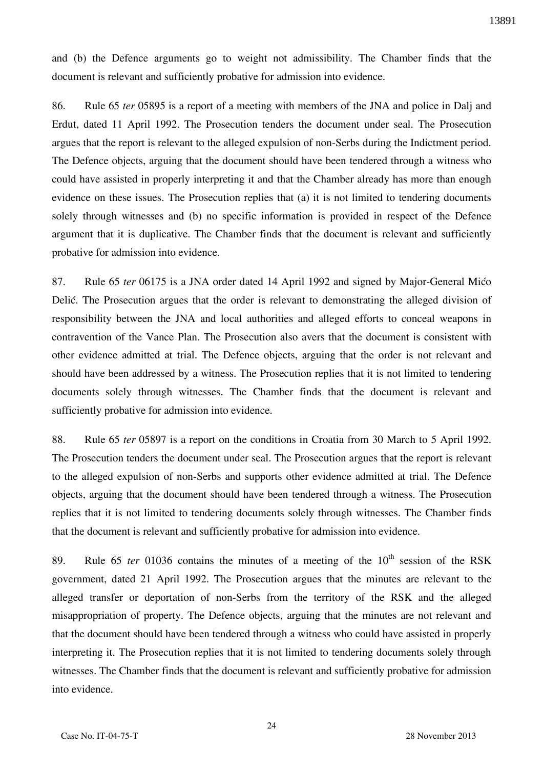and (b) the Defence arguments go to weight not admissibility. The Chamber finds that the document is relevant and sufficiently probative for admission into evidence.

86. Rule 65 *ter* 05895 is a report of a meeting with members of the JNA and police in Dalj and Erdut, dated 11 April 1992. The Prosecution tenders the document under seal. The Prosecution argues that the report is relevant to the alleged expulsion of non-Serbs during the Indictment period. The Defence objects, arguing that the document should have been tendered through a witness who could have assisted in properly interpreting it and that the Chamber already has more than enough evidence on these issues. The Prosecution replies that (a) it is not limited to tendering documents solely through witnesses and (b) no specific information is provided in respect of the Defence argument that it is duplicative. The Chamber finds that the document is relevant and sufficiently probative for admission into evidence.

87. Rule 65 *ter* 06175 is a JNA order dated 14 April 1992 and signed by Major-General Mićo Delić. The Prosecution argues that the order is relevant to demonstrating the alleged division of responsibility between the JNA and local authorities and alleged efforts to conceal weapons in contravention of the Vance Plan. The Prosecution also avers that the document is consistent with other evidence admitted at trial. The Defence objects, arguing that the order is not relevant and should have been addressed by a witness. The Prosecution replies that it is not limited to tendering documents solely through witnesses. The Chamber finds that the document is relevant and sufficiently probative for admission into evidence.

88. Rule 65 *ter* 05897 is a report on the conditions in Croatia from 30 March to 5 April 1992. The Prosecution tenders the document under seal. The Prosecution argues that the report is relevant to the alleged expulsion of non-Serbs and supports other evidence admitted at trial. The Defence objects, arguing that the document should have been tendered through a witness. The Prosecution replies that it is not limited to tendering documents solely through witnesses. The Chamber finds that the document is relevant and sufficiently probative for admission into evidence.

89. Rule 65 *ter* 01036 contains the minutes of a meeting of the  $10<sup>th</sup>$  session of the RSK government, dated 21 April 1992. The Prosecution argues that the minutes are relevant to the alleged transfer or deportation of non-Serbs from the territory of the RSK and the alleged misappropriation of property. The Defence objects, arguing that the minutes are not relevant and that the document should have been tendered through a witness who could have assisted in properly interpreting it. The Prosecution replies that it is not limited to tendering documents solely through witnesses. The Chamber finds that the document is relevant and sufficiently probative for admission into evidence.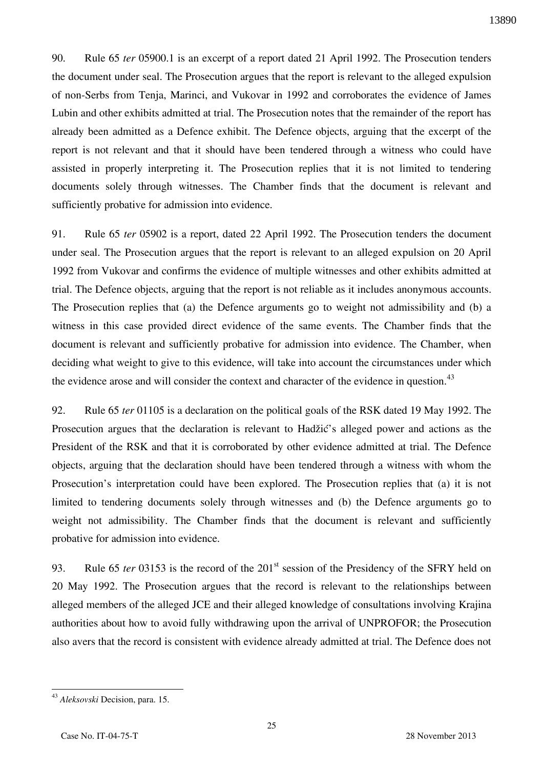90. Rule 65 *ter* 05900.1 is an excerpt of a report dated 21 April 1992. The Prosecution tenders the document under seal. The Prosecution argues that the report is relevant to the alleged expulsion of non-Serbs from Tenja, Marinci, and Vukovar in 1992 and corroborates the evidence of James Lubin and other exhibits admitted at trial. The Prosecution notes that the remainder of the report has already been admitted as a Defence exhibit. The Defence objects, arguing that the excerpt of the report is not relevant and that it should have been tendered through a witness who could have assisted in properly interpreting it. The Prosecution replies that it is not limited to tendering documents solely through witnesses. The Chamber finds that the document is relevant and sufficiently probative for admission into evidence.

91. Rule 65 *ter* 05902 is a report, dated 22 April 1992. The Prosecution tenders the document under seal. The Prosecution argues that the report is relevant to an alleged expulsion on 20 April 1992 from Vukovar and confirms the evidence of multiple witnesses and other exhibits admitted at trial. The Defence objects, arguing that the report is not reliable as it includes anonymous accounts. The Prosecution replies that (a) the Defence arguments go to weight not admissibility and (b) a witness in this case provided direct evidence of the same events. The Chamber finds that the document is relevant and sufficiently probative for admission into evidence. The Chamber, when deciding what weight to give to this evidence, will take into account the circumstances under which the evidence arose and will consider the context and character of the evidence in question.<sup>43</sup>

92. Rule 65 *ter* 01105 is a declaration on the political goals of the RSK dated 19 May 1992. The Prosecution argues that the declaration is relevant to Hadžić's alleged power and actions as the President of the RSK and that it is corroborated by other evidence admitted at trial. The Defence objects, arguing that the declaration should have been tendered through a witness with whom the Prosecution's interpretation could have been explored. The Prosecution replies that (a) it is not limited to tendering documents solely through witnesses and (b) the Defence arguments go to weight not admissibility. The Chamber finds that the document is relevant and sufficiently probative for admission into evidence.

93. Rule 65 *ter* 03153 is the record of the 201<sup>st</sup> session of the Presidency of the SFRY held on 20 May 1992. The Prosecution argues that the record is relevant to the relationships between alleged members of the alleged JCE and their alleged knowledge of consultations involving Krajina authorities about how to avoid fully withdrawing upon the arrival of UNPROFOR; the Prosecution also avers that the record is consistent with evidence already admitted at trial. The Defence does not

 $\overline{a}$ <sup>43</sup> *Aleksovski* Decision, para. 15.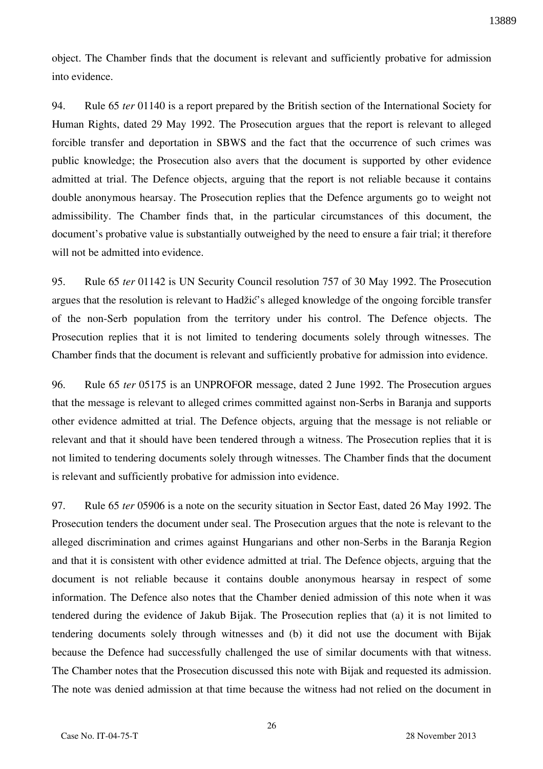object. The Chamber finds that the document is relevant and sufficiently probative for admission into evidence.

94. Rule 65 *ter* 01140 is a report prepared by the British section of the International Society for Human Rights, dated 29 May 1992. The Prosecution argues that the report is relevant to alleged forcible transfer and deportation in SBWS and the fact that the occurrence of such crimes was public knowledge; the Prosecution also avers that the document is supported by other evidence admitted at trial. The Defence objects, arguing that the report is not reliable because it contains double anonymous hearsay. The Prosecution replies that the Defence arguments go to weight not admissibility. The Chamber finds that, in the particular circumstances of this document, the document's probative value is substantially outweighed by the need to ensure a fair trial; it therefore will not be admitted into evidence.

95. Rule 65 *ter* 01142 is UN Security Council resolution 757 of 30 May 1992. The Prosecution argues that the resolution is relevant to Hadžić's alleged knowledge of the ongoing forcible transfer of the non-Serb population from the territory under his control. The Defence objects. The Prosecution replies that it is not limited to tendering documents solely through witnesses. The Chamber finds that the document is relevant and sufficiently probative for admission into evidence.

96. Rule 65 *ter* 05175 is an UNPROFOR message, dated 2 June 1992. The Prosecution argues that the message is relevant to alleged crimes committed against non-Serbs in Baranja and supports other evidence admitted at trial. The Defence objects, arguing that the message is not reliable or relevant and that it should have been tendered through a witness. The Prosecution replies that it is not limited to tendering documents solely through witnesses. The Chamber finds that the document is relevant and sufficiently probative for admission into evidence.

97. Rule 65 *ter* 05906 is a note on the security situation in Sector East, dated 26 May 1992. The Prosecution tenders the document under seal. The Prosecution argues that the note is relevant to the alleged discrimination and crimes against Hungarians and other non-Serbs in the Baranja Region and that it is consistent with other evidence admitted at trial. The Defence objects, arguing that the document is not reliable because it contains double anonymous hearsay in respect of some information. The Defence also notes that the Chamber denied admission of this note when it was tendered during the evidence of Jakub Bijak. The Prosecution replies that (a) it is not limited to tendering documents solely through witnesses and (b) it did not use the document with Bijak because the Defence had successfully challenged the use of similar documents with that witness. The Chamber notes that the Prosecution discussed this note with Bijak and requested its admission. The note was denied admission at that time because the witness had not relied on the document in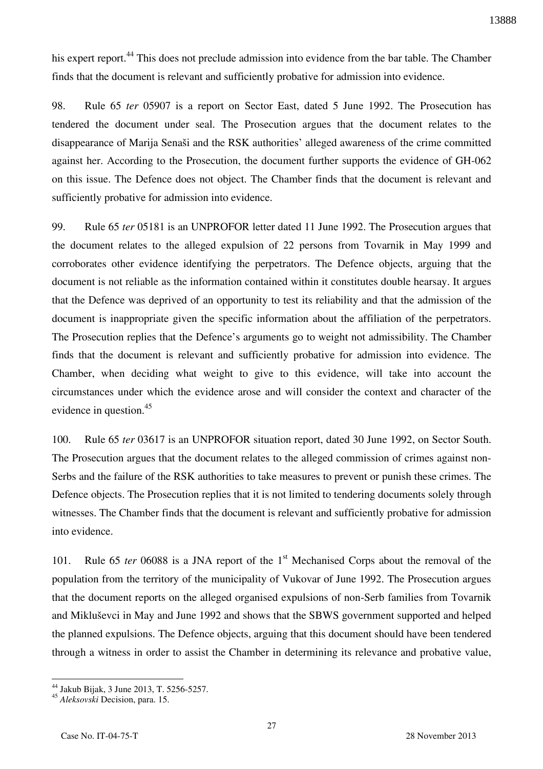his expert report.<sup>44</sup> This does not preclude admission into evidence from the bar table. The Chamber finds that the document is relevant and sufficiently probative for admission into evidence.

98. Rule 65 *ter* 05907 is a report on Sector East, dated 5 June 1992. The Prosecution has tendered the document under seal. The Prosecution argues that the document relates to the disappearance of Marija Senaši and the RSK authorities' alleged awareness of the crime committed against her. According to the Prosecution, the document further supports the evidence of GH-062 on this issue. The Defence does not object. The Chamber finds that the document is relevant and sufficiently probative for admission into evidence.

99. Rule 65 *ter* 05181 is an UNPROFOR letter dated 11 June 1992. The Prosecution argues that the document relates to the alleged expulsion of 22 persons from Tovarnik in May 1999 and corroborates other evidence identifying the perpetrators. The Defence objects, arguing that the document is not reliable as the information contained within it constitutes double hearsay. It argues that the Defence was deprived of an opportunity to test its reliability and that the admission of the document is inappropriate given the specific information about the affiliation of the perpetrators. The Prosecution replies that the Defence's arguments go to weight not admissibility. The Chamber finds that the document is relevant and sufficiently probative for admission into evidence. The Chamber, when deciding what weight to give to this evidence, will take into account the circumstances under which the evidence arose and will consider the context and character of the evidence in question.<sup>45</sup>

100. Rule 65 *ter* 03617 is an UNPROFOR situation report, dated 30 June 1992, on Sector South. The Prosecution argues that the document relates to the alleged commission of crimes against non-Serbs and the failure of the RSK authorities to take measures to prevent or punish these crimes. The Defence objects. The Prosecution replies that it is not limited to tendering documents solely through witnesses. The Chamber finds that the document is relevant and sufficiently probative for admission into evidence.

101. Rule 65 *ter* 06088 is a JNA report of the 1<sup>st</sup> Mechanised Corps about the removal of the population from the territory of the municipality of Vukovar of June 1992. The Prosecution argues that the document reports on the alleged organised expulsions of non-Serb families from Tovarnik and Mikluševci in May and June 1992 and shows that the SBWS government supported and helped the planned expulsions. The Defence objects, arguing that this document should have been tendered through a witness in order to assist the Chamber in determining its relevance and probative value,

 $\overline{a}$ <sup>44</sup> Jakub Bijak, 3 June 2013, T. 5256-5257.

<sup>45</sup> *Aleksovski* Decision, para. 15.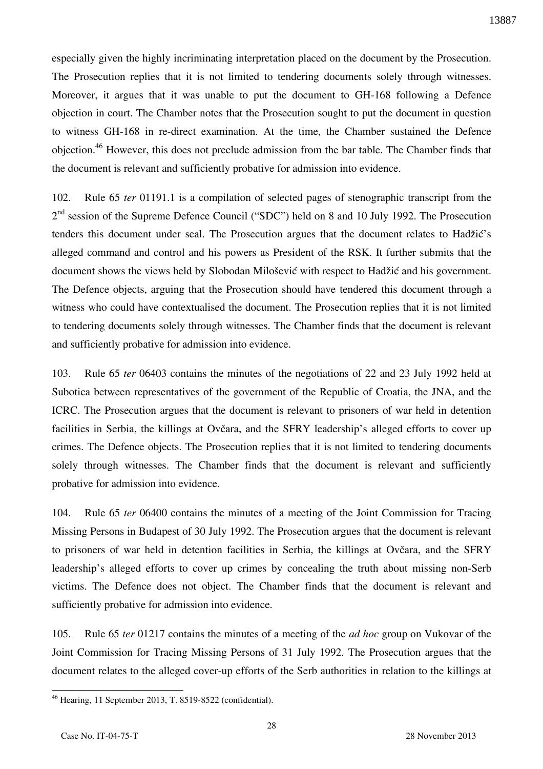especially given the highly incriminating interpretation placed on the document by the Prosecution. The Prosecution replies that it is not limited to tendering documents solely through witnesses. Moreover, it argues that it was unable to put the document to GH-168 following a Defence objection in court. The Chamber notes that the Prosecution sought to put the document in question to witness GH-168 in re-direct examination. At the time, the Chamber sustained the Defence objection.<sup>46</sup> However, this does not preclude admission from the bar table. The Chamber finds that the document is relevant and sufficiently probative for admission into evidence.

102. Rule 65 *ter* 01191.1 is a compilation of selected pages of stenographic transcript from the 2<sup>nd</sup> session of the Supreme Defence Council ("SDC") held on 8 and 10 July 1992. The Prosecution tenders this document under seal. The Prosecution argues that the document relates to Hadžić's alleged command and control and his powers as President of the RSK. It further submits that the document shows the views held by Slobodan Milošević with respect to Hadžić and his government. The Defence objects, arguing that the Prosecution should have tendered this document through a witness who could have contextualised the document. The Prosecution replies that it is not limited to tendering documents solely through witnesses. The Chamber finds that the document is relevant and sufficiently probative for admission into evidence.

103. Rule 65 *ter* 06403 contains the minutes of the negotiations of 22 and 23 July 1992 held at Subotica between representatives of the government of the Republic of Croatia, the JNA, and the ICRC. The Prosecution argues that the document is relevant to prisoners of war held in detention facilities in Serbia, the killings at Ovčara, and the SFRY leadership's alleged efforts to cover up crimes. The Defence objects. The Prosecution replies that it is not limited to tendering documents solely through witnesses. The Chamber finds that the document is relevant and sufficiently probative for admission into evidence.

104. Rule 65 *ter* 06400 contains the minutes of a meeting of the Joint Commission for Tracing Missing Persons in Budapest of 30 July 1992. The Prosecution argues that the document is relevant to prisoners of war held in detention facilities in Serbia, the killings at Ovčara, and the SFRY leadership's alleged efforts to cover up crimes by concealing the truth about missing non-Serb victims. The Defence does not object. The Chamber finds that the document is relevant and sufficiently probative for admission into evidence.

105. Rule 65 *ter* 01217 contains the minutes of a meeting of the *ad hoc* group on Vukovar of the Joint Commission for Tracing Missing Persons of 31 July 1992. The Prosecution argues that the document relates to the alleged cover-up efforts of the Serb authorities in relation to the killings at

 $\overline{a}$  $46$  Hearing, 11 September 2013, T. 8519-8522 (confidential).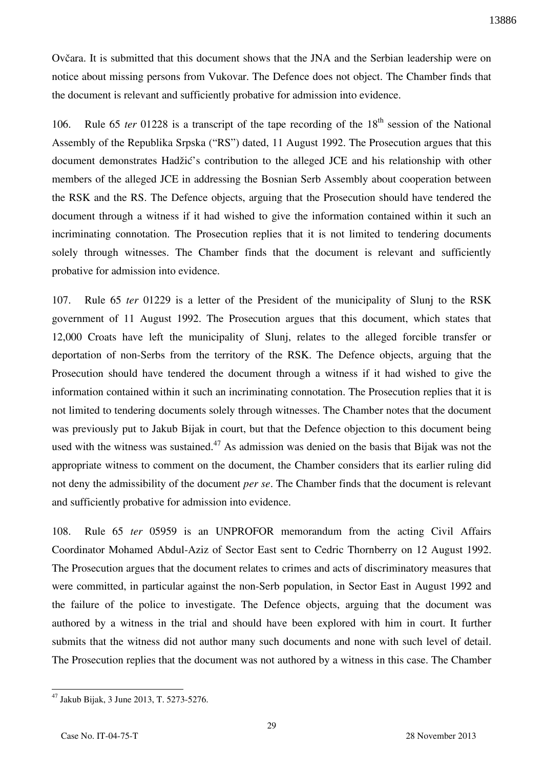Ovčara. It is submitted that this document shows that the JNA and the Serbian leadership were on notice about missing persons from Vukovar. The Defence does not object. The Chamber finds that the document is relevant and sufficiently probative for admission into evidence.

106. Rule 65 *ter* 01228 is a transcript of the tape recording of the 18<sup>th</sup> session of the National Assembly of the Republika Srpska ("RS") dated, 11 August 1992. The Prosecution argues that this document demonstrates Hadžić's contribution to the alleged JCE and his relationship with other members of the alleged JCE in addressing the Bosnian Serb Assembly about cooperation between the RSK and the RS. The Defence objects, arguing that the Prosecution should have tendered the document through a witness if it had wished to give the information contained within it such an incriminating connotation. The Prosecution replies that it is not limited to tendering documents solely through witnesses. The Chamber finds that the document is relevant and sufficiently probative for admission into evidence.

107. Rule 65 *ter* 01229 is a letter of the President of the municipality of Slunj to the RSK government of 11 August 1992. The Prosecution argues that this document, which states that 12,000 Croats have left the municipality of Slunj, relates to the alleged forcible transfer or deportation of non-Serbs from the territory of the RSK. The Defence objects, arguing that the Prosecution should have tendered the document through a witness if it had wished to give the information contained within it such an incriminating connotation. The Prosecution replies that it is not limited to tendering documents solely through witnesses. The Chamber notes that the document was previously put to Jakub Bijak in court, but that the Defence objection to this document being used with the witness was sustained.<sup>47</sup> As admission was denied on the basis that Bijak was not the appropriate witness to comment on the document, the Chamber considers that its earlier ruling did not deny the admissibility of the document *per se*. The Chamber finds that the document is relevant and sufficiently probative for admission into evidence.

108. Rule 65 *ter* 05959 is an UNPROFOR memorandum from the acting Civil Affairs Coordinator Mohamed Abdul-Aziz of Sector East sent to Cedric Thornberry on 12 August 1992. The Prosecution argues that the document relates to crimes and acts of discriminatory measures that were committed, in particular against the non-Serb population, in Sector East in August 1992 and the failure of the police to investigate. The Defence objects, arguing that the document was authored by a witness in the trial and should have been explored with him in court. It further submits that the witness did not author many such documents and none with such level of detail. The Prosecution replies that the document was not authored by a witness in this case. The Chamber

<sup>47</sup> Jakub Bijak, 3 June 2013, T. 5273-5276.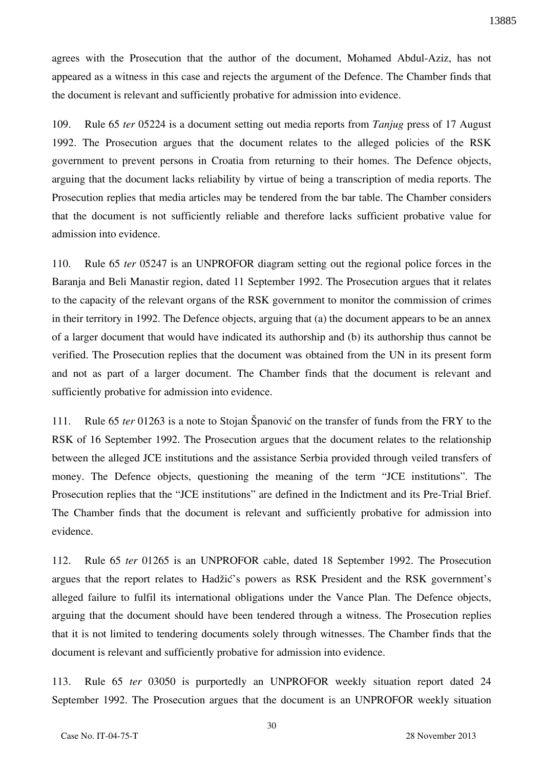agrees with the Prosecution that the author of the document, Mohamed Abdul-Aziz, has not appeared as a witness in this case and rejects the argument of the Defence. The Chamber finds that the document is relevant and sufficiently probative for admission into evidence.

109. Rule 65 *ter* 05224 is a document setting out media reports from *Tanjug* press of 17 August 1992. The Prosecution argues that the document relates to the alleged policies of the RSK government to prevent persons in Croatia from returning to their homes. The Defence objects, arguing that the document lacks reliability by virtue of being a transcription of media reports. The Prosecution replies that media articles may be tendered from the bar table. The Chamber considers that the document is not sufficiently reliable and therefore lacks sufficient probative value for admission into evidence.

110. Rule 65 *ter* 05247 is an UNPROFOR diagram setting out the regional police forces in the Baranja and Beli Manastir region, dated 11 September 1992. The Prosecution argues that it relates to the capacity of the relevant organs of the RSK government to monitor the commission of crimes in their territory in 1992. The Defence objects, arguing that (a) the document appears to be an annex of a larger document that would have indicated its authorship and (b) its authorship thus cannot be verified. The Prosecution replies that the document was obtained from the UN in its present form and not as part of a larger document. The Chamber finds that the document is relevant and sufficiently probative for admission into evidence.

111. Rule 65 *ter* 01263 is a note to Stojan Španović on the transfer of funds from the FRY to the RSK of 16 September 1992. The Prosecution argues that the document relates to the relationship between the alleged JCE institutions and the assistance Serbia provided through veiled transfers of money. The Defence objects, questioning the meaning of the term "JCE institutions". The Prosecution replies that the "JCE institutions" are defined in the Indictment and its Pre-Trial Brief. The Chamber finds that the document is relevant and sufficiently probative for admission into evidence.

112. Rule 65 *ter* 01265 is an UNPROFOR cable, dated 18 September 1992. The Prosecution argues that the report relates to Hadžić's powers as RSK President and the RSK government's alleged failure to fulfil its international obligations under the Vance Plan. The Defence objects, arguing that the document should have been tendered through a witness. The Prosecution replies that it is not limited to tendering documents solely through witnesses. The Chamber finds that the document is relevant and sufficiently probative for admission into evidence.

113. Rule 65 *ter* 03050 is purportedly an UNPROFOR weekly situation report dated 24 September 1992. The Prosecution argues that the document is an UNPROFOR weekly situation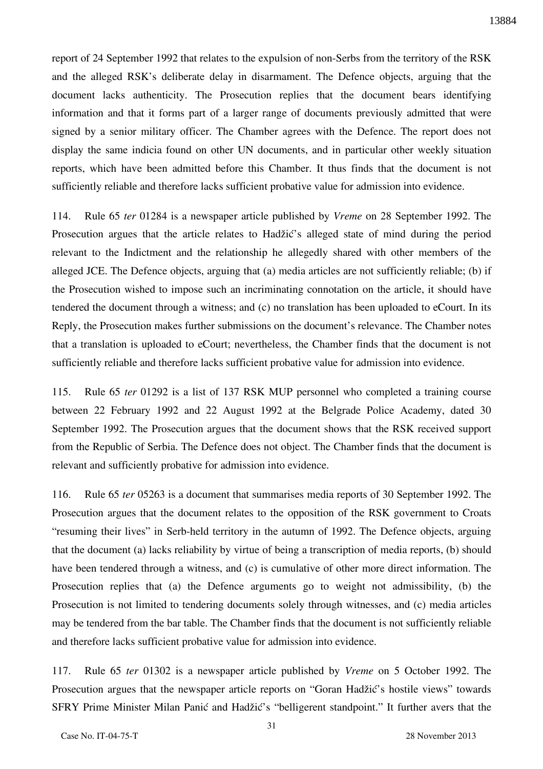report of 24 September 1992 that relates to the expulsion of non-Serbs from the territory of the RSK and the alleged RSK's deliberate delay in disarmament. The Defence objects, arguing that the document lacks authenticity. The Prosecution replies that the document bears identifying information and that it forms part of a larger range of documents previously admitted that were signed by a senior military officer. The Chamber agrees with the Defence. The report does not display the same indicia found on other UN documents, and in particular other weekly situation reports, which have been admitted before this Chamber. It thus finds that the document is not sufficiently reliable and therefore lacks sufficient probative value for admission into evidence.

114. Rule 65 *ter* 01284 is a newspaper article published by *Vreme* on 28 September 1992. The Prosecution argues that the article relates to Hadžić's alleged state of mind during the period relevant to the Indictment and the relationship he allegedly shared with other members of the alleged JCE. The Defence objects, arguing that (a) media articles are not sufficiently reliable; (b) if the Prosecution wished to impose such an incriminating connotation on the article, it should have tendered the document through a witness; and (c) no translation has been uploaded to eCourt. In its Reply, the Prosecution makes further submissions on the document's relevance. The Chamber notes that a translation is uploaded to eCourt; nevertheless, the Chamber finds that the document is not sufficiently reliable and therefore lacks sufficient probative value for admission into evidence.

115. Rule 65 *ter* 01292 is a list of 137 RSK MUP personnel who completed a training course between 22 February 1992 and 22 August 1992 at the Belgrade Police Academy, dated 30 September 1992. The Prosecution argues that the document shows that the RSK received support from the Republic of Serbia. The Defence does not object. The Chamber finds that the document is relevant and sufficiently probative for admission into evidence.

116. Rule 65 *ter* 05263 is a document that summarises media reports of 30 September 1992. The Prosecution argues that the document relates to the opposition of the RSK government to Croats "resuming their lives" in Serb-held territory in the autumn of 1992. The Defence objects, arguing that the document (a) lacks reliability by virtue of being a transcription of media reports, (b) should have been tendered through a witness, and (c) is cumulative of other more direct information. The Prosecution replies that (a) the Defence arguments go to weight not admissibility, (b) the Prosecution is not limited to tendering documents solely through witnesses, and (c) media articles may be tendered from the bar table. The Chamber finds that the document is not sufficiently reliable and therefore lacks sufficient probative value for admission into evidence.

117. Rule 65 *ter* 01302 is a newspaper article published by *Vreme* on 5 October 1992. The Prosecution argues that the newspaper article reports on "Goran Hadžić's hostile views" towards SFRY Prime Minister Milan Panić and Hadžić's "belligerent standpoint." It further avers that the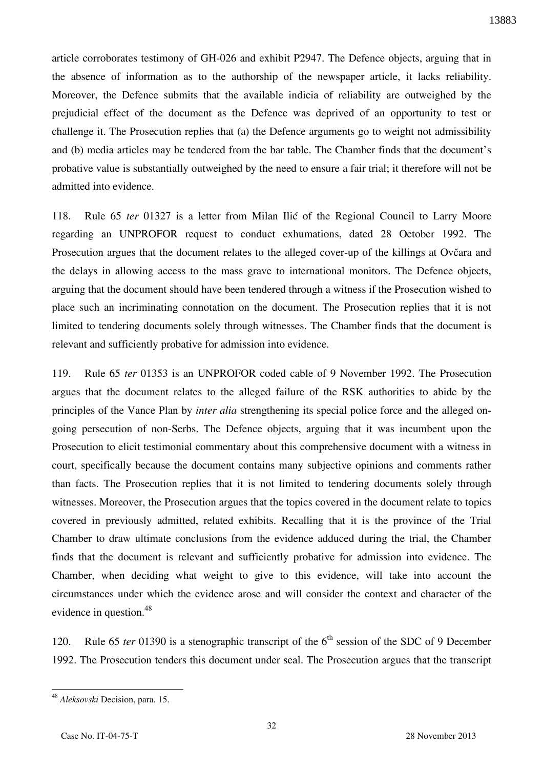article corroborates testimony of GH-026 and exhibit P2947. The Defence objects, arguing that in the absence of information as to the authorship of the newspaper article, it lacks reliability. Moreover, the Defence submits that the available indicia of reliability are outweighed by the prejudicial effect of the document as the Defence was deprived of an opportunity to test or challenge it. The Prosecution replies that (a) the Defence arguments go to weight not admissibility and (b) media articles may be tendered from the bar table. The Chamber finds that the document's probative value is substantially outweighed by the need to ensure a fair trial; it therefore will not be admitted into evidence.

118. Rule 65 *ter* 01327 is a letter from Milan Ilić of the Regional Council to Larry Moore regarding an UNPROFOR request to conduct exhumations, dated 28 October 1992. The Prosecution argues that the document relates to the alleged cover-up of the killings at Ovčara and the delays in allowing access to the mass grave to international monitors. The Defence objects, arguing that the document should have been tendered through a witness if the Prosecution wished to place such an incriminating connotation on the document. The Prosecution replies that it is not limited to tendering documents solely through witnesses. The Chamber finds that the document is relevant and sufficiently probative for admission into evidence.

119. Rule 65 *ter* 01353 is an UNPROFOR coded cable of 9 November 1992. The Prosecution argues that the document relates to the alleged failure of the RSK authorities to abide by the principles of the Vance Plan by *inter alia* strengthening its special police force and the alleged ongoing persecution of non-Serbs. The Defence objects, arguing that it was incumbent upon the Prosecution to elicit testimonial commentary about this comprehensive document with a witness in court, specifically because the document contains many subjective opinions and comments rather than facts. The Prosecution replies that it is not limited to tendering documents solely through witnesses. Moreover, the Prosecution argues that the topics covered in the document relate to topics covered in previously admitted, related exhibits. Recalling that it is the province of the Trial Chamber to draw ultimate conclusions from the evidence adduced during the trial, the Chamber finds that the document is relevant and sufficiently probative for admission into evidence. The Chamber, when deciding what weight to give to this evidence, will take into account the circumstances under which the evidence arose and will consider the context and character of the evidence in question.<sup>48</sup>

120. Rule 65 *ter* 01390 is a stenographic transcript of the 6<sup>th</sup> session of the SDC of 9 December 1992. The Prosecution tenders this document under seal. The Prosecution argues that the transcript

<sup>48</sup> *Aleksovski* Decision, para. 15.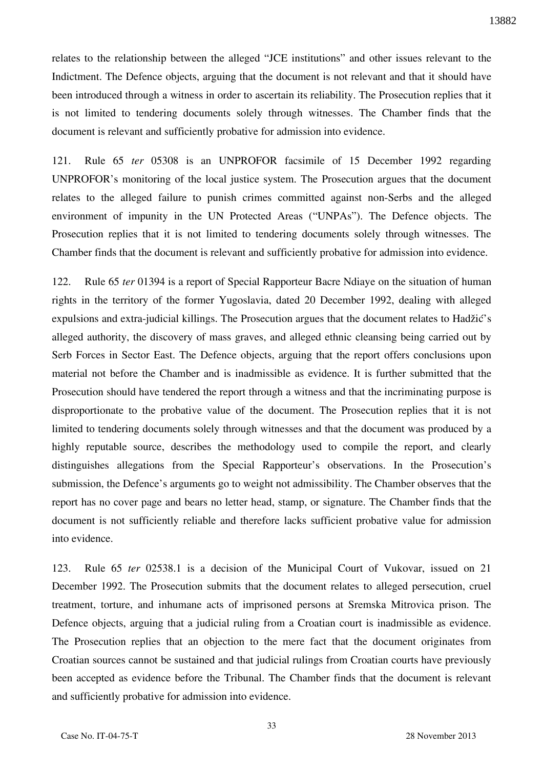relates to the relationship between the alleged "JCE institutions" and other issues relevant to the Indictment. The Defence objects, arguing that the document is not relevant and that it should have been introduced through a witness in order to ascertain its reliability. The Prosecution replies that it is not limited to tendering documents solely through witnesses. The Chamber finds that the document is relevant and sufficiently probative for admission into evidence.

121. Rule 65 *ter* 05308 is an UNPROFOR facsimile of 15 December 1992 regarding UNPROFOR's monitoring of the local justice system. The Prosecution argues that the document relates to the alleged failure to punish crimes committed against non-Serbs and the alleged environment of impunity in the UN Protected Areas ("UNPAs"). The Defence objects. The Prosecution replies that it is not limited to tendering documents solely through witnesses. The Chamber finds that the document is relevant and sufficiently probative for admission into evidence.

122. Rule 65 *ter* 01394 is a report of Special Rapporteur Bacre Ndiaye on the situation of human rights in the territory of the former Yugoslavia, dated 20 December 1992, dealing with alleged expulsions and extra-judicial killings. The Prosecution argues that the document relates to Hadžić's alleged authority, the discovery of mass graves, and alleged ethnic cleansing being carried out by Serb Forces in Sector East. The Defence objects, arguing that the report offers conclusions upon material not before the Chamber and is inadmissible as evidence. It is further submitted that the Prosecution should have tendered the report through a witness and that the incriminating purpose is disproportionate to the probative value of the document. The Prosecution replies that it is not limited to tendering documents solely through witnesses and that the document was produced by a highly reputable source, describes the methodology used to compile the report, and clearly distinguishes allegations from the Special Rapporteur's observations. In the Prosecution's submission, the Defence's arguments go to weight not admissibility. The Chamber observes that the report has no cover page and bears no letter head, stamp, or signature. The Chamber finds that the document is not sufficiently reliable and therefore lacks sufficient probative value for admission into evidence.

123. Rule 65 *ter* 02538.1 is a decision of the Municipal Court of Vukovar, issued on 21 December 1992. The Prosecution submits that the document relates to alleged persecution, cruel treatment, torture, and inhumane acts of imprisoned persons at Sremska Mitrovica prison. The Defence objects, arguing that a judicial ruling from a Croatian court is inadmissible as evidence. The Prosecution replies that an objection to the mere fact that the document originates from Croatian sources cannot be sustained and that judicial rulings from Croatian courts have previously been accepted as evidence before the Tribunal. The Chamber finds that the document is relevant and sufficiently probative for admission into evidence.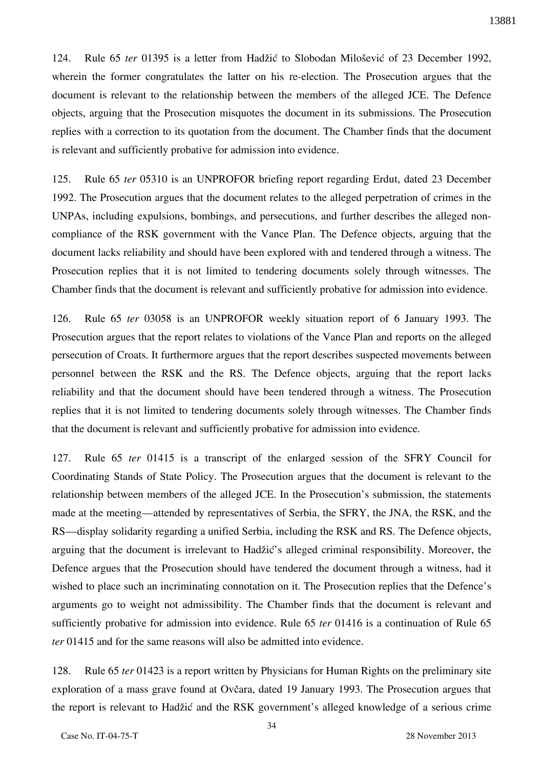124. Rule 65 *ter* 01395 is a letter from Hadžić to Slobodan Milošević of 23 December 1992, wherein the former congratulates the latter on his re-election. The Prosecution argues that the document is relevant to the relationship between the members of the alleged JCE. The Defence objects, arguing that the Prosecution misquotes the document in its submissions. The Prosecution replies with a correction to its quotation from the document. The Chamber finds that the document is relevant and sufficiently probative for admission into evidence.

125. Rule 65 *ter* 05310 is an UNPROFOR briefing report regarding Erdut, dated 23 December 1992. The Prosecution argues that the document relates to the alleged perpetration of crimes in the UNPAs, including expulsions, bombings, and persecutions, and further describes the alleged noncompliance of the RSK government with the Vance Plan. The Defence objects, arguing that the document lacks reliability and should have been explored with and tendered through a witness. The Prosecution replies that it is not limited to tendering documents solely through witnesses. The Chamber finds that the document is relevant and sufficiently probative for admission into evidence.

126. Rule 65 *ter* 03058 is an UNPROFOR weekly situation report of 6 January 1993. The Prosecution argues that the report relates to violations of the Vance Plan and reports on the alleged persecution of Croats. It furthermore argues that the report describes suspected movements between personnel between the RSK and the RS. The Defence objects, arguing that the report lacks reliability and that the document should have been tendered through a witness. The Prosecution replies that it is not limited to tendering documents solely through witnesses. The Chamber finds that the document is relevant and sufficiently probative for admission into evidence.

127. Rule 65 *ter* 01415 is a transcript of the enlarged session of the SFRY Council for Coordinating Stands of State Policy. The Prosecution argues that the document is relevant to the relationship between members of the alleged JCE. In the Prosecution's submission, the statements made at the meeting—attended by representatives of Serbia, the SFRY, the JNA, the RSK, and the RS—display solidarity regarding a unified Serbia, including the RSK and RS. The Defence objects, arguing that the document is irrelevant to Hadžić's alleged criminal responsibility. Moreover, the Defence argues that the Prosecution should have tendered the document through a witness, had it wished to place such an incriminating connotation on it. The Prosecution replies that the Defence's arguments go to weight not admissibility. The Chamber finds that the document is relevant and sufficiently probative for admission into evidence. Rule 65 *ter* 01416 is a continuation of Rule 65 *ter* 01415 and for the same reasons will also be admitted into evidence.

128. Rule 65 *ter* 01423 is a report written by Physicians for Human Rights on the preliminary site exploration of a mass grave found at Ovčara, dated 19 January 1993. The Prosecution argues that the report is relevant to Hadžić and the RSK government's alleged knowledge of a serious crime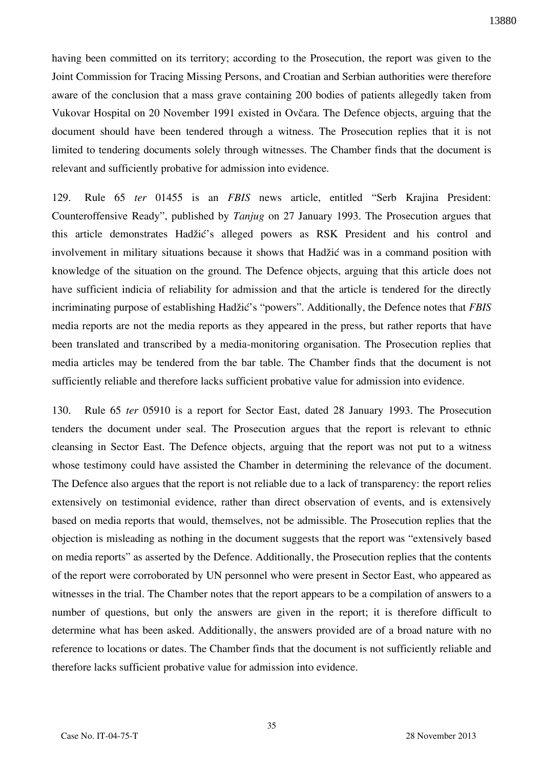having been committed on its territory; according to the Prosecution, the report was given to the Joint Commission for Tracing Missing Persons, and Croatian and Serbian authorities were therefore aware of the conclusion that a mass grave containing 200 bodies of patients allegedly taken from Vukovar Hospital on 20 November 1991 existed in Ovčara. The Defence objects, arguing that the document should have been tendered through a witness. The Prosecution replies that it is not limited to tendering documents solely through witnesses. The Chamber finds that the document is relevant and sufficiently probative for admission into evidence.

129. Rule 65 *ter* 01455 is an *FBIS* news article, entitled "Serb Krajina President: Counteroffensive Ready", published by *Tanjug* on 27 January 1993. The Prosecution argues that this article demonstrates Hadžić's alleged powers as RSK President and his control and involvement in military situations because it shows that Hadžić was in a command position with knowledge of the situation on the ground. The Defence objects, arguing that this article does not have sufficient indicia of reliability for admission and that the article is tendered for the directly incriminating purpose of establishing Hadžić's "powers". Additionally, the Defence notes that *FBIS* media reports are not the media reports as they appeared in the press, but rather reports that have been translated and transcribed by a media-monitoring organisation. The Prosecution replies that media articles may be tendered from the bar table. The Chamber finds that the document is not sufficiently reliable and therefore lacks sufficient probative value for admission into evidence.

130. Rule 65 *ter* 05910 is a report for Sector East, dated 28 January 1993. The Prosecution tenders the document under seal. The Prosecution argues that the report is relevant to ethnic cleansing in Sector East. The Defence objects, arguing that the report was not put to a witness whose testimony could have assisted the Chamber in determining the relevance of the document. The Defence also argues that the report is not reliable due to a lack of transparency: the report relies extensively on testimonial evidence, rather than direct observation of events, and is extensively based on media reports that would, themselves, not be admissible. The Prosecution replies that the objection is misleading as nothing in the document suggests that the report was "extensively based on media reports" as asserted by the Defence. Additionally, the Prosecution replies that the contents of the report were corroborated by UN personnel who were present in Sector East, who appeared as witnesses in the trial. The Chamber notes that the report appears to be a compilation of answers to a number of questions, but only the answers are given in the report; it is therefore difficult to determine what has been asked. Additionally, the answers provided are of a broad nature with no reference to locations or dates. The Chamber finds that the document is not sufficiently reliable and therefore lacks sufficient probative value for admission into evidence.

35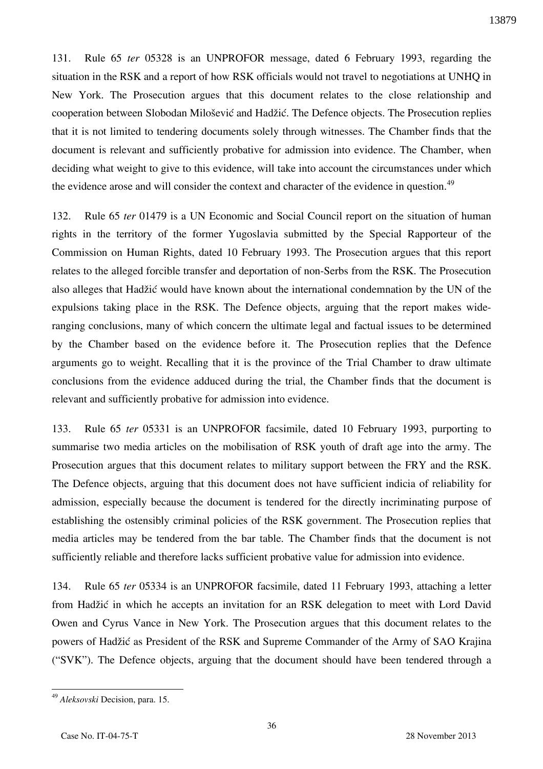131. Rule 65 *ter* 05328 is an UNPROFOR message, dated 6 February 1993, regarding the situation in the RSK and a report of how RSK officials would not travel to negotiations at UNHQ in New York. The Prosecution argues that this document relates to the close relationship and cooperation between Slobodan Milošević and Hadžić. The Defence objects. The Prosecution replies that it is not limited to tendering documents solely through witnesses. The Chamber finds that the document is relevant and sufficiently probative for admission into evidence. The Chamber, when deciding what weight to give to this evidence, will take into account the circumstances under which the evidence arose and will consider the context and character of the evidence in question.<sup>49</sup>

132. Rule 65 *ter* 01479 is a UN Economic and Social Council report on the situation of human rights in the territory of the former Yugoslavia submitted by the Special Rapporteur of the Commission on Human Rights, dated 10 February 1993. The Prosecution argues that this report relates to the alleged forcible transfer and deportation of non-Serbs from the RSK. The Prosecution also alleges that Hadžić would have known about the international condemnation by the UN of the expulsions taking place in the RSK. The Defence objects, arguing that the report makes wideranging conclusions, many of which concern the ultimate legal and factual issues to be determined by the Chamber based on the evidence before it. The Prosecution replies that the Defence arguments go to weight. Recalling that it is the province of the Trial Chamber to draw ultimate conclusions from the evidence adduced during the trial, the Chamber finds that the document is relevant and sufficiently probative for admission into evidence.

133. Rule 65 *ter* 05331 is an UNPROFOR facsimile, dated 10 February 1993, purporting to summarise two media articles on the mobilisation of RSK youth of draft age into the army. The Prosecution argues that this document relates to military support between the FRY and the RSK. The Defence objects, arguing that this document does not have sufficient indicia of reliability for admission, especially because the document is tendered for the directly incriminating purpose of establishing the ostensibly criminal policies of the RSK government. The Prosecution replies that media articles may be tendered from the bar table. The Chamber finds that the document is not sufficiently reliable and therefore lacks sufficient probative value for admission into evidence.

134. Rule 65 *ter* 05334 is an UNPROFOR facsimile, dated 11 February 1993, attaching a letter from Hadžić in which he accepts an invitation for an RSK delegation to meet with Lord David Owen and Cyrus Vance in New York. The Prosecution argues that this document relates to the powers of Hadžić as President of the RSK and Supreme Commander of the Army of SAO Krajina ("SVK"). The Defence objects, arguing that the document should have been tendered through a

<sup>49</sup> *Aleksovski* Decision, para. 15.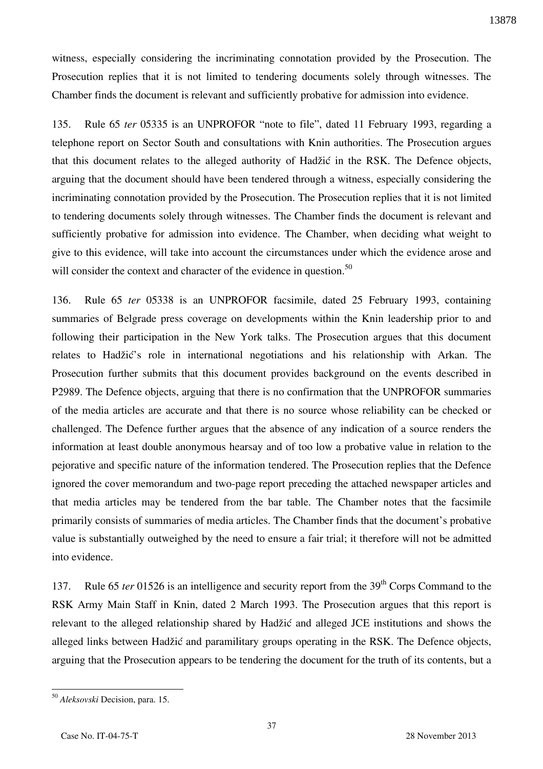witness, especially considering the incriminating connotation provided by the Prosecution. The Prosecution replies that it is not limited to tendering documents solely through witnesses. The Chamber finds the document is relevant and sufficiently probative for admission into evidence.

135. Rule 65 *ter* 05335 is an UNPROFOR "note to file", dated 11 February 1993, regarding a telephone report on Sector South and consultations with Knin authorities. The Prosecution argues that this document relates to the alleged authority of Hadžić in the RSK. The Defence objects, arguing that the document should have been tendered through a witness, especially considering the incriminating connotation provided by the Prosecution. The Prosecution replies that it is not limited to tendering documents solely through witnesses. The Chamber finds the document is relevant and sufficiently probative for admission into evidence. The Chamber, when deciding what weight to give to this evidence, will take into account the circumstances under which the evidence arose and will consider the context and character of the evidence in question.<sup>50</sup>

136. Rule 65 *ter* 05338 is an UNPROFOR facsimile, dated 25 February 1993, containing summaries of Belgrade press coverage on developments within the Knin leadership prior to and following their participation in the New York talks. The Prosecution argues that this document relates to Hadžić's role in international negotiations and his relationship with Arkan. The Prosecution further submits that this document provides background on the events described in P2989. The Defence objects, arguing that there is no confirmation that the UNPROFOR summaries of the media articles are accurate and that there is no source whose reliability can be checked or challenged. The Defence further argues that the absence of any indication of a source renders the information at least double anonymous hearsay and of too low a probative value in relation to the pejorative and specific nature of the information tendered. The Prosecution replies that the Defence ignored the cover memorandum and two-page report preceding the attached newspaper articles and that media articles may be tendered from the bar table. The Chamber notes that the facsimile primarily consists of summaries of media articles. The Chamber finds that the document's probative value is substantially outweighed by the need to ensure a fair trial; it therefore will not be admitted into evidence.

137. Rule 65 *ter* 01526 is an intelligence and security report from the 39<sup>th</sup> Corps Command to the RSK Army Main Staff in Knin, dated 2 March 1993. The Prosecution argues that this report is relevant to the alleged relationship shared by Hadžić and alleged JCE institutions and shows the alleged links between Hadžić and paramilitary groups operating in the RSK. The Defence objects, arguing that the Prosecution appears to be tendering the document for the truth of its contents, but a

<sup>50</sup> *Aleksovski* Decision, para. 15.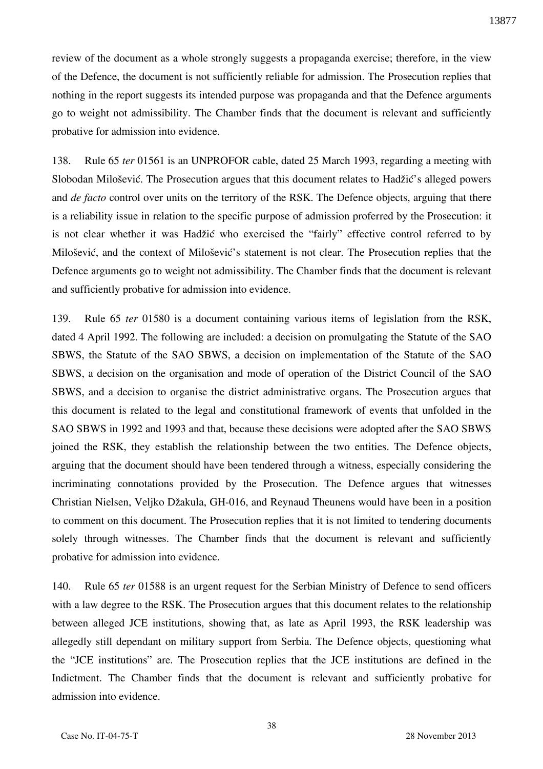review of the document as a whole strongly suggests a propaganda exercise; therefore, in the view of the Defence, the document is not sufficiently reliable for admission. The Prosecution replies that nothing in the report suggests its intended purpose was propaganda and that the Defence arguments go to weight not admissibility. The Chamber finds that the document is relevant and sufficiently probative for admission into evidence.

138. Rule 65 *ter* 01561 is an UNPROFOR cable, dated 25 March 1993, regarding a meeting with Slobodan Milošević. The Prosecution argues that this document relates to Hadžić's alleged powers and *de facto* control over units on the territory of the RSK. The Defence objects, arguing that there is a reliability issue in relation to the specific purpose of admission proferred by the Prosecution: it is not clear whether it was Hadžić who exercised the "fairly" effective control referred to by Milošević, and the context of Milošević's statement is not clear. The Prosecution replies that the Defence arguments go to weight not admissibility. The Chamber finds that the document is relevant and sufficiently probative for admission into evidence.

139. Rule 65 *ter* 01580 is a document containing various items of legislation from the RSK, dated 4 April 1992. The following are included: a decision on promulgating the Statute of the SAO SBWS, the Statute of the SAO SBWS, a decision on implementation of the Statute of the SAO SBWS, a decision on the organisation and mode of operation of the District Council of the SAO SBWS, and a decision to organise the district administrative organs. The Prosecution argues that this document is related to the legal and constitutional framework of events that unfolded in the SAO SBWS in 1992 and 1993 and that, because these decisions were adopted after the SAO SBWS joined the RSK, they establish the relationship between the two entities. The Defence objects, arguing that the document should have been tendered through a witness, especially considering the incriminating connotations provided by the Prosecution. The Defence argues that witnesses Christian Nielsen, Veljko Džakula, GH-016, and Reynaud Theunens would have been in a position to comment on this document. The Prosecution replies that it is not limited to tendering documents solely through witnesses. The Chamber finds that the document is relevant and sufficiently probative for admission into evidence.

140. Rule 65 *ter* 01588 is an urgent request for the Serbian Ministry of Defence to send officers with a law degree to the RSK. The Prosecution argues that this document relates to the relationship between alleged JCE institutions, showing that, as late as April 1993, the RSK leadership was allegedly still dependant on military support from Serbia. The Defence objects, questioning what the "JCE institutions" are. The Prosecution replies that the JCE institutions are defined in the Indictment. The Chamber finds that the document is relevant and sufficiently probative for admission into evidence.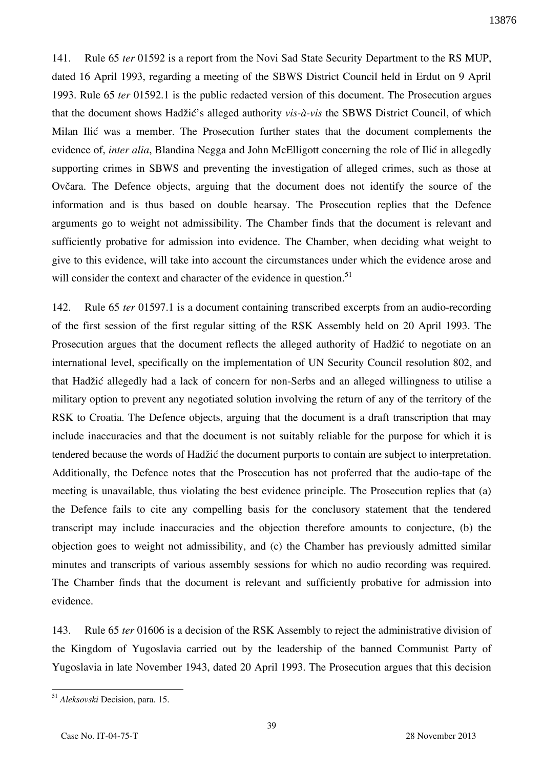141. Rule 65 *ter* 01592 is a report from the Novi Sad State Security Department to the RS MUP, dated 16 April 1993, regarding a meeting of the SBWS District Council held in Erdut on 9 April 1993. Rule 65 *ter* 01592.1 is the public redacted version of this document. The Prosecution argues that the document shows Hadžić's alleged authority *vis-à-vis* the SBWS District Council, of which Milan Ilić was a member. The Prosecution further states that the document complements the evidence of, *inter alia*, Blandina Negga and John McElligott concerning the role of Ilić in allegedly supporting crimes in SBWS and preventing the investigation of alleged crimes, such as those at Ovčara. The Defence objects, arguing that the document does not identify the source of the information and is thus based on double hearsay. The Prosecution replies that the Defence arguments go to weight not admissibility. The Chamber finds that the document is relevant and sufficiently probative for admission into evidence. The Chamber, when deciding what weight to give to this evidence, will take into account the circumstances under which the evidence arose and will consider the context and character of the evidence in question.<sup>51</sup>

142. Rule 65 *ter* 01597.1 is a document containing transcribed excerpts from an audio-recording of the first session of the first regular sitting of the RSK Assembly held on 20 April 1993. The Prosecution argues that the document reflects the alleged authority of Hadžić to negotiate on an international level, specifically on the implementation of UN Security Council resolution 802, and that Hadžić allegedly had a lack of concern for non-Serbs and an alleged willingness to utilise a military option to prevent any negotiated solution involving the return of any of the territory of the RSK to Croatia. The Defence objects, arguing that the document is a draft transcription that may include inaccuracies and that the document is not suitably reliable for the purpose for which it is tendered because the words of Hadžić the document purports to contain are subject to interpretation. Additionally, the Defence notes that the Prosecution has not proferred that the audio-tape of the meeting is unavailable, thus violating the best evidence principle. The Prosecution replies that (a) the Defence fails to cite any compelling basis for the conclusory statement that the tendered transcript may include inaccuracies and the objection therefore amounts to conjecture, (b) the objection goes to weight not admissibility, and (c) the Chamber has previously admitted similar minutes and transcripts of various assembly sessions for which no audio recording was required. The Chamber finds that the document is relevant and sufficiently probative for admission into evidence.

143. Rule 65 *ter* 01606 is a decision of the RSK Assembly to reject the administrative division of the Kingdom of Yugoslavia carried out by the leadership of the banned Communist Party of Yugoslavia in late November 1943, dated 20 April 1993. The Prosecution argues that this decision

<sup>51</sup> *Aleksovski* Decision, para. 15.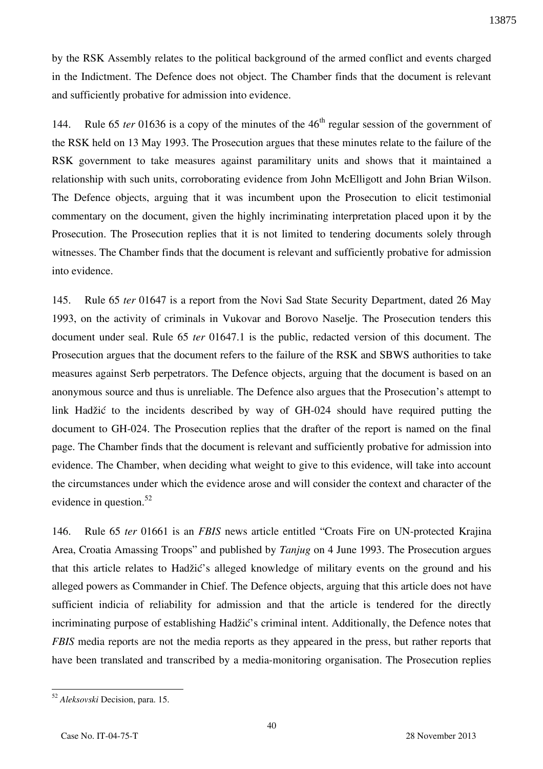by the RSK Assembly relates to the political background of the armed conflict and events charged in the Indictment. The Defence does not object. The Chamber finds that the document is relevant and sufficiently probative for admission into evidence.

144. Rule 65 *ter* 01636 is a copy of the minutes of the 46<sup>th</sup> regular session of the government of the RSK held on 13 May 1993. The Prosecution argues that these minutes relate to the failure of the RSK government to take measures against paramilitary units and shows that it maintained a relationship with such units, corroborating evidence from John McElligott and John Brian Wilson. The Defence objects, arguing that it was incumbent upon the Prosecution to elicit testimonial commentary on the document, given the highly incriminating interpretation placed upon it by the Prosecution. The Prosecution replies that it is not limited to tendering documents solely through witnesses. The Chamber finds that the document is relevant and sufficiently probative for admission into evidence.

145. Rule 65 *ter* 01647 is a report from the Novi Sad State Security Department, dated 26 May 1993, on the activity of criminals in Vukovar and Borovo Naselje. The Prosecution tenders this document under seal. Rule 65 *ter* 01647.1 is the public, redacted version of this document. The Prosecution argues that the document refers to the failure of the RSK and SBWS authorities to take measures against Serb perpetrators. The Defence objects, arguing that the document is based on an anonymous source and thus is unreliable. The Defence also argues that the Prosecution's attempt to link Hadžić to the incidents described by way of GH-024 should have required putting the document to GH-024. The Prosecution replies that the drafter of the report is named on the final page. The Chamber finds that the document is relevant and sufficiently probative for admission into evidence. The Chamber, when deciding what weight to give to this evidence, will take into account the circumstances under which the evidence arose and will consider the context and character of the evidence in question. $52$ 

146. Rule 65 *ter* 01661 is an *FBIS* news article entitled "Croats Fire on UN-protected Krajina Area, Croatia Amassing Troops" and published by *Tanjug* on 4 June 1993. The Prosecution argues that this article relates to Hadžić's alleged knowledge of military events on the ground and his alleged powers as Commander in Chief. The Defence objects, arguing that this article does not have sufficient indicia of reliability for admission and that the article is tendered for the directly incriminating purpose of establishing Hadžić's criminal intent. Additionally, the Defence notes that *FBIS* media reports are not the media reports as they appeared in the press, but rather reports that have been translated and transcribed by a media-monitoring organisation. The Prosecution replies

<sup>52</sup> *Aleksovski* Decision, para. 15.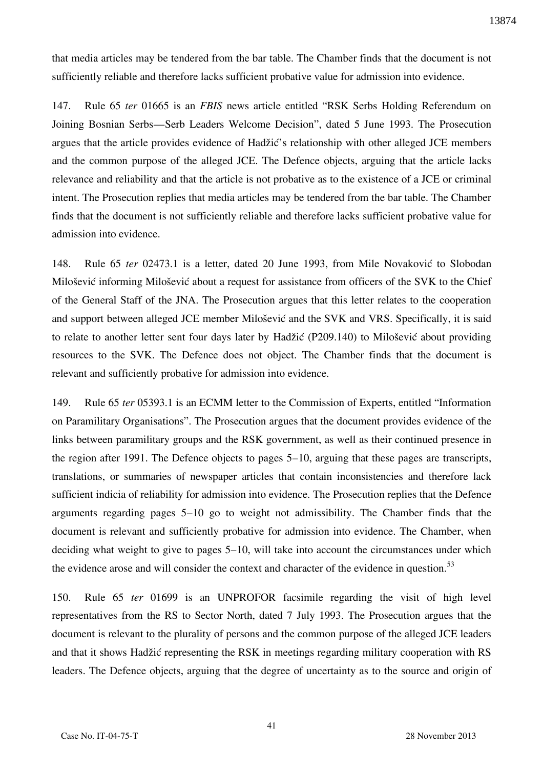that media articles may be tendered from the bar table. The Chamber finds that the document is not sufficiently reliable and therefore lacks sufficient probative value for admission into evidence.

147. Rule 65 *ter* 01665 is an *FBIS* news article entitled "RSK Serbs Holding Referendum on Joining Bosnian Serbs—Serb Leaders Welcome Decision", dated 5 June 1993. The Prosecution argues that the article provides evidence of Hadžić's relationship with other alleged JCE members and the common purpose of the alleged JCE. The Defence objects, arguing that the article lacks relevance and reliability and that the article is not probative as to the existence of a JCE or criminal intent. The Prosecution replies that media articles may be tendered from the bar table. The Chamber finds that the document is not sufficiently reliable and therefore lacks sufficient probative value for admission into evidence.

148. Rule 65 *ter* 02473.1 is a letter, dated 20 June 1993, from Mile Novaković to Slobodan Milošević informing Milošević about a request for assistance from officers of the SVK to the Chief of the General Staff of the JNA. The Prosecution argues that this letter relates to the cooperation and support between alleged JCE member Milošević and the SVK and VRS. Specifically, it is said to relate to another letter sent four days later by Hadžić (P209.140) to Milošević about providing resources to the SVK. The Defence does not object. The Chamber finds that the document is relevant and sufficiently probative for admission into evidence.

149. Rule 65 *ter* 05393.1 is an ECMM letter to the Commission of Experts, entitled "Information on Paramilitary Organisations". The Prosecution argues that the document provides evidence of the links between paramilitary groups and the RSK government, as well as their continued presence in the region after 1991. The Defence objects to pages 5–10, arguing that these pages are transcripts, translations, or summaries of newspaper articles that contain inconsistencies and therefore lack sufficient indicia of reliability for admission into evidence. The Prosecution replies that the Defence arguments regarding pages 5–10 go to weight not admissibility. The Chamber finds that the document is relevant and sufficiently probative for admission into evidence. The Chamber, when deciding what weight to give to pages 5–10, will take into account the circumstances under which the evidence arose and will consider the context and character of the evidence in question.<sup>53</sup>

150. Rule 65 *ter* 01699 is an UNPROFOR facsimile regarding the visit of high level representatives from the RS to Sector North, dated 7 July 1993. The Prosecution argues that the document is relevant to the plurality of persons and the common purpose of the alleged JCE leaders and that it shows Hadžić representing the RSK in meetings regarding military cooperation with RS leaders. The Defence objects, arguing that the degree of uncertainty as to the source and origin of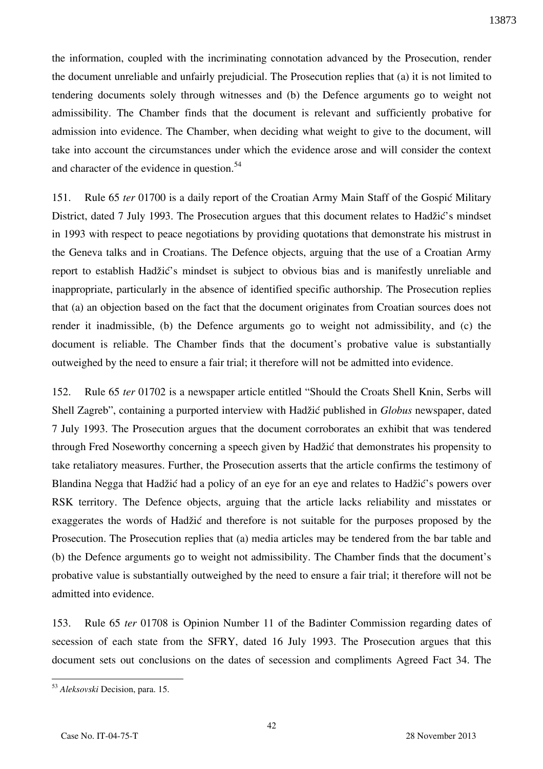the information, coupled with the incriminating connotation advanced by the Prosecution, render the document unreliable and unfairly prejudicial. The Prosecution replies that (a) it is not limited to tendering documents solely through witnesses and (b) the Defence arguments go to weight not admissibility. The Chamber finds that the document is relevant and sufficiently probative for admission into evidence. The Chamber, when deciding what weight to give to the document, will take into account the circumstances under which the evidence arose and will consider the context and character of the evidence in question.<sup>54</sup>

151. Rule 65 *ter* 01700 is a daily report of the Croatian Army Main Staff of the Gospić Military District, dated 7 July 1993. The Prosecution argues that this document relates to Hadžić's mindset in 1993 with respect to peace negotiations by providing quotations that demonstrate his mistrust in the Geneva talks and in Croatians. The Defence objects, arguing that the use of a Croatian Army report to establish Hadžić's mindset is subject to obvious bias and is manifestly unreliable and inappropriate, particularly in the absence of identified specific authorship. The Prosecution replies that (a) an objection based on the fact that the document originates from Croatian sources does not render it inadmissible, (b) the Defence arguments go to weight not admissibility, and (c) the document is reliable. The Chamber finds that the document's probative value is substantially outweighed by the need to ensure a fair trial; it therefore will not be admitted into evidence.

152. Rule 65 *ter* 01702 is a newspaper article entitled "Should the Croats Shell Knin, Serbs will Shell Zagreb", containing a purported interview with Hadžić published in *Globus* newspaper, dated 7 July 1993. The Prosecution argues that the document corroborates an exhibit that was tendered through Fred Noseworthy concerning a speech given by Hadžić that demonstrates his propensity to take retaliatory measures. Further, the Prosecution asserts that the article confirms the testimony of Blandina Negga that Hadžić had a policy of an eye for an eye and relates to Hadžić's powers over RSK territory. The Defence objects, arguing that the article lacks reliability and misstates or exaggerates the words of Hadžić and therefore is not suitable for the purposes proposed by the Prosecution. The Prosecution replies that (a) media articles may be tendered from the bar table and (b) the Defence arguments go to weight not admissibility. The Chamber finds that the document's probative value is substantially outweighed by the need to ensure a fair trial; it therefore will not be admitted into evidence.

153. Rule 65 *ter* 01708 is Opinion Number 11 of the Badinter Commission regarding dates of secession of each state from the SFRY, dated 16 July 1993. The Prosecution argues that this document sets out conclusions on the dates of secession and compliments Agreed Fact 34. The

 $\overline{a}$ <sup>53</sup> *Aleksovski* Decision, para. 15.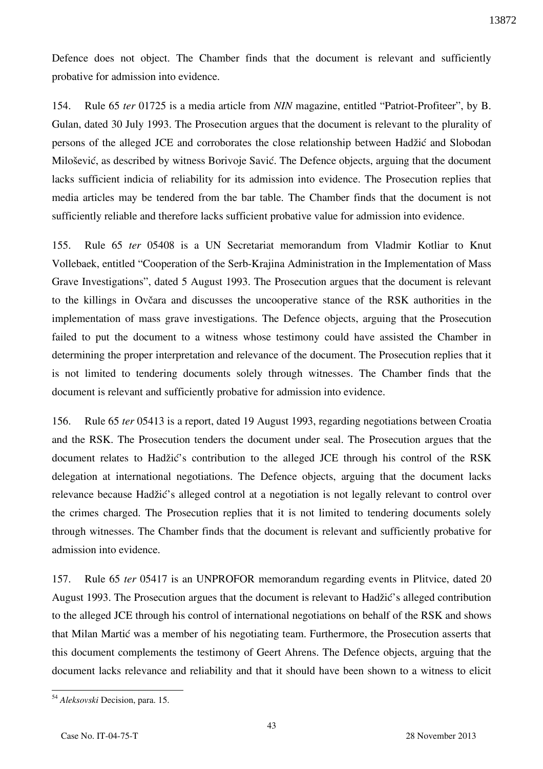Defence does not object. The Chamber finds that the document is relevant and sufficiently probative for admission into evidence.

154. Rule 65 *ter* 01725 is a media article from *NIN* magazine, entitled "Patriot-Profiteer", by B. Gulan, dated 30 July 1993. The Prosecution argues that the document is relevant to the plurality of persons of the alleged JCE and corroborates the close relationship between Hadžić and Slobodan Milošević, as described by witness Borivoje Savić. The Defence objects, arguing that the document lacks sufficient indicia of reliability for its admission into evidence. The Prosecution replies that media articles may be tendered from the bar table. The Chamber finds that the document is not sufficiently reliable and therefore lacks sufficient probative value for admission into evidence.

155. Rule 65 *ter* 05408 is a UN Secretariat memorandum from Vladmir Kotliar to Knut Vollebaek, entitled "Cooperation of the Serb-Krajina Administration in the Implementation of Mass Grave Investigations", dated 5 August 1993. The Prosecution argues that the document is relevant to the killings in Ovčara and discusses the uncooperative stance of the RSK authorities in the implementation of mass grave investigations. The Defence objects, arguing that the Prosecution failed to put the document to a witness whose testimony could have assisted the Chamber in determining the proper interpretation and relevance of the document. The Prosecution replies that it is not limited to tendering documents solely through witnesses. The Chamber finds that the document is relevant and sufficiently probative for admission into evidence.

156. Rule 65 *ter* 05413 is a report, dated 19 August 1993, regarding negotiations between Croatia and the RSK. The Prosecution tenders the document under seal. The Prosecution argues that the document relates to Hadžić's contribution to the alleged JCE through his control of the RSK delegation at international negotiations. The Defence objects, arguing that the document lacks relevance because Hadžić's alleged control at a negotiation is not legally relevant to control over the crimes charged. The Prosecution replies that it is not limited to tendering documents solely through witnesses. The Chamber finds that the document is relevant and sufficiently probative for admission into evidence.

157. Rule 65 *ter* 05417 is an UNPROFOR memorandum regarding events in Plitvice, dated 20 August 1993. The Prosecution argues that the document is relevant to Hadžić's alleged contribution to the alleged JCE through his control of international negotiations on behalf of the RSK and shows that Milan Martic was a member of his negotiating team. Furthermore, the Prosecution asserts that this document complements the testimony of Geert Ahrens. The Defence objects, arguing that the document lacks relevance and reliability and that it should have been shown to a witness to elicit

 $\overline{a}$ <sup>54</sup> *Aleksovski* Decision, para. 15.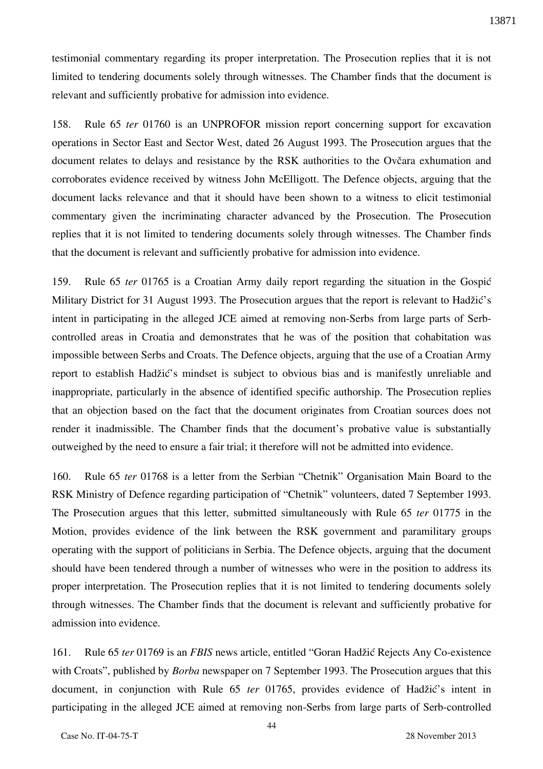testimonial commentary regarding its proper interpretation. The Prosecution replies that it is not limited to tendering documents solely through witnesses. The Chamber finds that the document is relevant and sufficiently probative for admission into evidence.

158. Rule 65 *ter* 01760 is an UNPROFOR mission report concerning support for excavation operations in Sector East and Sector West, dated 26 August 1993. The Prosecution argues that the document relates to delays and resistance by the RSK authorities to the Ovčara exhumation and corroborates evidence received by witness John McElligott. The Defence objects, arguing that the document lacks relevance and that it should have been shown to a witness to elicit testimonial commentary given the incriminating character advanced by the Prosecution. The Prosecution replies that it is not limited to tendering documents solely through witnesses. The Chamber finds that the document is relevant and sufficiently probative for admission into evidence.

159. Rule 65 *ter* 01765 is a Croatian Army daily report regarding the situation in the Gospić Military District for 31 August 1993. The Prosecution argues that the report is relevant to Hadžić's intent in participating in the alleged JCE aimed at removing non-Serbs from large parts of Serbcontrolled areas in Croatia and demonstrates that he was of the position that cohabitation was impossible between Serbs and Croats. The Defence objects, arguing that the use of a Croatian Army report to establish Hadžić's mindset is subject to obvious bias and is manifestly unreliable and inappropriate, particularly in the absence of identified specific authorship. The Prosecution replies that an objection based on the fact that the document originates from Croatian sources does not render it inadmissible. The Chamber finds that the document's probative value is substantially outweighed by the need to ensure a fair trial; it therefore will not be admitted into evidence.

160. Rule 65 *ter* 01768 is a letter from the Serbian "Chetnik" Organisation Main Board to the RSK Ministry of Defence regarding participation of "Chetnik" volunteers, dated 7 September 1993. The Prosecution argues that this letter, submitted simultaneously with Rule 65 *ter* 01775 in the Motion, provides evidence of the link between the RSK government and paramilitary groups operating with the support of politicians in Serbia. The Defence objects, arguing that the document should have been tendered through a number of witnesses who were in the position to address its proper interpretation. The Prosecution replies that it is not limited to tendering documents solely through witnesses. The Chamber finds that the document is relevant and sufficiently probative for admission into evidence.

161. Rule 65 *ter* 01769 is an *FBIS* news article, entitled "Goran Hadžić Rejects Any Co-existence with Croats", published by *Borba* newspaper on 7 September 1993. The Prosecution argues that this document, in conjunction with Rule 65 *ter* 01765, provides evidence of Hadžić's intent in participating in the alleged JCE aimed at removing non-Serbs from large parts of Serb-controlled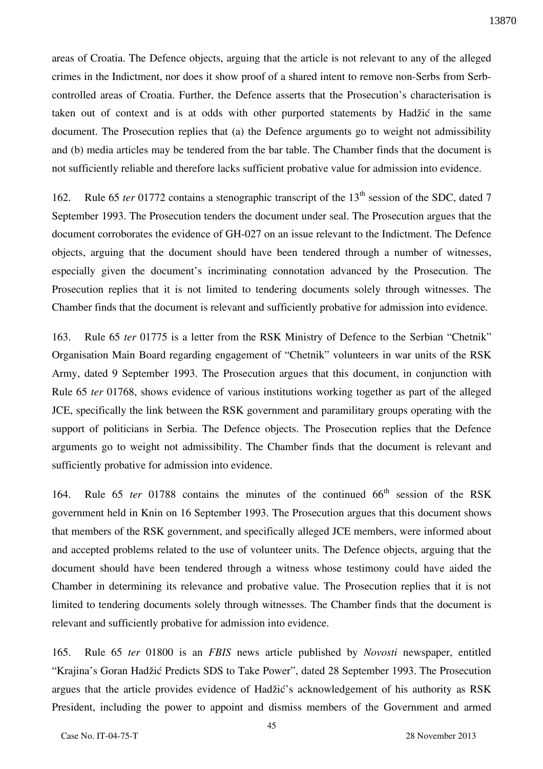areas of Croatia. The Defence objects, arguing that the article is not relevant to any of the alleged crimes in the Indictment, nor does it show proof of a shared intent to remove non-Serbs from Serbcontrolled areas of Croatia. Further, the Defence asserts that the Prosecution's characterisation is taken out of context and is at odds with other purported statements by Hadžić in the same document. The Prosecution replies that (a) the Defence arguments go to weight not admissibility and (b) media articles may be tendered from the bar table. The Chamber finds that the document is not sufficiently reliable and therefore lacks sufficient probative value for admission into evidence.

162. Rule 65 *ter* 01772 contains a stenographic transcript of the 13<sup>th</sup> session of the SDC, dated 7 September 1993. The Prosecution tenders the document under seal. The Prosecution argues that the document corroborates the evidence of GH-027 on an issue relevant to the Indictment. The Defence objects, arguing that the document should have been tendered through a number of witnesses, especially given the document's incriminating connotation advanced by the Prosecution. The Prosecution replies that it is not limited to tendering documents solely through witnesses. The Chamber finds that the document is relevant and sufficiently probative for admission into evidence.

163. Rule 65 *ter* 01775 is a letter from the RSK Ministry of Defence to the Serbian "Chetnik" Organisation Main Board regarding engagement of "Chetnik" volunteers in war units of the RSK Army, dated 9 September 1993. The Prosecution argues that this document, in conjunction with Rule 65 *ter* 01768, shows evidence of various institutions working together as part of the alleged JCE, specifically the link between the RSK government and paramilitary groups operating with the support of politicians in Serbia. The Defence objects. The Prosecution replies that the Defence arguments go to weight not admissibility. The Chamber finds that the document is relevant and sufficiently probative for admission into evidence.

164. Rule 65 *ter* 01788 contains the minutes of the continued 66<sup>th</sup> session of the RSK government held in Knin on 16 September 1993. The Prosecution argues that this document shows that members of the RSK government, and specifically alleged JCE members, were informed about and accepted problems related to the use of volunteer units. The Defence objects, arguing that the document should have been tendered through a witness whose testimony could have aided the Chamber in determining its relevance and probative value. The Prosecution replies that it is not limited to tendering documents solely through witnesses. The Chamber finds that the document is relevant and sufficiently probative for admission into evidence.

165. Rule 65 *ter* 01800 is an *FBIS* news article published by *Novosti* newspaper, entitled "Krajina's Goran Hadžić Predicts SDS to Take Power", dated 28 September 1993. The Prosecution argues that the article provides evidence of Hadžić's acknowledgement of his authority as RSK President, including the power to appoint and dismiss members of the Government and armed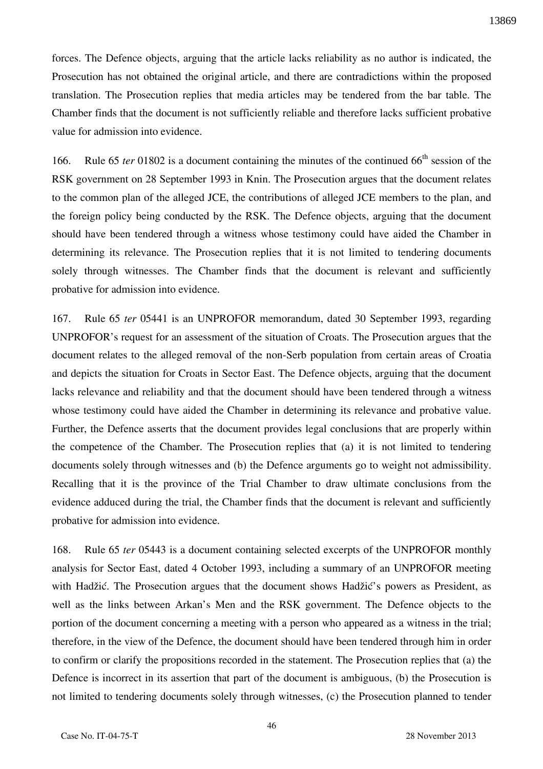forces. The Defence objects, arguing that the article lacks reliability as no author is indicated, the Prosecution has not obtained the original article, and there are contradictions within the proposed translation. The Prosecution replies that media articles may be tendered from the bar table. The Chamber finds that the document is not sufficiently reliable and therefore lacks sufficient probative value for admission into evidence.

166. Rule 65 *ter* 01802 is a document containing the minutes of the continued 66<sup>th</sup> session of the RSK government on 28 September 1993 in Knin. The Prosecution argues that the document relates to the common plan of the alleged JCE, the contributions of alleged JCE members to the plan, and the foreign policy being conducted by the RSK. The Defence objects, arguing that the document should have been tendered through a witness whose testimony could have aided the Chamber in determining its relevance. The Prosecution replies that it is not limited to tendering documents solely through witnesses. The Chamber finds that the document is relevant and sufficiently probative for admission into evidence.

167. Rule 65 *ter* 05441 is an UNPROFOR memorandum, dated 30 September 1993, regarding UNPROFOR's request for an assessment of the situation of Croats. The Prosecution argues that the document relates to the alleged removal of the non-Serb population from certain areas of Croatia and depicts the situation for Croats in Sector East. The Defence objects, arguing that the document lacks relevance and reliability and that the document should have been tendered through a witness whose testimony could have aided the Chamber in determining its relevance and probative value. Further, the Defence asserts that the document provides legal conclusions that are properly within the competence of the Chamber. The Prosecution replies that (a) it is not limited to tendering documents solely through witnesses and (b) the Defence arguments go to weight not admissibility. Recalling that it is the province of the Trial Chamber to draw ultimate conclusions from the evidence adduced during the trial, the Chamber finds that the document is relevant and sufficiently probative for admission into evidence.

168. Rule 65 *ter* 05443 is a document containing selected excerpts of the UNPROFOR monthly analysis for Sector East, dated 4 October 1993, including a summary of an UNPROFOR meeting with Hadžić. The Prosecution argues that the document shows Hadžić's powers as President, as well as the links between Arkan's Men and the RSK government. The Defence objects to the portion of the document concerning a meeting with a person who appeared as a witness in the trial; therefore, in the view of the Defence, the document should have been tendered through him in order to confirm or clarify the propositions recorded in the statement. The Prosecution replies that (a) the Defence is incorrect in its assertion that part of the document is ambiguous, (b) the Prosecution is not limited to tendering documents solely through witnesses, (c) the Prosecution planned to tender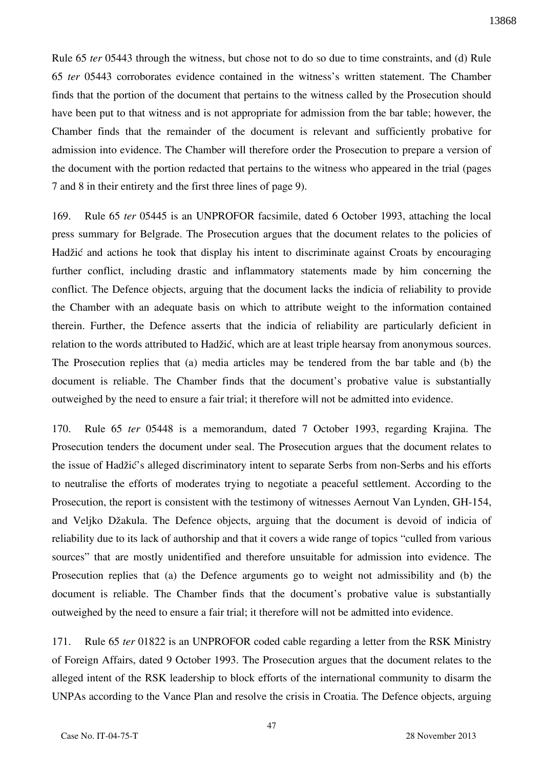Rule 65 *ter* 05443 through the witness, but chose not to do so due to time constraints, and (d) Rule 65 *ter* 05443 corroborates evidence contained in the witness's written statement. The Chamber finds that the portion of the document that pertains to the witness called by the Prosecution should have been put to that witness and is not appropriate for admission from the bar table; however, the Chamber finds that the remainder of the document is relevant and sufficiently probative for admission into evidence. The Chamber will therefore order the Prosecution to prepare a version of the document with the portion redacted that pertains to the witness who appeared in the trial (pages 7 and 8 in their entirety and the first three lines of page 9).

169. Rule 65 *ter* 05445 is an UNPROFOR facsimile, dated 6 October 1993, attaching the local press summary for Belgrade. The Prosecution argues that the document relates to the policies of Hadžić and actions he took that display his intent to discriminate against Croats by encouraging further conflict, including drastic and inflammatory statements made by him concerning the conflict. The Defence objects, arguing that the document lacks the indicia of reliability to provide the Chamber with an adequate basis on which to attribute weight to the information contained therein. Further, the Defence asserts that the indicia of reliability are particularly deficient in relation to the words attributed to Hadžić, which are at least triple hearsay from anonymous sources. The Prosecution replies that (a) media articles may be tendered from the bar table and (b) the document is reliable. The Chamber finds that the document's probative value is substantially outweighed by the need to ensure a fair trial; it therefore will not be admitted into evidence.

170. Rule 65 *ter* 05448 is a memorandum, dated 7 October 1993, regarding Krajina. The Prosecution tenders the document under seal. The Prosecution argues that the document relates to the issue of Hadžić's alleged discriminatory intent to separate Serbs from non-Serbs and his efforts to neutralise the efforts of moderates trying to negotiate a peaceful settlement. According to the Prosecution, the report is consistent with the testimony of witnesses Aernout Van Lynden, GH-154, and Veljko Džakula. The Defence objects, arguing that the document is devoid of indicia of reliability due to its lack of authorship and that it covers a wide range of topics "culled from various sources" that are mostly unidentified and therefore unsuitable for admission into evidence. The Prosecution replies that (a) the Defence arguments go to weight not admissibility and (b) the document is reliable. The Chamber finds that the document's probative value is substantially outweighed by the need to ensure a fair trial; it therefore will not be admitted into evidence.

171. Rule 65 *ter* 01822 is an UNPROFOR coded cable regarding a letter from the RSK Ministry of Foreign Affairs, dated 9 October 1993. The Prosecution argues that the document relates to the alleged intent of the RSK leadership to block efforts of the international community to disarm the UNPAs according to the Vance Plan and resolve the crisis in Croatia. The Defence objects, arguing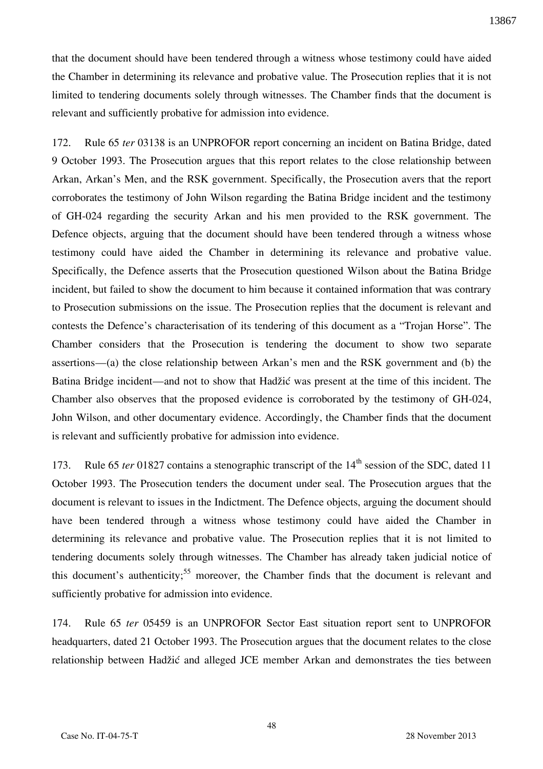that the document should have been tendered through a witness whose testimony could have aided the Chamber in determining its relevance and probative value. The Prosecution replies that it is not limited to tendering documents solely through witnesses. The Chamber finds that the document is relevant and sufficiently probative for admission into evidence.

172. Rule 65 *ter* 03138 is an UNPROFOR report concerning an incident on Batina Bridge, dated 9 October 1993. The Prosecution argues that this report relates to the close relationship between Arkan, Arkan's Men, and the RSK government. Specifically, the Prosecution avers that the report corroborates the testimony of John Wilson regarding the Batina Bridge incident and the testimony of GH-024 regarding the security Arkan and his men provided to the RSK government. The Defence objects, arguing that the document should have been tendered through a witness whose testimony could have aided the Chamber in determining its relevance and probative value. Specifically, the Defence asserts that the Prosecution questioned Wilson about the Batina Bridge incident, but failed to show the document to him because it contained information that was contrary to Prosecution submissions on the issue. The Prosecution replies that the document is relevant and contests the Defence's characterisation of its tendering of this document as a "Trojan Horse". The Chamber considers that the Prosecution is tendering the document to show two separate assertions—(a) the close relationship between Arkan's men and the RSK government and (b) the Batina Bridge incident—and not to show that Hadžić was present at the time of this incident. The Chamber also observes that the proposed evidence is corroborated by the testimony of GH-024, John Wilson, and other documentary evidence. Accordingly, the Chamber finds that the document is relevant and sufficiently probative for admission into evidence.

173. Rule 65 *ter* 01827 contains a stenographic transcript of the 14<sup>th</sup> session of the SDC, dated 11 October 1993. The Prosecution tenders the document under seal. The Prosecution argues that the document is relevant to issues in the Indictment. The Defence objects, arguing the document should have been tendered through a witness whose testimony could have aided the Chamber in determining its relevance and probative value. The Prosecution replies that it is not limited to tendering documents solely through witnesses. The Chamber has already taken judicial notice of this document's authenticity;<sup>55</sup> moreover, the Chamber finds that the document is relevant and sufficiently probative for admission into evidence.

174. Rule 65 *ter* 05459 is an UNPROFOR Sector East situation report sent to UNPROFOR headquarters, dated 21 October 1993. The Prosecution argues that the document relates to the close relationship between Hadžić and alleged JCE member Arkan and demonstrates the ties between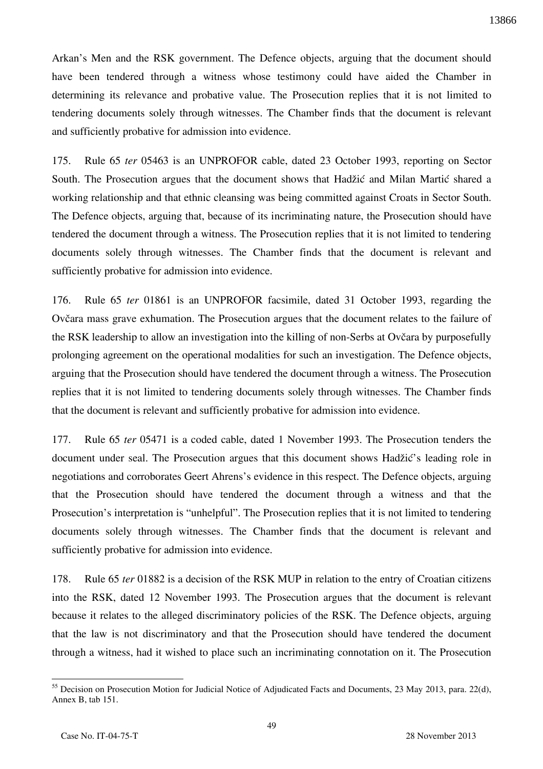Arkan's Men and the RSK government. The Defence objects, arguing that the document should have been tendered through a witness whose testimony could have aided the Chamber in determining its relevance and probative value. The Prosecution replies that it is not limited to tendering documents solely through witnesses. The Chamber finds that the document is relevant and sufficiently probative for admission into evidence.

175. Rule 65 *ter* 05463 is an UNPROFOR cable, dated 23 October 1993, reporting on Sector South. The Prosecution argues that the document shows that Hadžić and Milan Martić shared a working relationship and that ethnic cleansing was being committed against Croats in Sector South. The Defence objects, arguing that, because of its incriminating nature, the Prosecution should have tendered the document through a witness. The Prosecution replies that it is not limited to tendering documents solely through witnesses. The Chamber finds that the document is relevant and sufficiently probative for admission into evidence.

176. Rule 65 *ter* 01861 is an UNPROFOR facsimile, dated 31 October 1993, regarding the Ovčara mass grave exhumation. The Prosecution argues that the document relates to the failure of the RSK leadership to allow an investigation into the killing of non-Serbs at Ovčara by purposefully prolonging agreement on the operational modalities for such an investigation. The Defence objects, arguing that the Prosecution should have tendered the document through a witness. The Prosecution replies that it is not limited to tendering documents solely through witnesses. The Chamber finds that the document is relevant and sufficiently probative for admission into evidence.

177. Rule 65 *ter* 05471 is a coded cable, dated 1 November 1993. The Prosecution tenders the document under seal. The Prosecution argues that this document shows Hadžić's leading role in negotiations and corroborates Geert Ahrens's evidence in this respect. The Defence objects, arguing that the Prosecution should have tendered the document through a witness and that the Prosecution's interpretation is "unhelpful". The Prosecution replies that it is not limited to tendering documents solely through witnesses. The Chamber finds that the document is relevant and sufficiently probative for admission into evidence.

178. Rule 65 *ter* 01882 is a decision of the RSK MUP in relation to the entry of Croatian citizens into the RSK, dated 12 November 1993. The Prosecution argues that the document is relevant because it relates to the alleged discriminatory policies of the RSK. The Defence objects, arguing that the law is not discriminatory and that the Prosecution should have tendered the document through a witness, had it wished to place such an incriminating connotation on it. The Prosecution

 $\overline{a}$  $55$  Decision on Prosecution Motion for Judicial Notice of Adjudicated Facts and Documents, 23 May 2013, para. 22(d), Annex B, tab 151.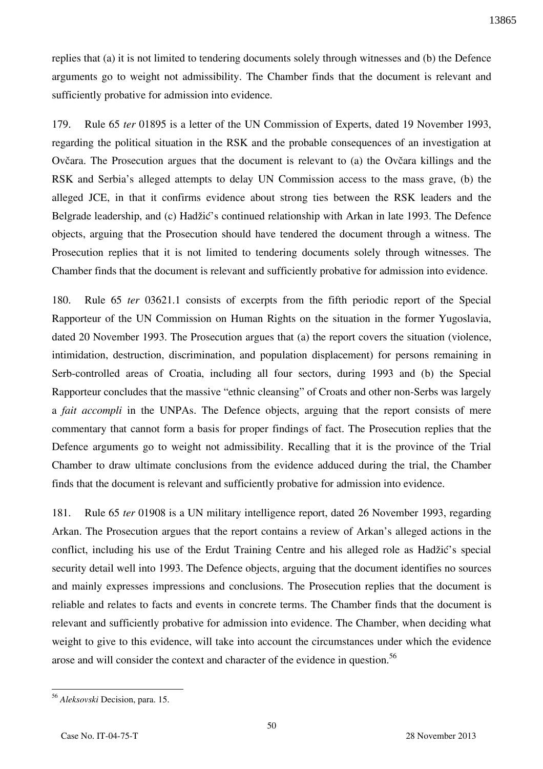replies that (a) it is not limited to tendering documents solely through witnesses and (b) the Defence arguments go to weight not admissibility. The Chamber finds that the document is relevant and sufficiently probative for admission into evidence.

179. Rule 65 *ter* 01895 is a letter of the UN Commission of Experts, dated 19 November 1993, regarding the political situation in the RSK and the probable consequences of an investigation at Ovčara. The Prosecution argues that the document is relevant to (a) the Ovčara killings and the RSK and Serbia's alleged attempts to delay UN Commission access to the mass grave, (b) the alleged JCE, in that it confirms evidence about strong ties between the RSK leaders and the Belgrade leadership, and (c) Hadžić's continued relationship with Arkan in late 1993. The Defence objects, arguing that the Prosecution should have tendered the document through a witness. The Prosecution replies that it is not limited to tendering documents solely through witnesses. The Chamber finds that the document is relevant and sufficiently probative for admission into evidence.

180. Rule 65 *ter* 03621.1 consists of excerpts from the fifth periodic report of the Special Rapporteur of the UN Commission on Human Rights on the situation in the former Yugoslavia, dated 20 November 1993. The Prosecution argues that (a) the report covers the situation (violence, intimidation, destruction, discrimination, and population displacement) for persons remaining in Serb-controlled areas of Croatia, including all four sectors, during 1993 and (b) the Special Rapporteur concludes that the massive "ethnic cleansing" of Croats and other non-Serbs was largely a *fait accompli* in the UNPAs. The Defence objects, arguing that the report consists of mere commentary that cannot form a basis for proper findings of fact. The Prosecution replies that the Defence arguments go to weight not admissibility. Recalling that it is the province of the Trial Chamber to draw ultimate conclusions from the evidence adduced during the trial, the Chamber finds that the document is relevant and sufficiently probative for admission into evidence.

181. Rule 65 *ter* 01908 is a UN military intelligence report, dated 26 November 1993, regarding Arkan. The Prosecution argues that the report contains a review of Arkan's alleged actions in the conflict, including his use of the Erdut Training Centre and his alleged role as Hadžić's special security detail well into 1993. The Defence objects, arguing that the document identifies no sources and mainly expresses impressions and conclusions. The Prosecution replies that the document is reliable and relates to facts and events in concrete terms. The Chamber finds that the document is relevant and sufficiently probative for admission into evidence. The Chamber, when deciding what weight to give to this evidence, will take into account the circumstances under which the evidence arose and will consider the context and character of the evidence in question.<sup>56</sup>

<sup>56</sup> *Aleksovski* Decision, para. 15.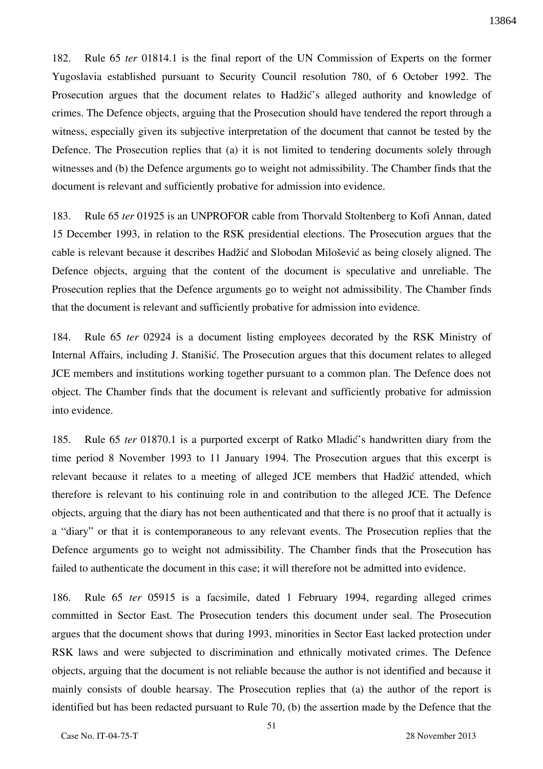182. Rule 65 *ter* 01814.1 is the final report of the UN Commission of Experts on the former Yugoslavia established pursuant to Security Council resolution 780, of 6 October 1992. The Prosecution argues that the document relates to Hadžić's alleged authority and knowledge of crimes. The Defence objects, arguing that the Prosecution should have tendered the report through a witness, especially given its subjective interpretation of the document that cannot be tested by the Defence. The Prosecution replies that (a) it is not limited to tendering documents solely through witnesses and (b) the Defence arguments go to weight not admissibility. The Chamber finds that the document is relevant and sufficiently probative for admission into evidence.

183. Rule 65 *ter* 01925 is an UNPROFOR cable from Thorvald Stoltenberg to Kofi Annan, dated 15 December 1993, in relation to the RSK presidential elections. The Prosecution argues that the cable is relevant because it describes Hadžić and Slobodan Milošević as being closely aligned. The Defence objects, arguing that the content of the document is speculative and unreliable. The Prosecution replies that the Defence arguments go to weight not admissibility. The Chamber finds that the document is relevant and sufficiently probative for admission into evidence.

184. Rule 65 *ter* 02924 is a document listing employees decorated by the RSK Ministry of Internal Affairs, including J. Stanišić. The Prosecution argues that this document relates to alleged JCE members and institutions working together pursuant to a common plan. The Defence does not object. The Chamber finds that the document is relevant and sufficiently probative for admission into evidence.

185. Rule 65 *ter* 01870.1 is a purported excerpt of Ratko Mladić's handwritten diary from the time period 8 November 1993 to 11 January 1994. The Prosecution argues that this excerpt is relevant because it relates to a meeting of alleged JCE members that Hadžić attended, which therefore is relevant to his continuing role in and contribution to the alleged JCE. The Defence objects, arguing that the diary has not been authenticated and that there is no proof that it actually is a "diary" or that it is contemporaneous to any relevant events. The Prosecution replies that the Defence arguments go to weight not admissibility. The Chamber finds that the Prosecution has failed to authenticate the document in this case; it will therefore not be admitted into evidence.

186. Rule 65 *ter* 05915 is a facsimile, dated 1 February 1994, regarding alleged crimes committed in Sector East. The Prosecution tenders this document under seal. The Prosecution argues that the document shows that during 1993, minorities in Sector East lacked protection under RSK laws and were subjected to discrimination and ethnically motivated crimes. The Defence objects, arguing that the document is not reliable because the author is not identified and because it mainly consists of double hearsay. The Prosecution replies that (a) the author of the report is identified but has been redacted pursuant to Rule 70, (b) the assertion made by the Defence that the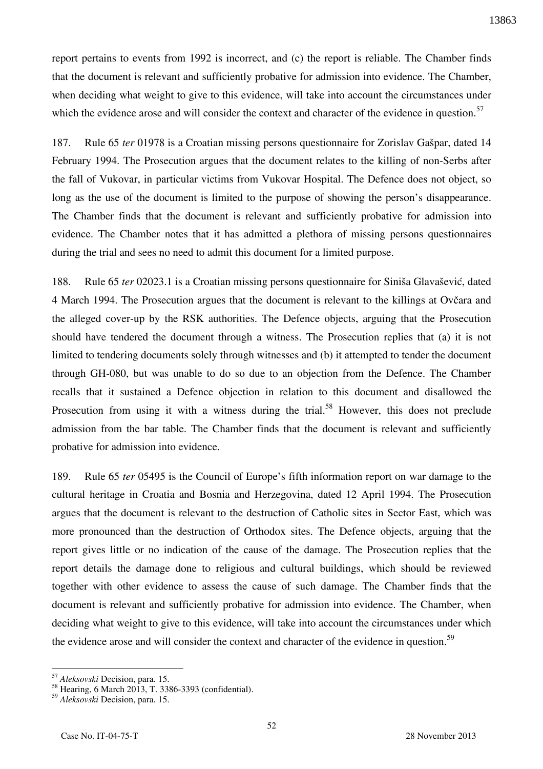report pertains to events from 1992 is incorrect, and (c) the report is reliable. The Chamber finds that the document is relevant and sufficiently probative for admission into evidence. The Chamber, when deciding what weight to give to this evidence, will take into account the circumstances under which the evidence arose and will consider the context and character of the evidence in question.<sup>57</sup>

187. Rule 65 *ter* 01978 is a Croatian missing persons questionnaire for Zorislav Gašpar, dated 14 February 1994. The Prosecution argues that the document relates to the killing of non-Serbs after the fall of Vukovar, in particular victims from Vukovar Hospital. The Defence does not object, so long as the use of the document is limited to the purpose of showing the person's disappearance. The Chamber finds that the document is relevant and sufficiently probative for admission into evidence. The Chamber notes that it has admitted a plethora of missing persons questionnaires during the trial and sees no need to admit this document for a limited purpose.

188. Rule 65 *ter* 02023.1 is a Croatian missing persons questionnaire for Siniša Glavašević, dated 4 March 1994. The Prosecution argues that the document is relevant to the killings at Ovčara and the alleged cover-up by the RSK authorities. The Defence objects, arguing that the Prosecution should have tendered the document through a witness. The Prosecution replies that (a) it is not limited to tendering documents solely through witnesses and (b) it attempted to tender the document through GH-080, but was unable to do so due to an objection from the Defence. The Chamber recalls that it sustained a Defence objection in relation to this document and disallowed the Prosecution from using it with a witness during the trial.<sup>58</sup> However, this does not preclude admission from the bar table. The Chamber finds that the document is relevant and sufficiently probative for admission into evidence.

189. Rule 65 *ter* 05495 is the Council of Europe's fifth information report on war damage to the cultural heritage in Croatia and Bosnia and Herzegovina, dated 12 April 1994. The Prosecution argues that the document is relevant to the destruction of Catholic sites in Sector East, which was more pronounced than the destruction of Orthodox sites. The Defence objects, arguing that the report gives little or no indication of the cause of the damage. The Prosecution replies that the report details the damage done to religious and cultural buildings, which should be reviewed together with other evidence to assess the cause of such damage. The Chamber finds that the document is relevant and sufficiently probative for admission into evidence. The Chamber, when deciding what weight to give to this evidence, will take into account the circumstances under which the evidence arose and will consider the context and character of the evidence in question.<sup>59</sup>

<sup>57</sup> *Aleksovski* Decision, para. 15.

<sup>&</sup>lt;sup>58</sup> Hearing, 6 March 2013, T. 3386-3393 (confidential).

<sup>59</sup> *Aleksovski* Decision, para. 15.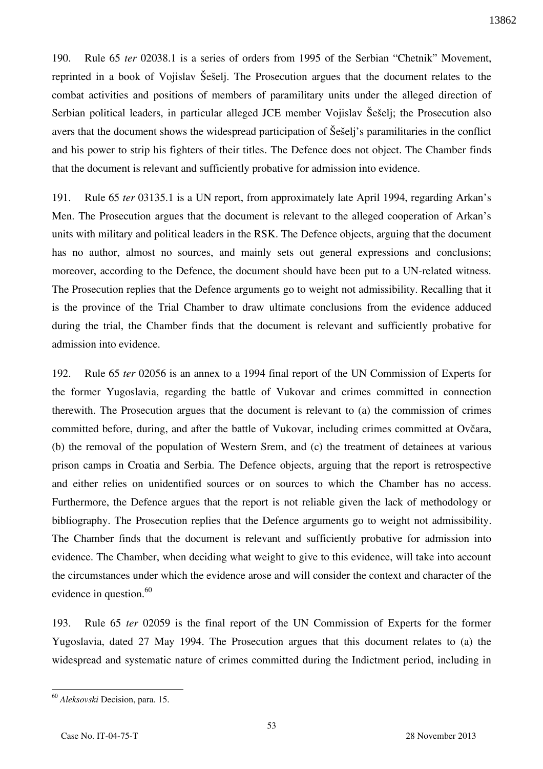190. Rule 65 *ter* 02038.1 is a series of orders from 1995 of the Serbian "Chetnik" Movement, reprinted in a book of Vojislav Šešelj. The Prosecution argues that the document relates to the combat activities and positions of members of paramilitary units under the alleged direction of Serbian political leaders, in particular alleged JCE member Vojislav Šešelj; the Prosecution also avers that the document shows the widespread participation of Šešelj's paramilitaries in the conflict and his power to strip his fighters of their titles. The Defence does not object. The Chamber finds that the document is relevant and sufficiently probative for admission into evidence.

191. Rule 65 *ter* 03135.1 is a UN report, from approximately late April 1994, regarding Arkan's Men. The Prosecution argues that the document is relevant to the alleged cooperation of Arkan's units with military and political leaders in the RSK. The Defence objects, arguing that the document has no author, almost no sources, and mainly sets out general expressions and conclusions; moreover, according to the Defence, the document should have been put to a UN-related witness. The Prosecution replies that the Defence arguments go to weight not admissibility. Recalling that it is the province of the Trial Chamber to draw ultimate conclusions from the evidence adduced during the trial, the Chamber finds that the document is relevant and sufficiently probative for admission into evidence.

192. Rule 65 *ter* 02056 is an annex to a 1994 final report of the UN Commission of Experts for the former Yugoslavia, regarding the battle of Vukovar and crimes committed in connection therewith. The Prosecution argues that the document is relevant to (a) the commission of crimes committed before, during, and after the battle of Vukovar, including crimes committed at Ovčara, (b) the removal of the population of Western Srem, and (c) the treatment of detainees at various prison camps in Croatia and Serbia. The Defence objects, arguing that the report is retrospective and either relies on unidentified sources or on sources to which the Chamber has no access. Furthermore, the Defence argues that the report is not reliable given the lack of methodology or bibliography. The Prosecution replies that the Defence arguments go to weight not admissibility. The Chamber finds that the document is relevant and sufficiently probative for admission into evidence. The Chamber, when deciding what weight to give to this evidence, will take into account the circumstances under which the evidence arose and will consider the context and character of the evidence in question. $60$ 

193. Rule 65 *ter* 02059 is the final report of the UN Commission of Experts for the former Yugoslavia, dated 27 May 1994. The Prosecution argues that this document relates to (a) the widespread and systematic nature of crimes committed during the Indictment period, including in

<sup>60</sup> *Aleksovski* Decision, para. 15.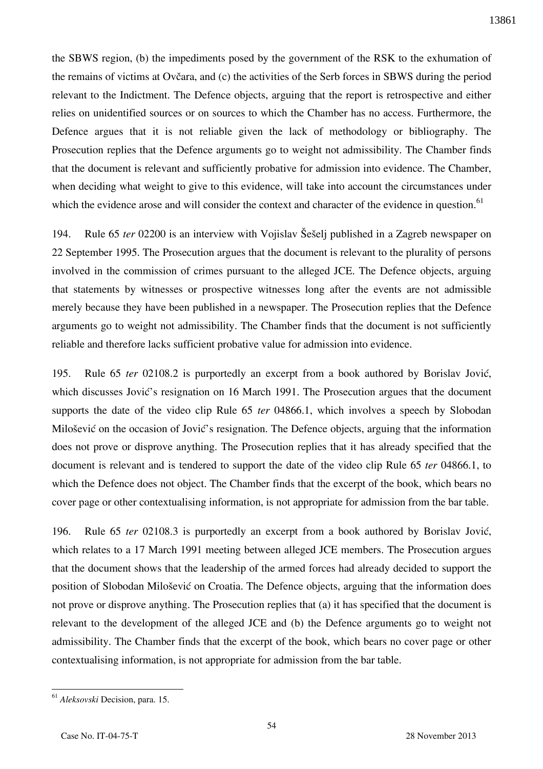the SBWS region, (b) the impediments posed by the government of the RSK to the exhumation of the remains of victims at Ovčara, and (c) the activities of the Serb forces in SBWS during the period relevant to the Indictment. The Defence objects, arguing that the report is retrospective and either relies on unidentified sources or on sources to which the Chamber has no access. Furthermore, the Defence argues that it is not reliable given the lack of methodology or bibliography. The Prosecution replies that the Defence arguments go to weight not admissibility. The Chamber finds that the document is relevant and sufficiently probative for admission into evidence. The Chamber, when deciding what weight to give to this evidence, will take into account the circumstances under which the evidence arose and will consider the context and character of the evidence in question.<sup>61</sup>

194. Rule 65 *ter* 02200 is an interview with Vojislav Šešelj published in a Zagreb newspaper on 22 September 1995. The Prosecution argues that the document is relevant to the plurality of persons involved in the commission of crimes pursuant to the alleged JCE. The Defence objects, arguing that statements by witnesses or prospective witnesses long after the events are not admissible merely because they have been published in a newspaper. The Prosecution replies that the Defence arguments go to weight not admissibility. The Chamber finds that the document is not sufficiently reliable and therefore lacks sufficient probative value for admission into evidence.

195. Rule 65 *ter* 02108.2 is purportedly an excerpt from a book authored by Borislav Jović, which discusses Jović's resignation on 16 March 1991. The Prosecution argues that the document supports the date of the video clip Rule 65 *ter* 04866.1, which involves a speech by Slobodan Milošević on the occasion of Jović's resignation. The Defence objects, arguing that the information does not prove or disprove anything. The Prosecution replies that it has already specified that the document is relevant and is tendered to support the date of the video clip Rule 65 *ter* 04866.1, to which the Defence does not object. The Chamber finds that the excerpt of the book, which bears no cover page or other contextualising information, is not appropriate for admission from the bar table.

196. Rule 65 *ter* 02108.3 is purportedly an excerpt from a book authored by Borislav Jović, which relates to a 17 March 1991 meeting between alleged JCE members. The Prosecution argues that the document shows that the leadership of the armed forces had already decided to support the position of Slobodan Milošević on Croatia. The Defence objects, arguing that the information does not prove or disprove anything. The Prosecution replies that (a) it has specified that the document is relevant to the development of the alleged JCE and (b) the Defence arguments go to weight not admissibility. The Chamber finds that the excerpt of the book, which bears no cover page or other contextualising information, is not appropriate for admission from the bar table.

<sup>61</sup> *Aleksovski* Decision, para. 15.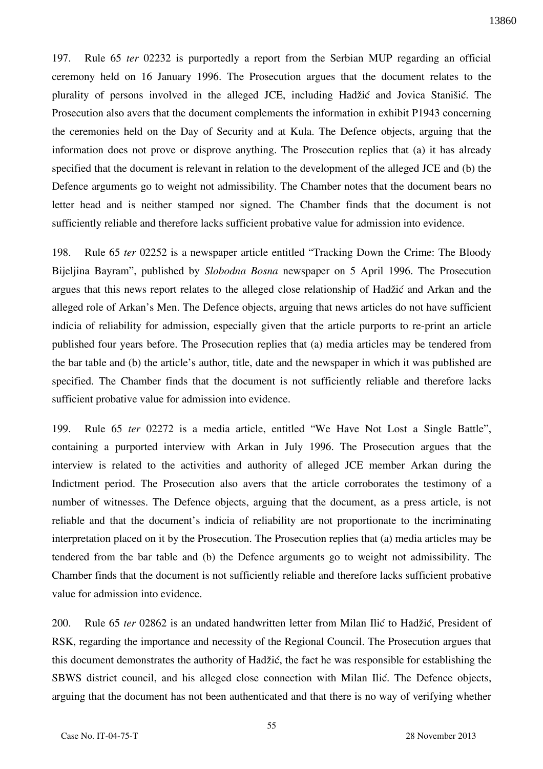197. Rule 65 *ter* 02232 is purportedly a report from the Serbian MUP regarding an official ceremony held on 16 January 1996. The Prosecution argues that the document relates to the plurality of persons involved in the alleged JCE, including Hadžić and Jovica Stanišić. The Prosecution also avers that the document complements the information in exhibit P1943 concerning the ceremonies held on the Day of Security and at Kula. The Defence objects, arguing that the information does not prove or disprove anything. The Prosecution replies that (a) it has already specified that the document is relevant in relation to the development of the alleged JCE and (b) the Defence arguments go to weight not admissibility. The Chamber notes that the document bears no letter head and is neither stamped nor signed. The Chamber finds that the document is not sufficiently reliable and therefore lacks sufficient probative value for admission into evidence.

198. Rule 65 *ter* 02252 is a newspaper article entitled "Tracking Down the Crime: The Bloody Bijeljina Bayram", published by *Slobodna Bosna* newspaper on 5 April 1996. The Prosecution argues that this news report relates to the alleged close relationship of Hadžić and Arkan and the alleged role of Arkan's Men. The Defence objects, arguing that news articles do not have sufficient indicia of reliability for admission, especially given that the article purports to re-print an article published four years before. The Prosecution replies that (a) media articles may be tendered from the bar table and (b) the article's author, title, date and the newspaper in which it was published are specified. The Chamber finds that the document is not sufficiently reliable and therefore lacks sufficient probative value for admission into evidence.

199. Rule 65 *ter* 02272 is a media article, entitled "We Have Not Lost a Single Battle", containing a purported interview with Arkan in July 1996. The Prosecution argues that the interview is related to the activities and authority of alleged JCE member Arkan during the Indictment period. The Prosecution also avers that the article corroborates the testimony of a number of witnesses. The Defence objects, arguing that the document, as a press article, is not reliable and that the document's indicia of reliability are not proportionate to the incriminating interpretation placed on it by the Prosecution. The Prosecution replies that (a) media articles may be tendered from the bar table and (b) the Defence arguments go to weight not admissibility. The Chamber finds that the document is not sufficiently reliable and therefore lacks sufficient probative value for admission into evidence.

200. Rule 65 *ter* 02862 is an undated handwritten letter from Milan Ilić to Hadžić, President of RSK, regarding the importance and necessity of the Regional Council. The Prosecution argues that this document demonstrates the authority of Hadžić, the fact he was responsible for establishing the SBWS district council, and his alleged close connection with Milan Ilić. The Defence objects, arguing that the document has not been authenticated and that there is no way of verifying whether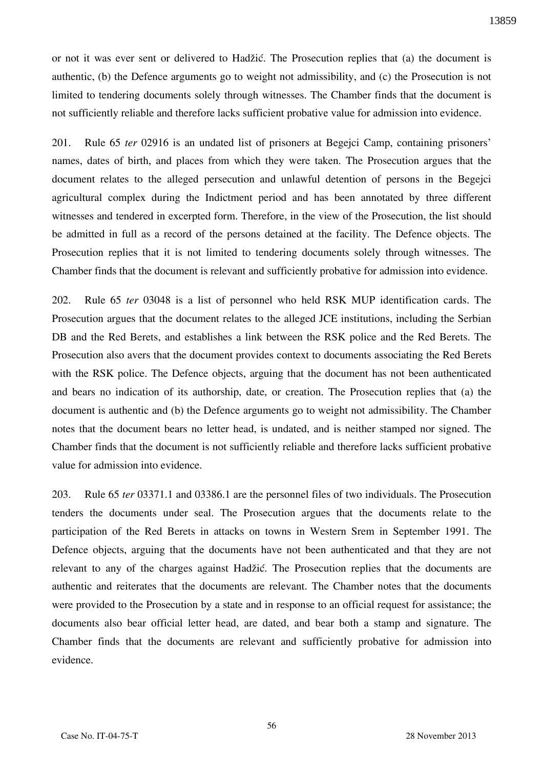or not it was ever sent or delivered to Hadžić. The Prosecution replies that (a) the document is authentic, (b) the Defence arguments go to weight not admissibility, and (c) the Prosecution is not limited to tendering documents solely through witnesses. The Chamber finds that the document is not sufficiently reliable and therefore lacks sufficient probative value for admission into evidence.

201. Rule 65 *ter* 02916 is an undated list of prisoners at Begejci Camp, containing prisoners' names, dates of birth, and places from which they were taken. The Prosecution argues that the document relates to the alleged persecution and unlawful detention of persons in the Begejci agricultural complex during the Indictment period and has been annotated by three different witnesses and tendered in excerpted form. Therefore, in the view of the Prosecution, the list should be admitted in full as a record of the persons detained at the facility. The Defence objects. The Prosecution replies that it is not limited to tendering documents solely through witnesses. The Chamber finds that the document is relevant and sufficiently probative for admission into evidence.

202. Rule 65 *ter* 03048 is a list of personnel who held RSK MUP identification cards. The Prosecution argues that the document relates to the alleged JCE institutions, including the Serbian DB and the Red Berets, and establishes a link between the RSK police and the Red Berets. The Prosecution also avers that the document provides context to documents associating the Red Berets with the RSK police. The Defence objects, arguing that the document has not been authenticated and bears no indication of its authorship, date, or creation. The Prosecution replies that (a) the document is authentic and (b) the Defence arguments go to weight not admissibility. The Chamber notes that the document bears no letter head, is undated, and is neither stamped nor signed. The Chamber finds that the document is not sufficiently reliable and therefore lacks sufficient probative value for admission into evidence.

203. Rule 65 *ter* 03371.1 and 03386.1 are the personnel files of two individuals. The Prosecution tenders the documents under seal. The Prosecution argues that the documents relate to the participation of the Red Berets in attacks on towns in Western Srem in September 1991. The Defence objects, arguing that the documents have not been authenticated and that they are not relevant to any of the charges against Hadžić. The Prosecution replies that the documents are authentic and reiterates that the documents are relevant. The Chamber notes that the documents were provided to the Prosecution by a state and in response to an official request for assistance; the documents also bear official letter head, are dated, and bear both a stamp and signature. The Chamber finds that the documents are relevant and sufficiently probative for admission into evidence.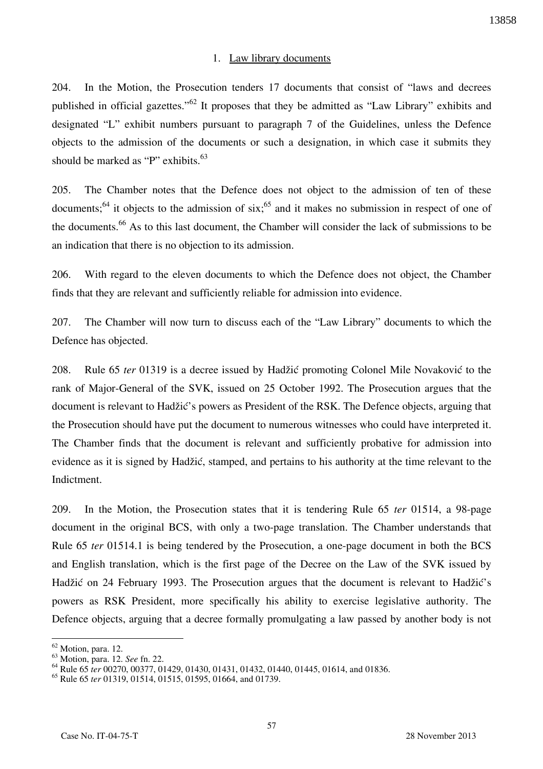## 1. Law library documents

204. In the Motion, the Prosecution tenders 17 documents that consist of "laws and decrees published in official gazettes."<sup>62</sup> It proposes that they be admitted as "Law Library" exhibits and designated "L" exhibit numbers pursuant to paragraph 7 of the Guidelines, unless the Defence objects to the admission of the documents or such a designation, in which case it submits they should be marked as "P" exhibits.<sup>63</sup>

205. The Chamber notes that the Defence does not object to the admission of ten of these documents;<sup>64</sup> it objects to the admission of  $six$ ;<sup>65</sup> and it makes no submission in respect of one of the documents.<sup>66</sup> As to this last document, the Chamber will consider the lack of submissions to be an indication that there is no objection to its admission.

206. With regard to the eleven documents to which the Defence does not object, the Chamber finds that they are relevant and sufficiently reliable for admission into evidence.

207. The Chamber will now turn to discuss each of the "Law Library" documents to which the Defence has objected.

208. Rule 65 *ter* 01319 is a decree issued by Hadžić promoting Colonel Mile Novaković to the rank of Major-General of the SVK, issued on 25 October 1992. The Prosecution argues that the document is relevant to Hadžić's powers as President of the RSK. The Defence objects, arguing that the Prosecution should have put the document to numerous witnesses who could have interpreted it. The Chamber finds that the document is relevant and sufficiently probative for admission into evidence as it is signed by Hadžić, stamped, and pertains to his authority at the time relevant to the Indictment.

209. In the Motion, the Prosecution states that it is tendering Rule 65 *ter* 01514, a 98-page document in the original BCS, with only a two-page translation. The Chamber understands that Rule 65 *ter* 01514.1 is being tendered by the Prosecution, a one-page document in both the BCS and English translation, which is the first page of the Decree on the Law of the SVK issued by Hadžić on 24 February 1993. The Prosecution argues that the document is relevant to Hadžić's powers as RSK President, more specifically his ability to exercise legislative authority. The Defence objects, arguing that a decree formally promulgating a law passed by another body is not

<sup>62</sup> Motion, para. 12.

<sup>63</sup> Motion, para. 12. *See* fn. 22.

<sup>64</sup> Rule 65 *ter* 00270, 00377, 01429, 01430, 01431, 01432, 01440, 01445, 01614, and 01836.

<sup>65</sup> Rule 65 *ter* 01319, 01514, 01515, 01595, 01664, and 01739.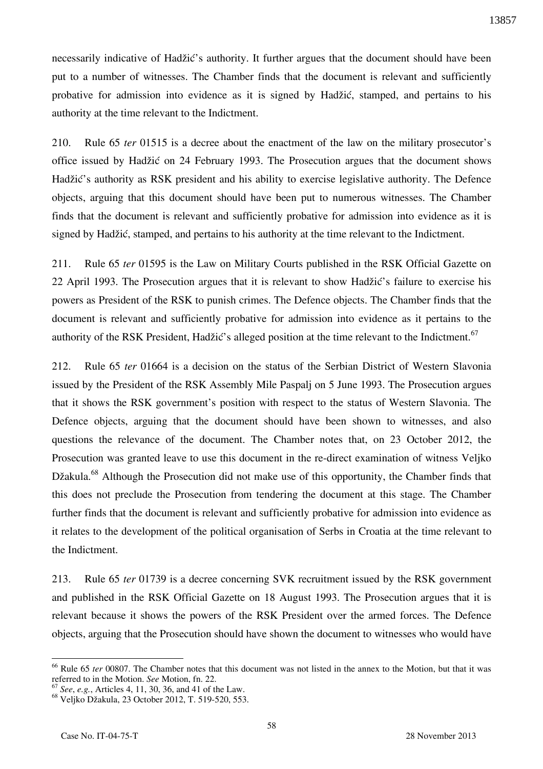necessarily indicative of Hadžić's authority. It further argues that the document should have been put to a number of witnesses. The Chamber finds that the document is relevant and sufficiently probative for admission into evidence as it is signed by Hadžić, stamped, and pertains to his authority at the time relevant to the Indictment.

210. Rule 65 *ter* 01515 is a decree about the enactment of the law on the military prosecutor's office issued by Hadžić on 24 February 1993. The Prosecution argues that the document shows Hadžić's authority as RSK president and his ability to exercise legislative authority. The Defence objects, arguing that this document should have been put to numerous witnesses. The Chamber finds that the document is relevant and sufficiently probative for admission into evidence as it is signed by Hadžić, stamped, and pertains to his authority at the time relevant to the Indictment.

211. Rule 65 *ter* 01595 is the Law on Military Courts published in the RSK Official Gazette on 22 April 1993. The Prosecution argues that it is relevant to show Hadžić's failure to exercise his powers as President of the RSK to punish crimes. The Defence objects. The Chamber finds that the document is relevant and sufficiently probative for admission into evidence as it pertains to the authority of the RSK President, Hadžić's alleged position at the time relevant to the Indictment.<sup>67</sup>

212. Rule 65 *ter* 01664 is a decision on the status of the Serbian District of Western Slavonia issued by the President of the RSK Assembly Mile Paspalj on 5 June 1993. The Prosecution argues that it shows the RSK government's position with respect to the status of Western Slavonia. The Defence objects, arguing that the document should have been shown to witnesses, and also questions the relevance of the document. The Chamber notes that, on 23 October 2012, the Prosecution was granted leave to use this document in the re-direct examination of witness Veljko Džakula.<sup>68</sup> Although the Prosecution did not make use of this opportunity, the Chamber finds that this does not preclude the Prosecution from tendering the document at this stage. The Chamber further finds that the document is relevant and sufficiently probative for admission into evidence as it relates to the development of the political organisation of Serbs in Croatia at the time relevant to the Indictment.

213. Rule 65 *ter* 01739 is a decree concerning SVK recruitment issued by the RSK government and published in the RSK Official Gazette on 18 August 1993. The Prosecution argues that it is relevant because it shows the powers of the RSK President over the armed forces. The Defence objects, arguing that the Prosecution should have shown the document to witnesses who would have

<sup>66</sup> Rule 65 *ter* 00807. The Chamber notes that this document was not listed in the annex to the Motion, but that it was referred to in the Motion. *See* Motion, fn. 22.

<sup>67</sup> *See*, *e.g.*, Articles 4, 11, 30, 36, and 41 of the Law.

<sup>68</sup> Veljko Džakula, 23 October 2012, T. 519-520, 553.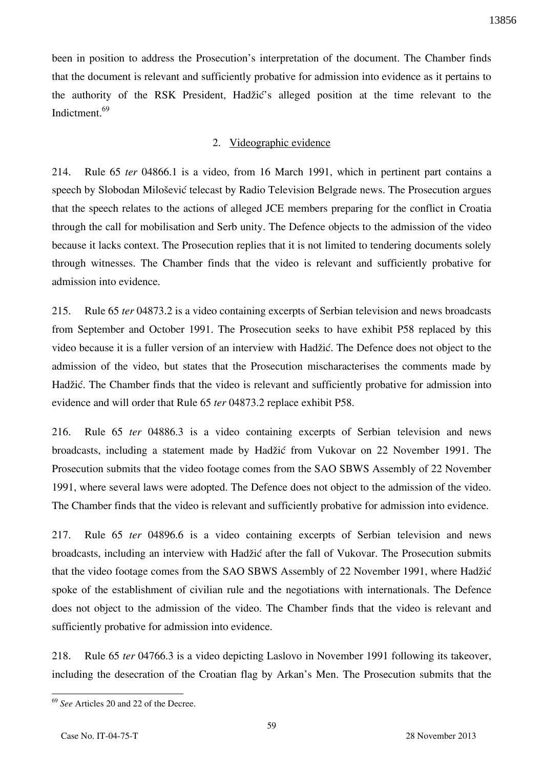been in position to address the Prosecution's interpretation of the document. The Chamber finds that the document is relevant and sufficiently probative for admission into evidence as it pertains to the authority of the RSK President, Hadžić's alleged position at the time relevant to the Indictment.<sup>69</sup>

#### 2. Videographic evidence

214. Rule 65 *ter* 04866.1 is a video, from 16 March 1991, which in pertinent part contains a speech by Slobodan Milošević telecast by Radio Television Belgrade news. The Prosecution argues that the speech relates to the actions of alleged JCE members preparing for the conflict in Croatia through the call for mobilisation and Serb unity. The Defence objects to the admission of the video because it lacks context. The Prosecution replies that it is not limited to tendering documents solely through witnesses. The Chamber finds that the video is relevant and sufficiently probative for admission into evidence.

215. Rule 65 *ter* 04873.2 is a video containing excerpts of Serbian television and news broadcasts from September and October 1991. The Prosecution seeks to have exhibit P58 replaced by this video because it is a fuller version of an interview with Hadžić. The Defence does not object to the admission of the video, but states that the Prosecution mischaracterises the comments made by Hadžić. The Chamber finds that the video is relevant and sufficiently probative for admission into evidence and will order that Rule 65 *ter* 04873.2 replace exhibit P58.

216. Rule 65 *ter* 04886.3 is a video containing excerpts of Serbian television and news broadcasts, including a statement made by Hadžić from Vukovar on 22 November 1991. The Prosecution submits that the video footage comes from the SAO SBWS Assembly of 22 November 1991, where several laws were adopted. The Defence does not object to the admission of the video. The Chamber finds that the video is relevant and sufficiently probative for admission into evidence.

217. Rule 65 *ter* 04896.6 is a video containing excerpts of Serbian television and news broadcasts, including an interview with Hadžić after the fall of Vukovar. The Prosecution submits that the video footage comes from the SAO SBWS Assembly of 22 November 1991, where Hadžić spoke of the establishment of civilian rule and the negotiations with internationals. The Defence does not object to the admission of the video. The Chamber finds that the video is relevant and sufficiently probative for admission into evidence.

218. Rule 65 *ter* 04766.3 is a video depicting Laslovo in November 1991 following its takeover, including the desecration of the Croatian flag by Arkan's Men. The Prosecution submits that the

<sup>69</sup> *See* Articles 20 and 22 of the Decree.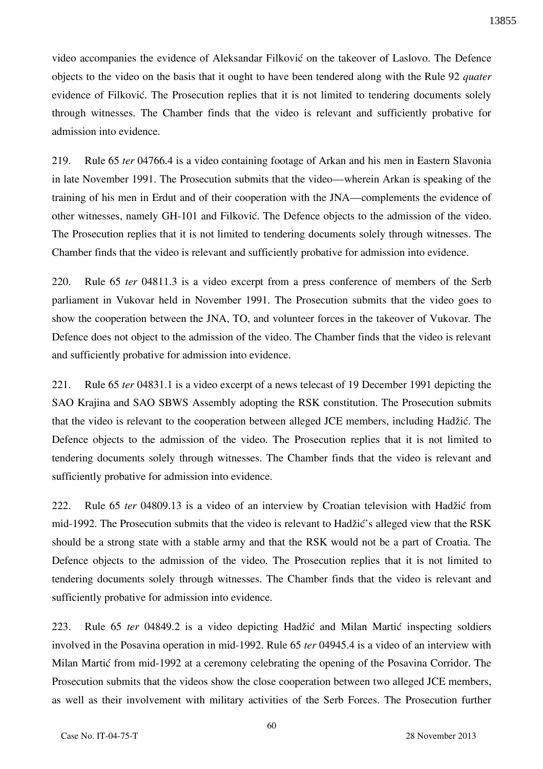video accompanies the evidence of Aleksandar Filković on the takeover of Laslovo. The Defence objects to the video on the basis that it ought to have been tendered along with the Rule 92 *quater*  evidence of Filković. The Prosecution replies that it is not limited to tendering documents solely through witnesses. The Chamber finds that the video is relevant and sufficiently probative for admission into evidence.

219. Rule 65 *ter* 04766.4 is a video containing footage of Arkan and his men in Eastern Slavonia in late November 1991. The Prosecution submits that the video—wherein Arkan is speaking of the training of his men in Erdut and of their cooperation with the JNA—complements the evidence of other witnesses, namely GH-101 and Filković. The Defence objects to the admission of the video. The Prosecution replies that it is not limited to tendering documents solely through witnesses. The Chamber finds that the video is relevant and sufficiently probative for admission into evidence.

220. Rule 65 *ter* 04811.3 is a video excerpt from a press conference of members of the Serb parliament in Vukovar held in November 1991. The Prosecution submits that the video goes to show the cooperation between the JNA, TO, and volunteer forces in the takeover of Vukovar. The Defence does not object to the admission of the video. The Chamber finds that the video is relevant and sufficiently probative for admission into evidence.

221. Rule 65 *ter* 04831.1 is a video excerpt of a news telecast of 19 December 1991 depicting the SAO Krajina and SAO SBWS Assembly adopting the RSK constitution. The Prosecution submits that the video is relevant to the cooperation between alleged JCE members, including Hadžić. The Defence objects to the admission of the video. The Prosecution replies that it is not limited to tendering documents solely through witnesses. The Chamber finds that the video is relevant and sufficiently probative for admission into evidence.

222. Rule 65 *ter* 04809.13 is a video of an interview by Croatian television with Hadžić from mid-1992. The Prosecution submits that the video is relevant to Hadžić's alleged view that the RSK should be a strong state with a stable army and that the RSK would not be a part of Croatia. The Defence objects to the admission of the video. The Prosecution replies that it is not limited to tendering documents solely through witnesses. The Chamber finds that the video is relevant and sufficiently probative for admission into evidence.

223. Rule 65 *ter* 04849.2 is a video depicting Hadžić and Milan Martić inspecting soldiers involved in the Posavina operation in mid-1992. Rule 65 *ter* 04945.4 is a video of an interview with Milan Martić from mid-1992 at a ceremony celebrating the opening of the Posavina Corridor. The Prosecution submits that the videos show the close cooperation between two alleged JCE members, as well as their involvement with military activities of the Serb Forces. The Prosecution further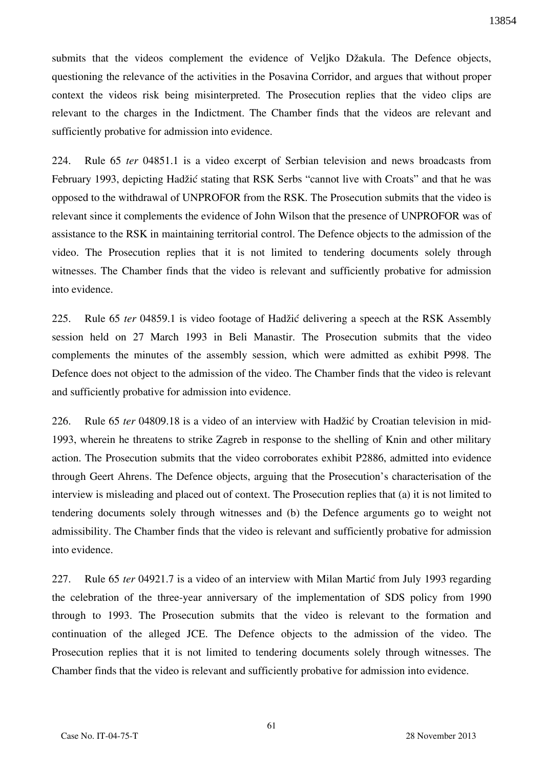submits that the videos complement the evidence of Veljko Džakula. The Defence objects, questioning the relevance of the activities in the Posavina Corridor, and argues that without proper context the videos risk being misinterpreted. The Prosecution replies that the video clips are relevant to the charges in the Indictment. The Chamber finds that the videos are relevant and sufficiently probative for admission into evidence.

224. Rule 65 *ter* 04851.1 is a video excerpt of Serbian television and news broadcasts from February 1993, depicting Hadžić stating that RSK Serbs "cannot live with Croats" and that he was opposed to the withdrawal of UNPROFOR from the RSK. The Prosecution submits that the video is relevant since it complements the evidence of John Wilson that the presence of UNPROFOR was of assistance to the RSK in maintaining territorial control. The Defence objects to the admission of the video. The Prosecution replies that it is not limited to tendering documents solely through witnesses. The Chamber finds that the video is relevant and sufficiently probative for admission into evidence.

225. Rule 65 *ter* 04859.1 is video footage of Hadžić delivering a speech at the RSK Assembly session held on 27 March 1993 in Beli Manastir. The Prosecution submits that the video complements the minutes of the assembly session, which were admitted as exhibit P998. The Defence does not object to the admission of the video. The Chamber finds that the video is relevant and sufficiently probative for admission into evidence.

226. Rule 65 *ter* 04809.18 is a video of an interview with Hadžić by Croatian television in mid-1993, wherein he threatens to strike Zagreb in response to the shelling of Knin and other military action. The Prosecution submits that the video corroborates exhibit P2886, admitted into evidence through Geert Ahrens. The Defence objects, arguing that the Prosecution's characterisation of the interview is misleading and placed out of context. The Prosecution replies that (a) it is not limited to tendering documents solely through witnesses and (b) the Defence arguments go to weight not admissibility. The Chamber finds that the video is relevant and sufficiently probative for admission into evidence.

227. Rule 65 *ter* 04921.7 is a video of an interview with Milan Martic from July 1993 regarding the celebration of the three-year anniversary of the implementation of SDS policy from 1990 through to 1993. The Prosecution submits that the video is relevant to the formation and continuation of the alleged JCE. The Defence objects to the admission of the video. The Prosecution replies that it is not limited to tendering documents solely through witnesses. The Chamber finds that the video is relevant and sufficiently probative for admission into evidence.

61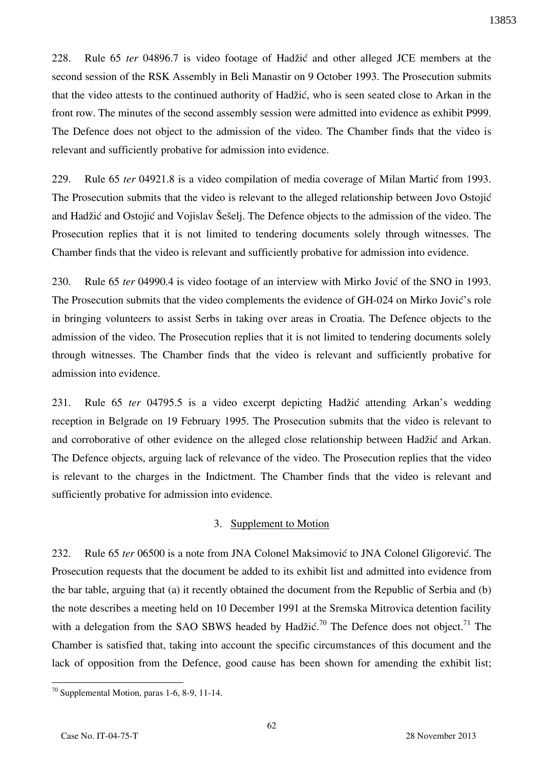228. Rule 65 *ter* 04896.7 is video footage of Hadžić and other alleged JCE members at the second session of the RSK Assembly in Beli Manastir on 9 October 1993. The Prosecution submits that the video attests to the continued authority of Hadžić, who is seen seated close to Arkan in the front row. The minutes of the second assembly session were admitted into evidence as exhibit P999. The Defence does not object to the admission of the video. The Chamber finds that the video is relevant and sufficiently probative for admission into evidence.

229. Rule 65 *ter* 04921.8 is a video compilation of media coverage of Milan Martic from 1993. The Prosecution submits that the video is relevant to the alleged relationship between Jovo Ostojić and Hadžić and Ostojić and Vojislav Šešelj. The Defence objects to the admission of the video. The Prosecution replies that it is not limited to tendering documents solely through witnesses. The Chamber finds that the video is relevant and sufficiently probative for admission into evidence.

230. Rule 65 *ter* 04990.4 is video footage of an interview with Mirko Jović of the SNO in 1993. The Prosecution submits that the video complements the evidence of GH-024 on Mirko Jović's role in bringing volunteers to assist Serbs in taking over areas in Croatia. The Defence objects to the admission of the video. The Prosecution replies that it is not limited to tendering documents solely through witnesses. The Chamber finds that the video is relevant and sufficiently probative for admission into evidence.

231. Rule 65 *ter* 04795.5 is a video excerpt depicting Hadžić attending Arkan's wedding reception in Belgrade on 19 February 1995. The Prosecution submits that the video is relevant to and corroborative of other evidence on the alleged close relationship between Hadžić and Arkan. The Defence objects, arguing lack of relevance of the video. The Prosecution replies that the video is relevant to the charges in the Indictment. The Chamber finds that the video is relevant and sufficiently probative for admission into evidence.

### 3. Supplement to Motion

232. Rule 65 *ter* 06500 is a note from JNA Colonel Maksimović to JNA Colonel Gligorević. The Prosecution requests that the document be added to its exhibit list and admitted into evidence from the bar table, arguing that (a) it recently obtained the document from the Republic of Serbia and (b) the note describes a meeting held on 10 December 1991 at the Sremska Mitrovica detention facility with a delegation from the SAO SBWS headed by Hadžić.<sup>70</sup> The Defence does not object.<sup>71</sup> The Chamber is satisfied that, taking into account the specific circumstances of this document and the lack of opposition from the Defence, good cause has been shown for amending the exhibit list;

 $70$  Supplemental Motion, paras 1-6, 8-9, 11-14.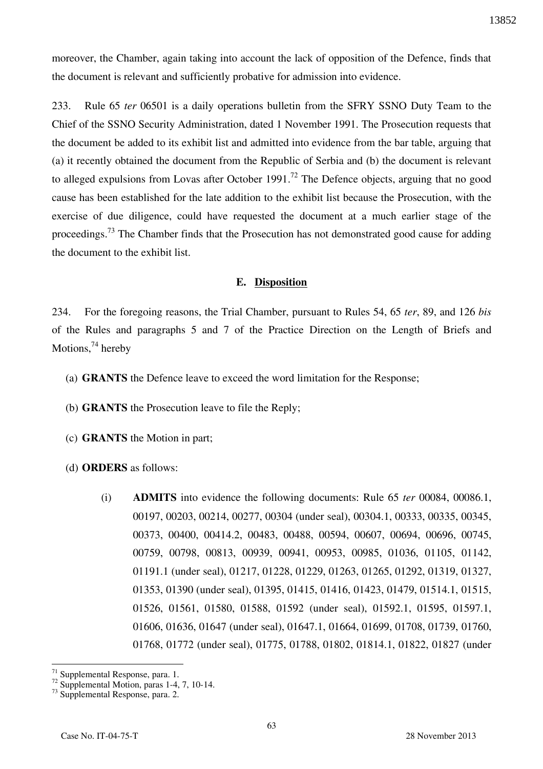moreover, the Chamber, again taking into account the lack of opposition of the Defence, finds that the document is relevant and sufficiently probative for admission into evidence.

233. Rule 65 *ter* 06501 is a daily operations bulletin from the SFRY SSNO Duty Team to the Chief of the SSNO Security Administration, dated 1 November 1991. The Prosecution requests that the document be added to its exhibit list and admitted into evidence from the bar table, arguing that (a) it recently obtained the document from the Republic of Serbia and (b) the document is relevant to alleged expulsions from Lovas after October 1991.<sup>72</sup> The Defence objects, arguing that no good cause has been established for the late addition to the exhibit list because the Prosecution, with the exercise of due diligence, could have requested the document at a much earlier stage of the proceedings.<sup>73</sup> The Chamber finds that the Prosecution has not demonstrated good cause for adding the document to the exhibit list.

#### **E. Disposition**

234. For the foregoing reasons, the Trial Chamber, pursuant to Rules 54, 65 *ter*, 89, and 126 *bis* of the Rules and paragraphs 5 and 7 of the Practice Direction on the Length of Briefs and Motions, $^{74}$  hereby

- (a) **GRANTS** the Defence leave to exceed the word limitation for the Response;
- (b) **GRANTS** the Prosecution leave to file the Reply;
- (c) **GRANTS** the Motion in part;
- (d) **ORDERS** as follows:
	- (i) **ADMITS** into evidence the following documents: Rule 65 *ter* 00084, 00086.1, 00197, 00203, 00214, 00277, 00304 (under seal), 00304.1, 00333, 00335, 00345, 00373, 00400, 00414.2, 00483, 00488, 00594, 00607, 00694, 00696, 00745, 00759, 00798, 00813, 00939, 00941, 00953, 00985, 01036, 01105, 01142, 01191.1 (under seal), 01217, 01228, 01229, 01263, 01265, 01292, 01319, 01327, 01353, 01390 (under seal), 01395, 01415, 01416, 01423, 01479, 01514.1, 01515, 01526, 01561, 01580, 01588, 01592 (under seal), 01592.1, 01595, 01597.1, 01606, 01636, 01647 (under seal), 01647.1, 01664, 01699, 01708, 01739, 01760, 01768, 01772 (under seal), 01775, 01788, 01802, 01814.1, 01822, 01827 (under

63

 $\overline{a}$ <sup>71</sup> Supplemental Response, para. 1.

 $72$  Supplemental Motion, paras 1-4, 7, 10-14.

<sup>73</sup> Supplemental Response, para. 2.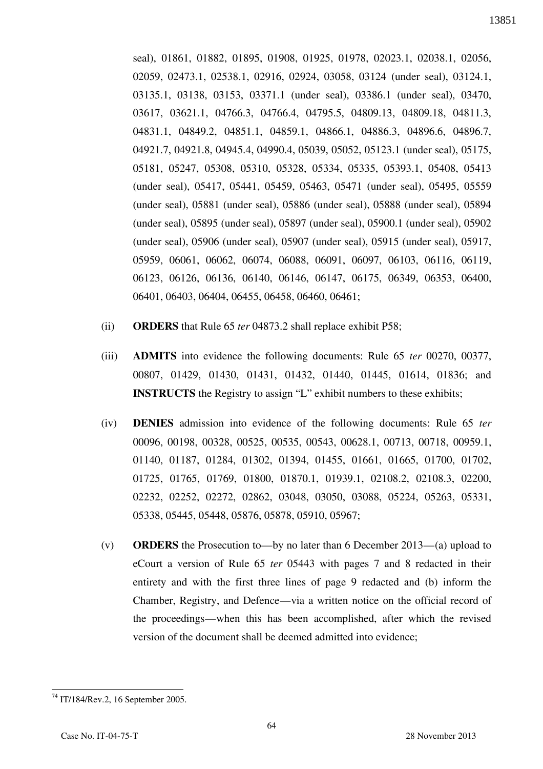seal), 01861, 01882, 01895, 01908, 01925, 01978, 02023.1, 02038.1, 02056, 02059, 02473.1, 02538.1, 02916, 02924, 03058, 03124 (under seal), 03124.1, 03135.1, 03138, 03153, 03371.1 (under seal), 03386.1 (under seal), 03470, 03617, 03621.1, 04766.3, 04766.4, 04795.5, 04809.13, 04809.18, 04811.3, 04831.1, 04849.2, 04851.1, 04859.1, 04866.1, 04886.3, 04896.6, 04896.7, 04921.7, 04921.8, 04945.4, 04990.4, 05039, 05052, 05123.1 (under seal), 05175, 05181, 05247, 05308, 05310, 05328, 05334, 05335, 05393.1, 05408, 05413 (under seal), 05417, 05441, 05459, 05463, 05471 (under seal), 05495, 05559 (under seal), 05881 (under seal), 05886 (under seal), 05888 (under seal), 05894 (under seal), 05895 (under seal), 05897 (under seal), 05900.1 (under seal), 05902 (under seal), 05906 (under seal), 05907 (under seal), 05915 (under seal), 05917, 05959, 06061, 06062, 06074, 06088, 06091, 06097, 06103, 06116, 06119, 06123, 06126, 06136, 06140, 06146, 06147, 06175, 06349, 06353, 06400, 06401, 06403, 06404, 06455, 06458, 06460, 06461;

- (ii) **ORDERS** that Rule 65 *ter* 04873.2 shall replace exhibit P58;
- (iii) **ADMITS** into evidence the following documents: Rule 65 *ter* 00270, 00377, 00807, 01429, 01430, 01431, 01432, 01440, 01445, 01614, 01836; and **INSTRUCTS** the Registry to assign "L" exhibit numbers to these exhibits;
- (iv) **DENIES** admission into evidence of the following documents: Rule 65 *ter* 00096, 00198, 00328, 00525, 00535, 00543, 00628.1, 00713, 00718, 00959.1, 01140, 01187, 01284, 01302, 01394, 01455, 01661, 01665, 01700, 01702, 01725, 01765, 01769, 01800, 01870.1, 01939.1, 02108.2, 02108.3, 02200, 02232, 02252, 02272, 02862, 03048, 03050, 03088, 05224, 05263, 05331, 05338, 05445, 05448, 05876, 05878, 05910, 05967;
- (v) **ORDERS** the Prosecution to—by no later than 6 December 2013—(a) upload to eCourt a version of Rule 65 *ter* 05443 with pages 7 and 8 redacted in their entirety and with the first three lines of page 9 redacted and (b) inform the Chamber, Registry, and Defence—via a written notice on the official record of the proceedings—when this has been accomplished, after which the revised version of the document shall be deemed admitted into evidence;

 $\overline{a}$ <sup>74</sup> IT/184/Rev.2, 16 September 2005.